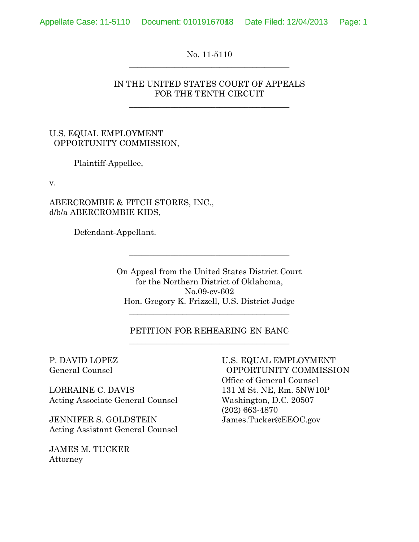No. 11-5110  $\frac{1}{2}$  , and the set of the set of the set of the set of the set of the set of the set of the set of the set of the set of the set of the set of the set of the set of the set of the set of the set of the set of the set

## IN THE UNITED STATES COURT OF APPEALS FOR THE TENTH CIRCUIT

 $\frac{1}{2}$  , and the set of the set of the set of the set of the set of the set of the set of the set of the set of the set of the set of the set of the set of the set of the set of the set of the set of the set of the set

## U.S. EQUAL EMPLOYMENT OPPORTUNITY COMMISSION,

Plaintiff-Appellee,

v.

ABERCROMBIE & FITCH STORES, INC., d/b/a ABERCROMBIE KIDS,

Defendant-Appellant.

On Appeal from the United States District Court for the Northern District of Oklahoma, No.09-cv-602 Hon. Gregory K. Frizzell, U.S. District Judge

 $\frac{1}{2}$  , and the set of the set of the set of the set of the set of the set of the set of the set of the set of the set of the set of the set of the set of the set of the set of the set of the set of the set of the set

### PETITION FOR REHEARING EN BANC  $\frac{1}{2}$  , and the set of the set of the set of the set of the set of the set of the set of the set of the set of the set of the set of the set of the set of the set of the set of the set of the set of the set of the set

 $\frac{1}{2}$  , and the set of the set of the set of the set of the set of the set of the set of the set of the set of the set of the set of the set of the set of the set of the set of the set of the set of the set of the set

LORRAINE C. DAVIS 131 M St. NE, Rm. 5NW10P Acting Associate General Counsel Washington, D.C. 20507

JENNIFER S. GOLDSTEIN James.Tucker@EEOC.gov Acting Assistant General Counsel

JAMES M. TUCKER Attorney

P. DAVID LOPEZ U.S. EQUAL EMPLOYMENT General Counsel OPPORTUNITY COMMISSION Office of General Counsel (202) 663-4870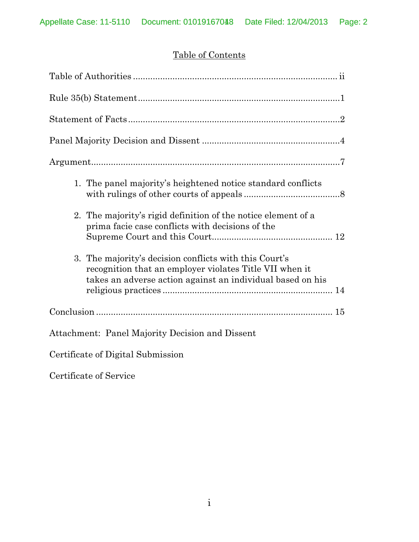# Table of Contents

| 1. The panel majority's heightened notice standard conflicts                                                                                                                    |
|---------------------------------------------------------------------------------------------------------------------------------------------------------------------------------|
| 2. The majority's rigid definition of the notice element of a<br>prima facie case conflicts with decisions of the                                                               |
| 3. The majority's decision conflicts with this Court's<br>recognition that an employer violates Title VII when it<br>takes an adverse action against an individual based on his |
|                                                                                                                                                                                 |
| Attachment: Panel Majority Decision and Dissent                                                                                                                                 |

Certificate of Digital Submission

Certificate of Service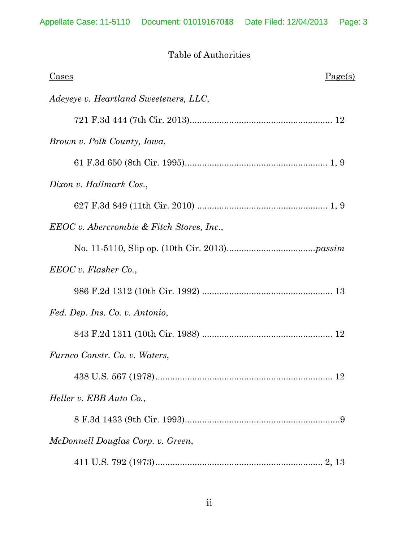# Table of Authorities

| Cases                                       | Page(s) |
|---------------------------------------------|---------|
| Adeyeye v. Heartland Sweeteners, LLC,       |         |
|                                             |         |
| Brown v. Polk County, Iowa,                 |         |
|                                             |         |
| Dixon v. Hallmark Cos.,                     |         |
|                                             |         |
| $EEOC v.$ Abercrombie & Fitch Stores, Inc., |         |
|                                             |         |
| EEOC v. Flasher Co.                         |         |
|                                             |         |
| Fed. Dep. Ins. Co. v. Antonio,              |         |
|                                             |         |
| Furnco Constr. Co. v. Waters,               |         |
| $438$ U.S. 567 (1978)                       | 12      |
| Heller v. EBB Auto Co.,                     |         |
|                                             |         |
| McDonnell Douglas Corp. v. Green,           |         |
|                                             |         |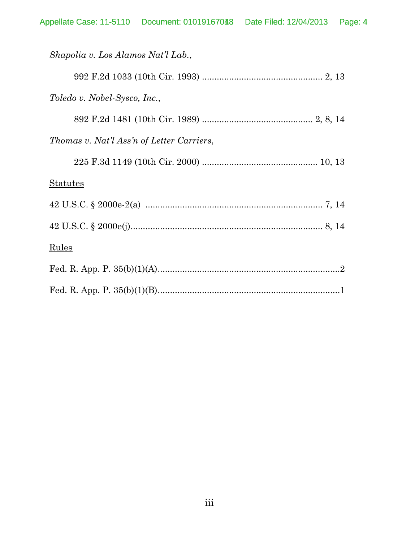| Shapolia v. Los Alamos Nat'l Lab.,        |
|-------------------------------------------|
|                                           |
| Toledo v. Nobel-Sysco, Inc.,              |
|                                           |
| Thomas v. Nat'l Ass'n of Letter Carriers, |
|                                           |
| <b>Statutes</b>                           |
|                                           |
|                                           |
| <b>Rules</b>                              |
|                                           |
|                                           |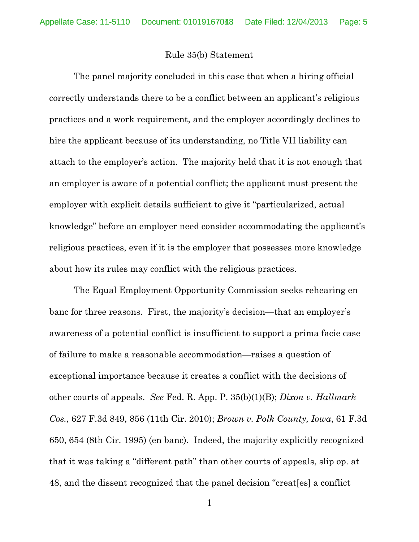#### Rule 35(b) Statement

The panel majority concluded in this case that when a hiring official correctly understands there to be a conflict between an applicant's religious practices and a work requirement, and the employer accordingly declines to hire the applicant because of its understanding, no Title VII liability can attach to the employer's action. The majority held that it is not enough that an employer is aware of a potential conflict; the applicant must present the employer with explicit details sufficient to give it "particularized, actual knowledge" before an employer need consider accommodating the applicant's religious practices, even if it is the employer that possesses more knowledge about how its rules may conflict with the religious practices.

The Equal Employment Opportunity Commission seeks rehearing en banc for three reasons. First, the majority's decision—that an employer's awareness of a potential conflict is insufficient to support a prima facie case of failure to make a reasonable accommodation—raises a question of exceptional importance because it creates a conflict with the decisions of other courts of appeals. *See* Fed. R. App. P. 35(b)(1)(B); *Dixon v. Hallmark Cos.*, 627 F.3d 849, 856 (11th Cir. 2010); *Brown v. Polk County, Iowa*, 61 F.3d 650, 654 (8th Cir. 1995) (en banc). Indeed, the majority explicitly recognized that it was taking a "different path" than other courts of appeals, slip op. at 48, and the dissent recognized that the panel decision "creat[es] a conflict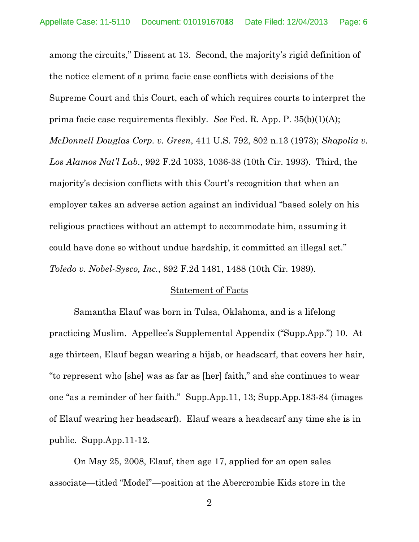among the circuits," Dissent at 13. Second, the majority's rigid definition of the notice element of a prima facie case conflicts with decisions of the Supreme Court and this Court, each of which requires courts to interpret the prima facie case requirements flexibly. *See* Fed. R. App. P. 35(b)(1)(A); *McDonnell Douglas Corp. v. Green*, 411 U.S. 792, 802 n.13 (1973); *Shapolia v. Los Alamos Nat'l Lab.*, 992 F.2d 1033, 1036-38 (10th Cir. 1993). Third, the majority's decision conflicts with this Court's recognition that when an employer takes an adverse action against an individual "based solely on his religious practices without an attempt to accommodate him, assuming it could have done so without undue hardship, it committed an illegal act." *Toledo v. Nobel-Sysco, Inc.*, 892 F.2d 1481, 1488 (10th Cir. 1989).

#### Statement of Facts

Samantha Elauf was born in Tulsa, Oklahoma, and is a lifelong practicing Muslim. Appellee's Supplemental Appendix ("Supp.App.") 10. At age thirteen, Elauf began wearing a hijab, or headscarf, that covers her hair, "to represent who [she] was as far as [her] faith," and she continues to wear one "as a reminder of her faith." Supp.App.11, 13; Supp.App.183-84 (images of Elauf wearing her headscarf). Elauf wears a headscarf any time she is in public. Supp.App.11-12.

On May 25, 2008, Elauf, then age 17, applied for an open sales associate—titled "Model"—position at the Abercrombie Kids store in the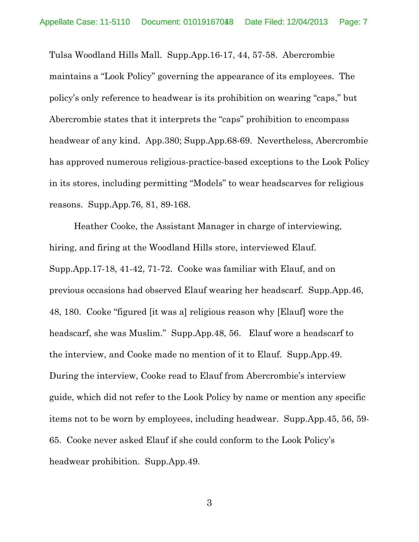Tulsa Woodland Hills Mall. Supp.App.16-17, 44, 57-58. Abercrombie maintains a "Look Policy" governing the appearance of its employees. The policy's only reference to headwear is its prohibition on wearing "caps," but Abercrombie states that it interprets the "caps" prohibition to encompass headwear of any kind. App.380; Supp.App.68-69. Nevertheless, Abercrombie has approved numerous religious-practice-based exceptions to the Look Policy in its stores, including permitting "Models" to wear headscarves for religious reasons. Supp.App.76, 81, 89-168.

Heather Cooke, the Assistant Manager in charge of interviewing, hiring, and firing at the Woodland Hills store, interviewed Elauf. Supp.App.17-18, 41-42, 71-72. Cooke was familiar with Elauf, and on previous occasions had observed Elauf wearing her headscarf. Supp.App.46, 48, 180. Cooke "figured [it was a] religious reason why [Elauf] wore the headscarf, she was Muslim." Supp.App.48, 56. Elauf wore a headscarf to the interview, and Cooke made no mention of it to Elauf. Supp.App.49. During the interview, Cooke read to Elauf from Abercrombie's interview guide, which did not refer to the Look Policy by name or mention any specific items not to be worn by employees, including headwear. Supp.App.45, 56, 59- 65. Cooke never asked Elauf if she could conform to the Look Policy's headwear prohibition. Supp.App.49.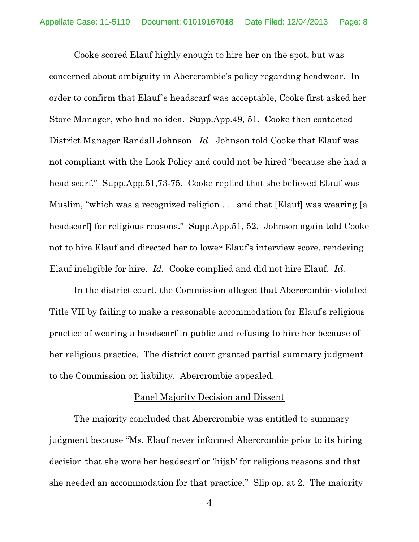Cooke scored Elauf highly enough to hire her on the spot, but was concerned about ambiguity in Abercrombie's policy regarding headwear. In order to confirm that Elauf's headscarf was acceptable, Cooke first asked her Store Manager, who had no idea. Supp.App.49, 51. Cooke then contacted District Manager Randall Johnson. *Id.* Johnson told Cooke that Elauf was not compliant with the Look Policy and could not be hired "because she had a head scarf." Supp.App.51,73-75. Cooke replied that she believed Elauf was Muslim, "which was a recognized religion . . . and that [Elauf] was wearing [a headscarf for religious reasons." Supp.App.51, 52. Johnson again told Cooke not to hire Elauf and directed her to lower Elauf's interview score, rendering Elauf ineligible for hire. *Id.* Cooke complied and did not hire Elauf. *Id.*

In the district court, the Commission alleged that Abercrombie violated Title VII by failing to make a reasonable accommodation for Elauf's religious practice of wearing a headscarf in public and refusing to hire her because of her religious practice. The district court granted partial summary judgment to the Commission on liability. Abercrombie appealed.

### Panel Majority Decision and Dissent

The majority concluded that Abercrombie was entitled to summary judgment because "Ms. Elauf never informed Abercrombie prior to its hiring decision that she wore her headscarf or 'hijab' for religious reasons and that she needed an accommodation for that practice." Slip op. at 2. The majority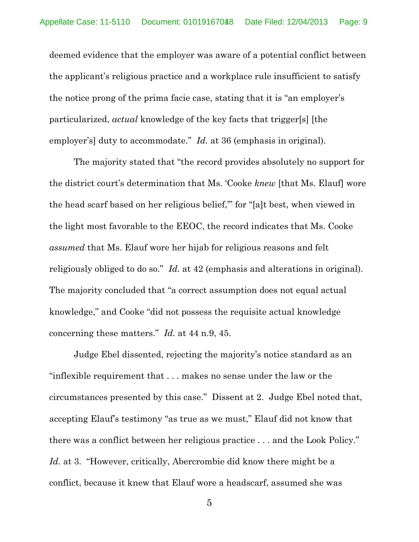deemed evidence that the employer was aware of a potential conflict between the applicant's religious practice and a workplace rule insufficient to satisfy the notice prong of the prima facie case, stating that it is "an employer's particularized, *actual* knowledge of the key facts that trigger[s] [the employer's] duty to accommodate." *Id.* at 36 (emphasis in original).

The majority stated that "the record provides absolutely no support for the district court's determination that Ms. 'Cooke *knew* [that Ms. Elauf] wore the head scarf based on her religious belief,'" for "[a]t best, when viewed in the light most favorable to the EEOC, the record indicates that Ms. Cooke *assumed* that Ms. Elauf wore her hijab for religious reasons and felt religiously obliged to do so." *Id.* at 42 (emphasis and alterations in original). The majority concluded that "a correct assumption does not equal actual knowledge," and Cooke "did not possess the requisite actual knowledge concerning these matters." *Id.* at 44 n.9, 45.

Judge Ebel dissented, rejecting the majority's notice standard as an "inflexible requirement that . . . makes no sense under the law or the circumstances presented by this case." Dissent at 2. Judge Ebel noted that, accepting Elauf's testimony "as true as we must," Elauf did not know that there was a conflict between her religious practice . . . and the Look Policy." *Id.* at 3. "However, critically, Abercrombie did know there might be a conflict, because it knew that Elauf wore a headscarf, assumed she was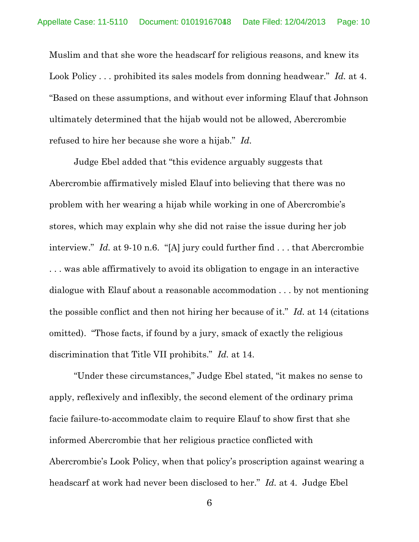Muslim and that she wore the headscarf for religious reasons, and knew its Look Policy . . . prohibited its sales models from donning headwear." *Id.* at 4. "Based on these assumptions, and without ever informing Elauf that Johnson ultimately determined that the hijab would not be allowed, Abercrombie refused to hire her because she wore a hijab." *Id.*

Judge Ebel added that "this evidence arguably suggests that Abercrombie affirmatively misled Elauf into believing that there was no problem with her wearing a hijab while working in one of Abercrombie's stores, which may explain why she did not raise the issue during her job interview." *Id.* at 9-10 n.6. "[A] jury could further find . . . that Abercrombie . . . was able affirmatively to avoid its obligation to engage in an interactive dialogue with Elauf about a reasonable accommodation . . . by not mentioning the possible conflict and then not hiring her because of it." *Id.* at 14 (citations omitted). "Those facts, if found by a jury, smack of exactly the religious discrimination that Title VII prohibits." *Id.* at 14.

"Under these circumstances," Judge Ebel stated, "it makes no sense to apply, reflexively and inflexibly, the second element of the ordinary prima facie failure-to-accommodate claim to require Elauf to show first that she informed Abercrombie that her religious practice conflicted with Abercrombie's Look Policy, when that policy's proscription against wearing a headscarf at work had never been disclosed to her." *Id.* at 4. Judge Ebel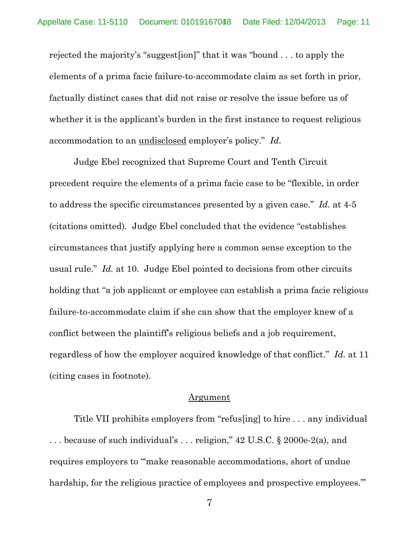rejected the majority's "suggest[ion]" that it was "bound . . . to apply the elements of a prima facie failure-to-accommodate claim as set forth in prior, factually distinct cases that did not raise or resolve the issue before us of whether it is the applicant's burden in the first instance to request religious accommodation to an undisclosed employer's policy." *Id.*

Judge Ebel recognized that Supreme Court and Tenth Circuit precedent require the elements of a prima facie case to be "flexible, in order to address the specific circumstances presented by a given case." *Id.* at 4-5 (citations omitted). Judge Ebel concluded that the evidence "establishes circumstances that justify applying here a common sense exception to the usual rule." *Id.* at 10. Judge Ebel pointed to decisions from other circuits holding that "a job applicant or employee can establish a prima facie religious failure-to-accommodate claim if she can show that the employer knew of a conflict between the plaintiff's religious beliefs and a job requirement, regardless of how the employer acquired knowledge of that conflict." *Id.* at 11 (citing cases in footnote).

#### Argument

Title VII prohibits employers from "refus[ing] to hire . . . any individual . . . because of such individual's . . . religion," 42 U.S.C. § 2000e-2(a), and requires employers to "'make reasonable accommodations, short of undue hardship, for the religious practice of employees and prospective employees.'"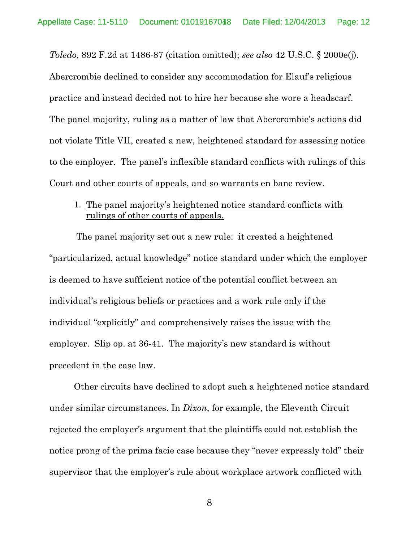*Toledo*, 892 F.2d at 1486-87 (citation omitted); *see also* 42 U.S.C. § 2000e(j). Abercrombie declined to consider any accommodation for Elauf's religious practice and instead decided not to hire her because she wore a headscarf. The panel majority, ruling as a matter of law that Abercrombie's actions did not violate Title VII, created a new, heightened standard for assessing notice to the employer. The panel's inflexible standard conflicts with rulings of this Court and other courts of appeals, and so warrants en banc review.

1. The panel majority's heightened notice standard conflicts with rulings of other courts of appeals.

The panel majority set out a new rule: it created a heightened "particularized, actual knowledge" notice standard under which the employer is deemed to have sufficient notice of the potential conflict between an individual's religious beliefs or practices and a work rule only if the individual "explicitly" and comprehensively raises the issue with the employer. Slip op. at 36-41. The majority's new standard is without precedent in the case law.

Other circuits have declined to adopt such a heightened notice standard under similar circumstances. In *Dixon*, for example, the Eleventh Circuit rejected the employer's argument that the plaintiffs could not establish the notice prong of the prima facie case because they "never expressly told" their supervisor that the employer's rule about workplace artwork conflicted with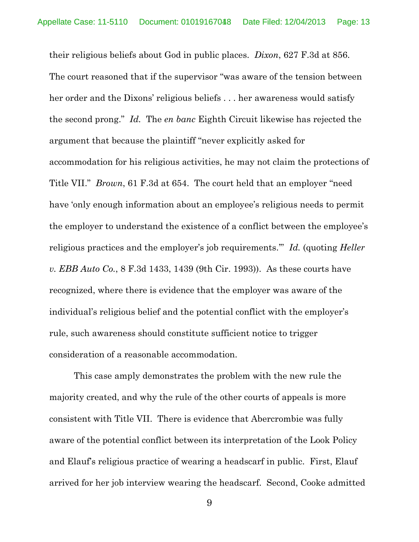their religious beliefs about God in public places. *Dixon*, 627 F.3d at 856. The court reasoned that if the supervisor "was aware of the tension between her order and the Dixons' religious beliefs . . . her awareness would satisfy the second prong." *Id.* The *en banc* Eighth Circuit likewise has rejected the argument that because the plaintiff "never explicitly asked for accommodation for his religious activities, he may not claim the protections of Title VII." *Brown*, 61 F.3d at 654. The court held that an employer "need have 'only enough information about an employee's religious needs to permit the employer to understand the existence of a conflict between the employee's religious practices and the employer's job requirements.'" *Id.* (quoting *Heller v. EBB Auto Co.*, 8 F.3d 1433, 1439 (9th Cir. 1993)). As these courts have recognized, where there is evidence that the employer was aware of the individual's religious belief and the potential conflict with the employer's rule, such awareness should constitute sufficient notice to trigger consideration of a reasonable accommodation.

This case amply demonstrates the problem with the new rule the majority created, and why the rule of the other courts of appeals is more consistent with Title VII. There is evidence that Abercrombie was fully aware of the potential conflict between its interpretation of the Look Policy and Elauf's religious practice of wearing a headscarf in public. First, Elauf arrived for her job interview wearing the headscarf. Second, Cooke admitted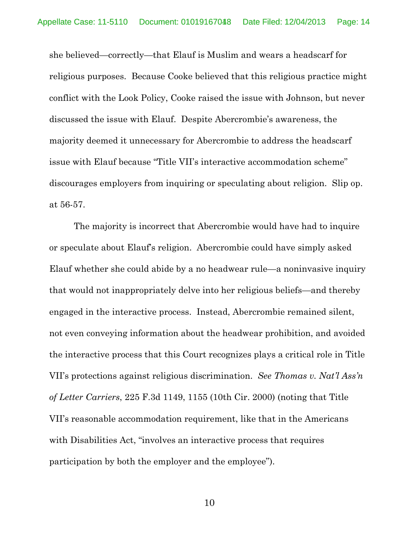she believed—correctly—that Elauf is Muslim and wears a headscarf for religious purposes. Because Cooke believed that this religious practice might conflict with the Look Policy, Cooke raised the issue with Johnson, but never discussed the issue with Elauf. Despite Abercrombie's awareness, the majority deemed it unnecessary for Abercrombie to address the headscarf issue with Elauf because "Title VII's interactive accommodation scheme" discourages employers from inquiring or speculating about religion. Slip op. at 56-57.

The majority is incorrect that Abercrombie would have had to inquire or speculate about Elauf's religion. Abercrombie could have simply asked Elauf whether she could abide by a no headwear rule—a noninvasive inquiry that would not inappropriately delve into her religious beliefs—and thereby engaged in the interactive process. Instead, Abercrombie remained silent, not even conveying information about the headwear prohibition, and avoided the interactive process that this Court recognizes plays a critical role in Title VII's protections against religious discrimination. *See Thomas v. Nat'l Ass'n of Letter Carriers*, 225 F.3d 1149, 1155 (10th Cir. 2000) (noting that Title VII's reasonable accommodation requirement, like that in the Americans with Disabilities Act, "involves an interactive process that requires participation by both the employer and the employee").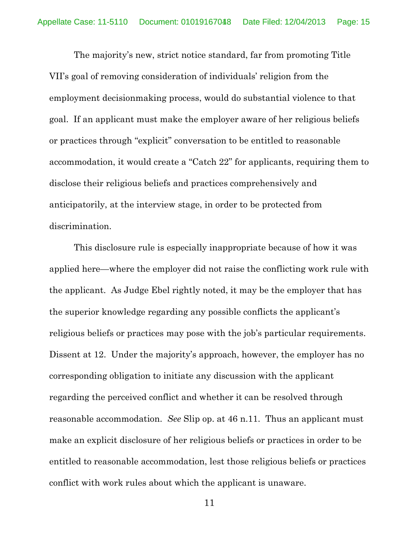The majority's new, strict notice standard, far from promoting Title VII's goal of removing consideration of individuals' religion from the employment decisionmaking process, would do substantial violence to that goal. If an applicant must make the employer aware of her religious beliefs or practices through "explicit" conversation to be entitled to reasonable accommodation, it would create a "Catch 22" for applicants, requiring them to disclose their religious beliefs and practices comprehensively and anticipatorily, at the interview stage, in order to be protected from discrimination.

This disclosure rule is especially inappropriate because of how it was applied here—where the employer did not raise the conflicting work rule with the applicant. As Judge Ebel rightly noted, it may be the employer that has the superior knowledge regarding any possible conflicts the applicant's religious beliefs or practices may pose with the job's particular requirements. Dissent at 12. Under the majority's approach, however, the employer has no corresponding obligation to initiate any discussion with the applicant regarding the perceived conflict and whether it can be resolved through reasonable accommodation. *See* Slip op. at 46 n.11. Thus an applicant must make an explicit disclosure of her religious beliefs or practices in order to be entitled to reasonable accommodation, lest those religious beliefs or practices conflict with work rules about which the applicant is unaware.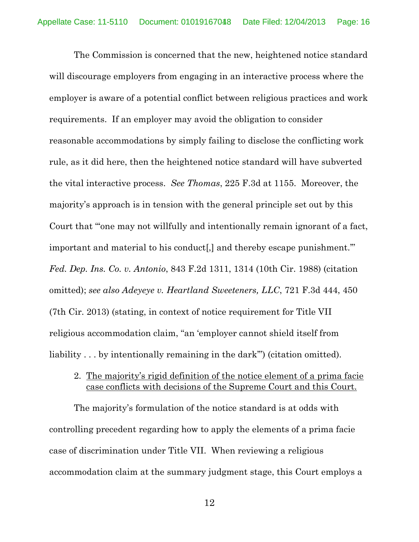The Commission is concerned that the new, heightened notice standard will discourage employers from engaging in an interactive process where the employer is aware of a potential conflict between religious practices and work requirements. If an employer may avoid the obligation to consider reasonable accommodations by simply failing to disclose the conflicting work rule, as it did here, then the heightened notice standard will have subverted the vital interactive process. *See Thomas*, 225 F.3d at 1155. Moreover, the majority's approach is in tension with the general principle set out by this Court that "'one may not willfully and intentionally remain ignorant of a fact, important and material to his conduct[,] and thereby escape punishment.'" *Fed. Dep. Ins. Co. v. Antonio*, 843 F.2d 1311, 1314 (10th Cir. 1988) (citation omitted); *see also Adeyeye v. Heartland Sweeteners, LLC*, 721 F.3d 444, 450 (7th Cir. 2013) (stating, in context of notice requirement for Title VII religious accommodation claim, "an 'employer cannot shield itself from liability . . . by intentionally remaining in the dark"' (citation omitted).

# 2. The majority's rigid definition of the notice element of a prima facie case conflicts with decisions of the Supreme Court and this Court.

The majority's formulation of the notice standard is at odds with controlling precedent regarding how to apply the elements of a prima facie case of discrimination under Title VII. When reviewing a religious accommodation claim at the summary judgment stage, this Court employs a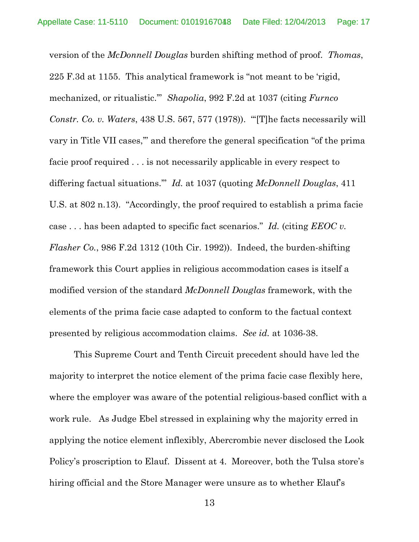version of the *McDonnell Douglas* burden shifting method of proof. *Thomas*, 225 F.3d at 1155. This analytical framework is "not meant to be 'rigid, mechanized, or ritualistic.'" *Shapolia*, 992 F.2d at 1037 (citing *Furnco Constr. Co. v. Waters*, 438 U.S. 567, 577 (1978)). "'[T]he facts necessarily will vary in Title VII cases,'" and therefore the general specification "of the prima facie proof required . . . is not necessarily applicable in every respect to differing factual situations.'" *Id.* at 1037 (quoting *McDonnell Douglas*, 411 U.S. at 802 n.13). "Accordingly, the proof required to establish a prima facie case . . . has been adapted to specific fact scenarios." *Id.* (citing *EEOC v. Flasher Co.*, 986 F.2d 1312 (10th Cir. 1992)). Indeed, the burden-shifting framework this Court applies in religious accommodation cases is itself a modified version of the standard *McDonnell Douglas* framework, with the elements of the prima facie case adapted to conform to the factual context presented by religious accommodation claims. *See id.* at 1036-38.

This Supreme Court and Tenth Circuit precedent should have led the majority to interpret the notice element of the prima facie case flexibly here, where the employer was aware of the potential religious-based conflict with a work rule. As Judge Ebel stressed in explaining why the majority erred in applying the notice element inflexibly, Abercrombie never disclosed the Look Policy's proscription to Elauf. Dissent at 4. Moreover, both the Tulsa store's hiring official and the Store Manager were unsure as to whether Elauf's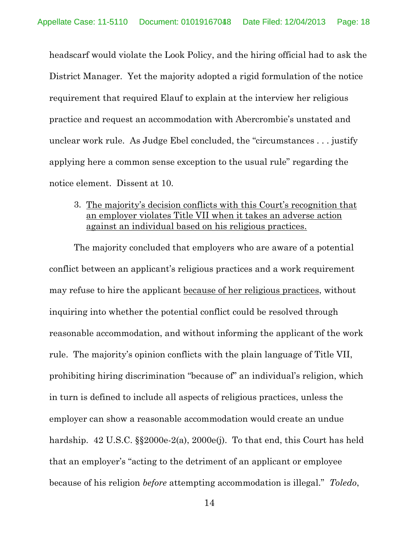headscarf would violate the Look Policy, and the hiring official had to ask the District Manager. Yet the majority adopted a rigid formulation of the notice requirement that required Elauf to explain at the interview her religious practice and request an accommodation with Abercrombie's unstated and unclear work rule. As Judge Ebel concluded, the "circumstances . . . justify applying here a common sense exception to the usual rule" regarding the notice element. Dissent at 10.

3. The majority's decision conflicts with this Court's recognition that an employer violates Title VII when it takes an adverse action against an individual based on his religious practices.

The majority concluded that employers who are aware of a potential conflict between an applicant's religious practices and a work requirement may refuse to hire the applicant because of her religious practices, without inquiring into whether the potential conflict could be resolved through reasonable accommodation, and without informing the applicant of the work rule. The majority's opinion conflicts with the plain language of Title VII, prohibiting hiring discrimination "because of" an individual's religion, which in turn is defined to include all aspects of religious practices, unless the employer can show a reasonable accommodation would create an undue hardship. 42 U.S.C.  $\S$ 2000e-2(a), 2000e(j). To that end, this Court has held that an employer's "acting to the detriment of an applicant or employee because of his religion *before* attempting accommodation is illegal." *Toledo*,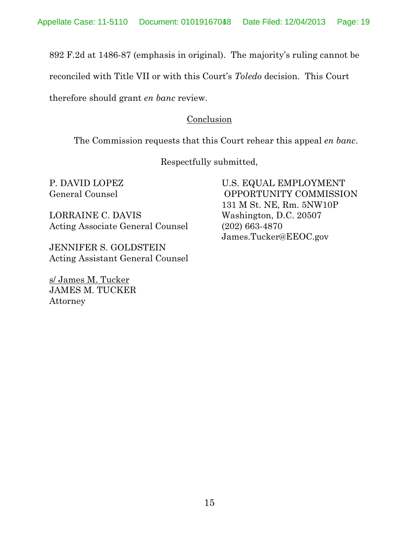892 F.2d at 1486-87 (emphasis in original). The majority's ruling cannot be

reconciled with Title VII or with this Court's *Toledo* decision. This Court

therefore should grant *en banc* review.

# Conclusion

The Commission requests that this Court rehear this appeal *en banc*.

Respectfully submitted,

LORRAINE C. DAVIS Washington, D.C. 20507 Acting Associate General Counsel (202) 663-4870

JENNIFER S. GOLDSTEIN Acting Assistant General Counsel

JAMES M. TUCKER s/ James M. Tucker Attorney

P. DAVID LOPEZ U.S. EQUAL EMPLOYMENT General Counsel **COUNSER COMMISSION** 131 M St. NE, Rm. 5NW10P James.Tucker@EEOC.gov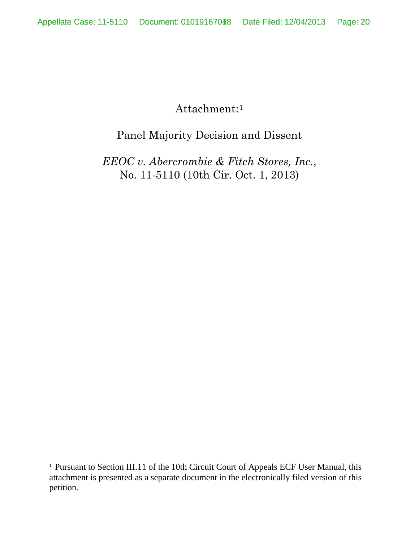Attachment:[1](#page-19-0)

# Panel Majority Decision and Dissent

*EEOC v. Abercrombie & Fitch Stores, Inc.*, No. 11-5110 (10th Cir. Oct. 1, 2013)

<span id="page-19-0"></span> $\overline{1}$ <sup>1</sup> Pursuant to Section III.11 of the 10th Circuit Court of Appeals ECF User Manual, this attachment is presented as a separate document in the electronically filed version of this petition.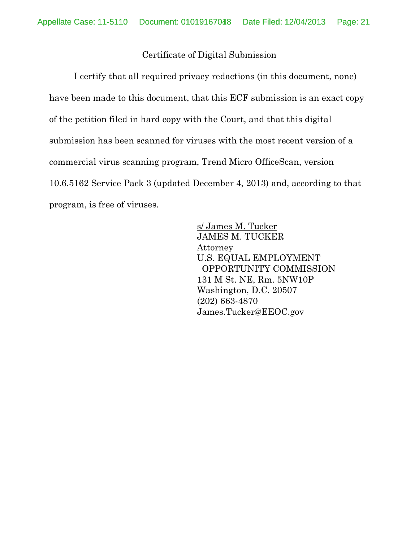# Certificate of Digital Submission

I certify that all required privacy redactions (in this document, none) have been made to this document, that this ECF submission is an exact copy of the petition filed in hard copy with the Court, and that this digital submission has been scanned for viruses with the most recent version of a commercial virus scanning program, Trend Micro OfficeScan, version 10.6.5162 Service Pack 3 (updated December 4, 2013) and, according to that program, is free of viruses.

> JAMES M. TUCKER s/ James M. Tucker Attorney U.S. EQUAL EMPLOYMENT OPPORTUNITY COMMISSION 131 M St. NE, Rm. 5NW10P Washington, D.C. 20507 (202) 663-4870 James.Tucker@EEOC.gov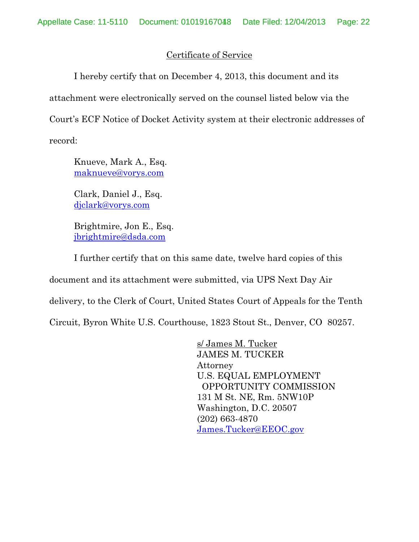# Certificate of Service

I hereby certify that on December 4, 2013, this document and its attachment were electronically served on the counsel listed below via the Court's ECF Notice of Docket Activity system at their electronic addresses of record:

Knueve, Mark A., Esq. [maknueve@vorys.com](mailto:maknueve@vorys.com)

Clark, Daniel J., Esq. [djclark@vorys.com](mailto:djclark@vorys.com)

Brightmire, Jon E., Esq. [jbrightmire@dsda.com](mailto:jbrightmire@dsda.com)

I further certify that on this same date, twelve hard copies of this

document and its attachment were submitted, via UPS Next Day Air

delivery, to the Clerk of Court, United States Court of Appeals for the Tenth

Circuit, Byron White U.S. Courthouse, 1823 Stout St., Denver, CO 80257.

JAMES M. TUCKER s/ James M. Tucker Attorney U.S. EQUAL EMPLOYMENT OPPORTUNITY COMMISSION 131 M St. NE, Rm. 5NW10P Washington, D.C. 20507 (202) 663-4870 [James.Tucker@EEOC.gov](mailto:James.Tucker@EEOC.gov)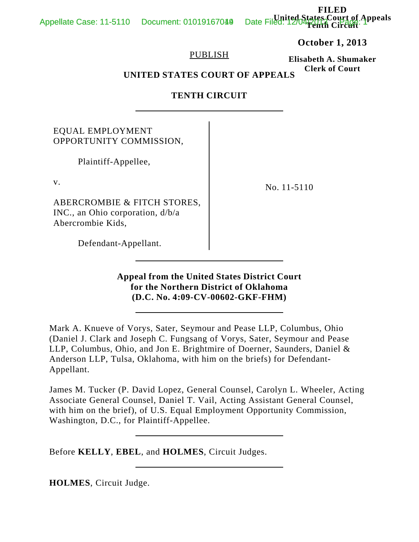Date Filed: 1200 Etates Court of Appeals **Tenth Circuit**

## **October 1, 2013**

**FILED**

#### PUBLISH

**Elisabeth A. Shumaker Clerk of Court**

**UNITED STATES COURT OF APPEALS**

## **TENTH CIRCUIT**

# EQUAL EMPLOYMENT OPPORTUNITY COMMISSION,

Plaintiff-Appellee,

v.

ABERCROMBIE & FITCH STORES, INC., an Ohio corporation, d/b/a Abercrombie Kids,

No. 11-5110

Defendant-Appellant.

## **Appeal from the United States District Court for the Northern District of Oklahoma (D.C. No. 4:09-CV-00602-GKF-FHM)**

Mark A. Knueve of Vorys, Sater, Seymour and Pease LLP, Columbus, Ohio (Daniel J. Clark and Joseph C. Fungsang of Vorys, Sater, Seymour and Pease LLP, Columbus, Ohio, and Jon E. Brightmire of Doerner, Saunders, Daniel & Anderson LLP, Tulsa, Oklahoma, with him on the briefs) for Defendant-Appellant.

James M. Tucker (P. David Lopez, General Counsel, Carolyn L. Wheeler, Acting Associate General Counsel, Daniel T. Vail, Acting Assistant General Counsel, with him on the brief), of U.S. Equal Employment Opportunity Commission, Washington, D.C., for Plaintiff-Appellee.

Before **KELLY**, **EBEL**, and **HOLMES**, Circuit Judges.

**HOLMES**, Circuit Judge.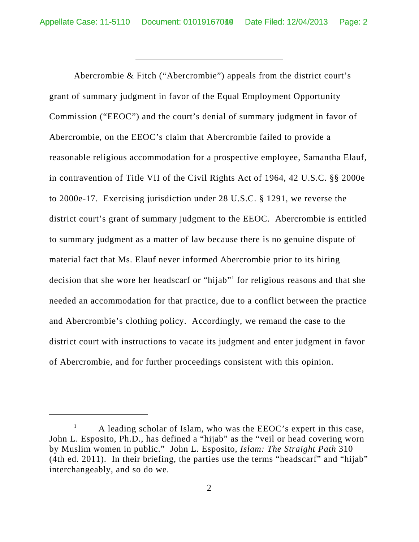Abercrombie & Fitch ("Abercrombie") appeals from the district court's grant of summary judgment in favor of the Equal Employment Opportunity Commission ("EEOC") and the court's denial of summary judgment in favor of Abercrombie, on the EEOC's claim that Abercrombie failed to provide a reasonable religious accommodation for a prospective employee, Samantha Elauf, in contravention of Title VII of the Civil Rights Act of 1964, 42 U.S.C. §§ 2000e to 2000e-17. Exercising jurisdiction under 28 U.S.C. § 1291, we reverse the district court's grant of summary judgment to the EEOC. Abercrombie is entitled to summary judgment as a matter of law because there is no genuine dispute of material fact that Ms. Elauf never informed Abercrombie prior to its hiring decision that she wore her headscarf or "hijab"<sup>1</sup> for religious reasons and that she needed an accommodation for that practice, due to a conflict between the practice and Abercrombie's clothing policy. Accordingly, we remand the case to the district court with instructions to vacate its judgment and enter judgment in favor of Abercrombie, and for further proceedings consistent with this opinion.

 $1$  A leading scholar of Islam, who was the EEOC's expert in this case, John L. Esposito, Ph.D., has defined a "hijab" as the "veil or head covering worn by Muslim women in public." John L. Esposito, *Islam: The Straight Path* 310 (4th ed. 2011). In their briefing, the parties use the terms "headscarf" and "hijab" interchangeably, and so do we.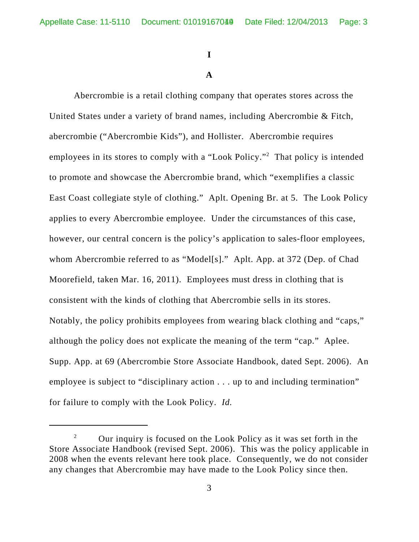# **I**

## **A**

Abercrombie is a retail clothing company that operates stores across the United States under a variety of brand names, including Abercrombie & Fitch, abercrombie ("Abercrombie Kids"), and Hollister. Abercrombie requires employees in its stores to comply with a "Look Policy."<sup>2</sup> That policy is intended to promote and showcase the Abercrombie brand, which "exemplifies a classic East Coast collegiate style of clothing." Aplt. Opening Br. at 5. The Look Policy applies to every Abercrombie employee. Under the circumstances of this case, however, our central concern is the policy's application to sales-floor employees, whom Abercrombie referred to as "Model[s]." Aplt. App. at 372 (Dep. of Chad Moorefield, taken Mar. 16, 2011). Employees must dress in clothing that is consistent with the kinds of clothing that Abercrombie sells in its stores. Notably, the policy prohibits employees from wearing black clothing and "caps," although the policy does not explicate the meaning of the term "cap."Aplee. Supp. App. at 69 (Abercrombie Store Associate Handbook, dated Sept. 2006). An employee is subject to "disciplinary action . . . up to and including termination" for failure to comply with the Look Policy. *Id.*

<sup>&</sup>lt;sup>2</sup> Our inquiry is focused on the Look Policy as it was set forth in the Store Associate Handbook (revised Sept. 2006). This was the policy applicable in 2008 when the events relevant here took place. Consequently, we do not consider any changes that Abercrombie may have made to the Look Policy since then.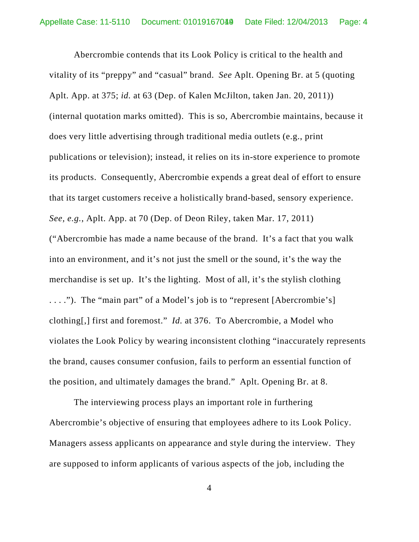Abercrombie contends that its Look Policy is critical to the health and vitality of its "preppy" and "casual" brand. *See* Aplt. Opening Br. at 5 (quoting Aplt. App. at 375; *id.* at 63 (Dep. of Kalen McJilton, taken Jan. 20, 2011)) (internal quotation marks omitted). This is so, Abercrombie maintains, because it does very little advertising through traditional media outlets (e.g., print publications or television); instead, it relies on its in-store experience to promote its products. Consequently, Abercrombie expends a great deal of effort to ensure that its target customers receive a holistically brand-based, sensory experience. *See, e.g.*, Aplt. App. at 70 (Dep. of Deon Riley, taken Mar. 17, 2011) ("Abercrombie has made a name because of the brand. It's a fact that you walk into an environment, and it's not just the smell or the sound, it's the way the merchandise is set up. It's the lighting. Most of all, it's the stylish clothing . . . ."). The "main part" of a Model's job is to "represent [Abercrombie's] clothing[,] first and foremost." *Id.* at 376. To Abercrombie, a Model who violates the Look Policy by wearing inconsistent clothing "inaccurately represents the brand, causes consumer confusion, fails to perform an essential function of the position, and ultimately damages the brand." Aplt. Opening Br. at 8.

The interviewing process plays an important role in furthering Abercrombie's objective of ensuring that employees adhere to its Look Policy. Managers assess applicants on appearance and style during the interview. They are supposed to inform applicants of various aspects of the job, including the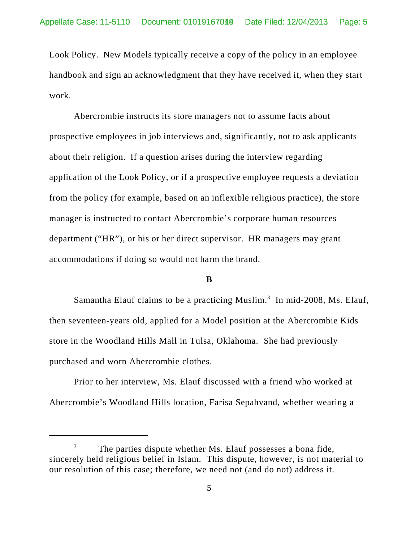Look Policy. New Models typically receive a copy of the policy in an employee handbook and sign an acknowledgment that they have received it, when they start work.

Abercrombie instructs its store managers not to assume facts about prospective employees in job interviews and, significantly, not to ask applicants about their religion. If a question arises during the interview regarding application of the Look Policy, or if a prospective employee requests a deviation from the policy (for example, based on an inflexible religious practice), the store manager is instructed to contact Abercrombie's corporate human resources department ("HR"), or his or her direct supervisor. HR managers may grant accommodations if doing so would not harm the brand.

### **B**

Samantha Elauf claims to be a practicing Muslim.<sup>3</sup> In mid-2008, Ms. Elauf, then seventeen-years old, applied for a Model position at the Abercrombie Kids store in the Woodland Hills Mall in Tulsa, Oklahoma. She had previously purchased and worn Abercrombie clothes.

Prior to her interview, Ms. Elauf discussed with a friend who worked at Abercrombie's Woodland Hills location, Farisa Sepahvand, whether wearing a

The parties dispute whether Ms. Elauf possesses a bona fide, sincerely held religious belief in Islam. This dispute, however, is not material to our resolution of this case; therefore, we need not (and do not) address it.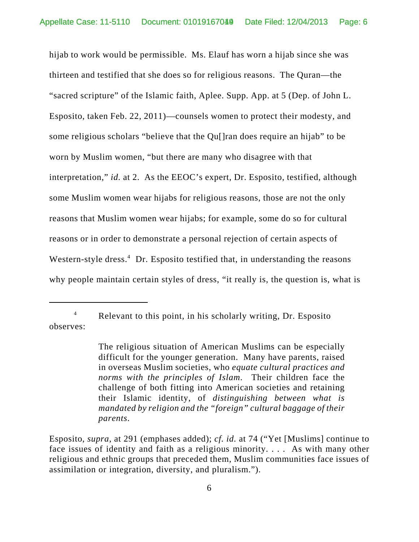hijab to work would be permissible. Ms. Elauf has worn a hijab since she was thirteen and testified that she does so for religious reasons. The Quran—the "sacred scripture" of the Islamic faith, Aplee. Supp. App. at 5 (Dep. of John L. Esposito, taken Feb. 22, 2011)—counsels women to protect their modesty, and some religious scholars "believe that the Qu[]ran does require an hijab" to be worn by Muslim women, "but there are many who disagree with that interpretation," *id.* at 2. As the EEOC's expert, Dr. Esposito, testified, although some Muslim women wear hijabs for religious reasons, those are not the only reasons that Muslim women wear hijabs; for example, some do so for cultural reasons or in order to demonstrate a personal rejection of certain aspects of Western-style dress.<sup>4</sup> Dr. Esposito testified that, in understanding the reasons why people maintain certain styles of dress, "it really is, the question is, what is

<sup>4</sup> Relevant to this point, in his scholarly writing, Dr. Esposito observes:

The religious situation of American Muslims can be especially difficult for the younger generation. Many have parents, raised in overseas Muslim societies, who *equate cultural practices and norms with the principles of Islam*. Their children face the challenge of both fitting into American societies and retaining their Islamic identity, of *distinguishing between what is mandated by religion and the "foreign" cultural baggage of their parents*.

Esposito, *supra*, at 291 (emphases added); *cf. id.* at 74 ("Yet [Muslims] continue to face issues of identity and faith as a religious minority. . . . As with many other religious and ethnic groups that preceded them, Muslim communities face issues of assimilation or integration, diversity, and pluralism.").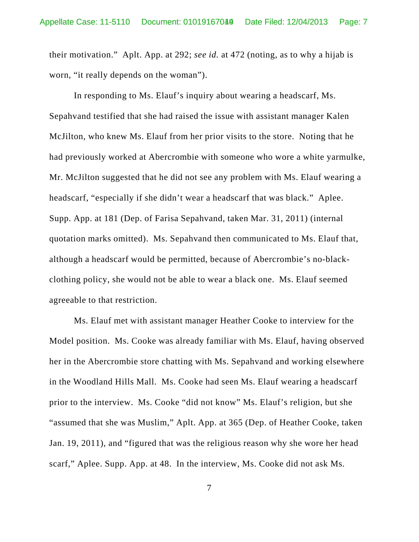their motivation." Aplt. App. at 292; *see id.* at 472 (noting, as to why a hijab is worn, "it really depends on the woman").

In responding to Ms. Elauf's inquiry about wearing a headscarf, Ms. Sepahvand testified that she had raised the issue with assistant manager Kalen McJilton, who knew Ms. Elauf from her prior visits to the store. Noting that he had previously worked at Abercrombie with someone who wore a white yarmulke, Mr. McJilton suggested that he did not see any problem with Ms. Elauf wearing a headscarf, "especially if she didn't wear a headscarf that was black." Aplee. Supp. App. at 181 (Dep. of Farisa Sepahvand, taken Mar. 31, 2011) (internal quotation marks omitted). Ms. Sepahvand then communicated to Ms. Elauf that, although a headscarf would be permitted, because of Abercrombie's no-blackclothing policy, she would not be able to wear a black one. Ms. Elauf seemed agreeable to that restriction.

Ms. Elauf met with assistant manager Heather Cooke to interview for the Model position. Ms. Cooke was already familiar with Ms. Elauf, having observed her in the Abercrombie store chatting with Ms. Sepahvand and working elsewhere in the Woodland Hills Mall. Ms. Cooke had seen Ms. Elauf wearing a headscarf prior to the interview. Ms. Cooke "did not know" Ms. Elauf's religion, but she "assumed that she was Muslim," Aplt. App. at 365 (Dep. of Heather Cooke, taken Jan. 19, 2011), and "figured that was the religious reason why she wore her head scarf," Aplee. Supp. App. at 48. In the interview, Ms. Cooke did not ask Ms.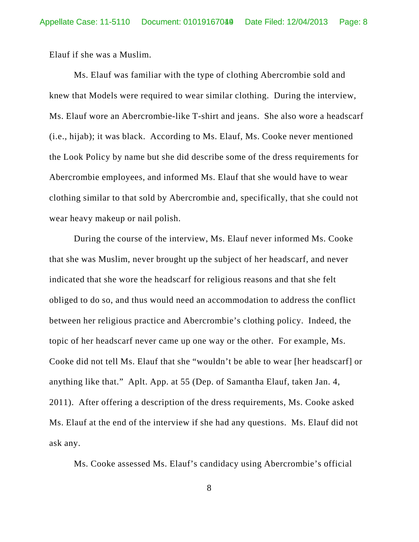Elauf if she was a Muslim.

Ms. Elauf was familiar with the type of clothing Abercrombie sold and knew that Models were required to wear similar clothing. During the interview, Ms. Elauf wore an Abercrombie-like T-shirt and jeans. She also wore a headscarf (i.e., hijab); it was black. According to Ms. Elauf, Ms. Cooke never mentioned the Look Policy by name but she did describe some of the dress requirements for Abercrombie employees, and informed Ms. Elauf that she would have to wear clothing similar to that sold by Abercrombie and, specifically, that she could not wear heavy makeup or nail polish.

During the course of the interview, Ms. Elauf never informed Ms. Cooke that she was Muslim, never brought up the subject of her headscarf, and never indicated that she wore the headscarf for religious reasons and that she felt obliged to do so, and thus would need an accommodation to address the conflict between her religious practice and Abercrombie's clothing policy. Indeed, the topic of her headscarf never came up one way or the other. For example, Ms. Cooke did not tell Ms. Elauf that she "wouldn't be able to wear [her headscarf] or anything like that." Aplt. App. at 55 (Dep. of Samantha Elauf, taken Jan. 4, 2011). After offering a description of the dress requirements, Ms. Cooke asked Ms. Elauf at the end of the interview if she had any questions. Ms. Elauf did not ask any.

Ms. Cooke assessed Ms. Elauf's candidacy using Abercrombie's official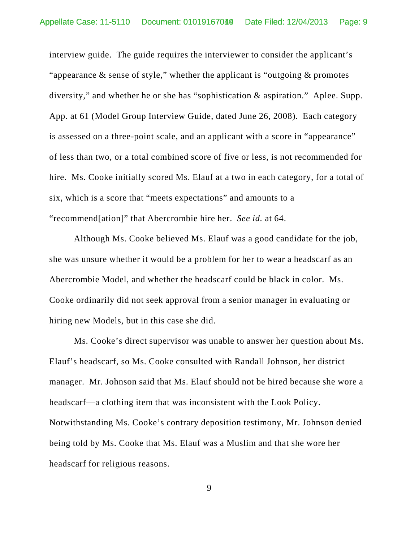interview guide. The guide requires the interviewer to consider the applicant's "appearance  $\&$  sense of style," whether the applicant is "outgoing  $\&$  promotes diversity," and whether he or she has "sophistication & aspiration." Aplee. Supp. App. at 61 (Model Group Interview Guide, dated June 26, 2008). Each category is assessed on a three-point scale, and an applicant with a score in "appearance" of less than two, or a total combined score of five or less, is not recommended for hire. Ms. Cooke initially scored Ms. Elauf at a two in each category, for a total of six, which is a score that "meets expectations" and amounts to a "recommend[ation]" that Abercrombie hire her. *See id.* at 64.

Although Ms. Cooke believed Ms. Elauf was a good candidate for the job, she was unsure whether it would be a problem for her to wear a headscarf as an Abercrombie Model, and whether the headscarf could be black in color. Ms. Cooke ordinarily did not seek approval from a senior manager in evaluating or hiring new Models, but in this case she did.

Ms. Cooke's direct supervisor was unable to answer her question about Ms. Elauf's headscarf, so Ms. Cooke consulted with Randall Johnson, her district manager. Mr. Johnson said that Ms. Elauf should not be hired because she wore a headscarf—a clothing item that was inconsistent with the Look Policy. Notwithstanding Ms. Cooke's contrary deposition testimony, Mr. Johnson denied being told by Ms. Cooke that Ms. Elauf was a Muslim and that she wore her headscarf for religious reasons.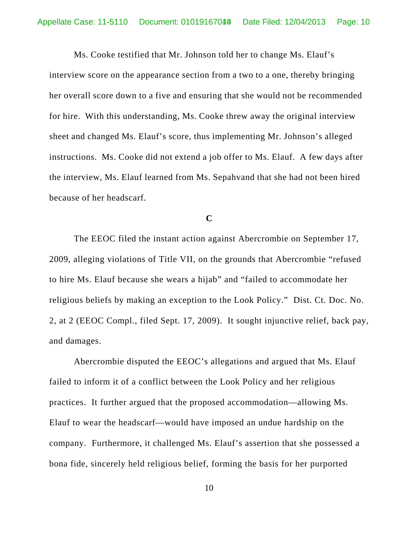Ms. Cooke testified that Mr. Johnson told her to change Ms. Elauf's interview score on the appearance section from a two to a one, thereby bringing her overall score down to a five and ensuring that she would not be recommended for hire. With this understanding, Ms. Cooke threw away the original interview sheet and changed Ms. Elauf's score, thus implementing Mr. Johnson's alleged instructions. Ms. Cooke did not extend a job offer to Ms. Elauf. A few days after the interview, Ms. Elauf learned from Ms. Sepahvand that she had not been hired because of her headscarf.

**C**

The EEOC filed the instant action against Abercrombie on September 17, 2009, alleging violations of Title VII, on the grounds that Abercrombie "refused to hire Ms. Elauf because she wears a hijab" and "failed to accommodate her religious beliefs by making an exception to the Look Policy." Dist. Ct. Doc. No. 2, at 2 (EEOC Compl., filed Sept. 17, 2009). It sought injunctive relief, back pay, and damages.

Abercrombie disputed the EEOC's allegations and argued that Ms. Elauf failed to inform it of a conflict between the Look Policy and her religious practices. It further argued that the proposed accommodation—allowing Ms. Elauf to wear the headscarf—would have imposed an undue hardship on the company. Furthermore, it challenged Ms. Elauf's assertion that she possessed a bona fide, sincerely held religious belief, forming the basis for her purported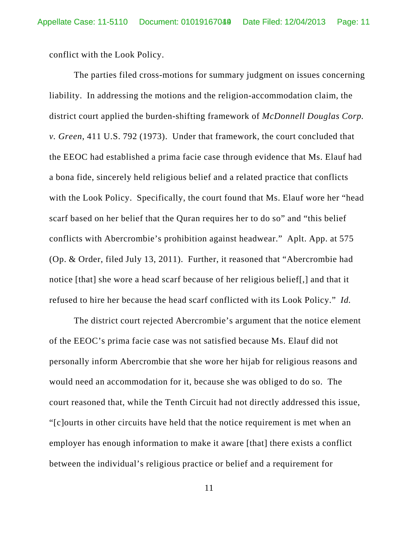conflict with the Look Policy.

The parties filed cross-motions for summary judgment on issues concerning liability. In addressing the motions and the religion-accommodation claim, the district court applied the burden-shifting framework of *McDonnell Douglas Corp. v. Green*, 411 U.S. 792 (1973). Under that framework, the court concluded that the EEOC had established a prima facie case through evidence that Ms. Elauf had a bona fide, sincerely held religious belief and a related practice that conflicts with the Look Policy. Specifically, the court found that Ms. Elauf wore her "head scarf based on her belief that the Quran requires her to do so" and "this belief conflicts with Abercrombie's prohibition against headwear." Aplt. App. at 575 (Op. & Order, filed July 13, 2011). Further, it reasoned that "Abercrombie had notice [that] she wore a head scarf because of her religious belief[,] and that it refused to hire her because the head scarf conflicted with its Look Policy." *Id.*

The district court rejected Abercrombie's argument that the notice element of the EEOC's prima facie case was not satisfied because Ms. Elauf did not personally inform Abercrombie that she wore her hijab for religious reasons and would need an accommodation for it, because she was obliged to do so. The court reasoned that, while the Tenth Circuit had not directly addressed this issue, "[c]ourts in other circuits have held that the notice requirement is met when an employer has enough information to make it aware [that] there exists a conflict between the individual's religious practice or belief and a requirement for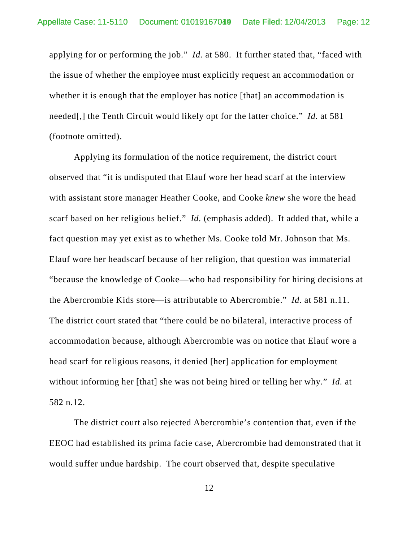applying for or performing the job." *Id.* at 580. It further stated that, "faced with the issue of whether the employee must explicitly request an accommodation or whether it is enough that the employer has notice [that] an accommodation is needed[,] the Tenth Circuit would likely opt for the latter choice." *Id.* at 581 (footnote omitted).

Applying its formulation of the notice requirement, the district court observed that "it is undisputed that Elauf wore her head scarf at the interview with assistant store manager Heather Cooke, and Cooke *knew* she wore the head scarf based on her religious belief." *Id.* (emphasis added). It added that, while a fact question may yet exist as to whether Ms. Cooke told Mr. Johnson that Ms. Elauf wore her headscarf because of her religion, that question was immaterial "because the knowledge of Cooke—who had responsibility for hiring decisions at the Abercrombie Kids store—is attributable to Abercrombie." *Id.* at 581 n.11. The district court stated that "there could be no bilateral, interactive process of accommodation because, although Abercrombie was on notice that Elauf wore a head scarf for religious reasons, it denied [her] application for employment without informing her [that] she was not being hired or telling her why." *Id.* at 582 n.12.

The district court also rejected Abercrombie's contention that, even if the EEOC had established its prima facie case, Abercrombie had demonstrated that it would suffer undue hardship. The court observed that, despite speculative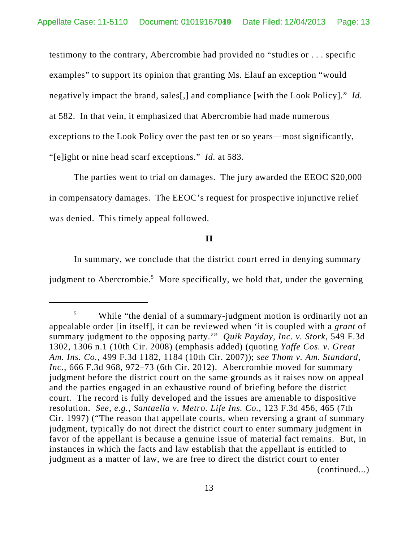testimony to the contrary, Abercrombie had provided no "studies or . . . specific examples" to support its opinion that granting Ms. Elauf an exception "would negatively impact the brand, sales[,] and compliance [with the Look Policy]." *Id.* at 582. In that vein, it emphasized that Abercrombie had made numerous exceptions to the Look Policy over the past ten or so years—most significantly, "[e]ight or nine head scarf exceptions." *Id.* at 583.

The parties went to trial on damages. The jury awarded the EEOC \$20,000 in compensatory damages. The EEOC's request for prospective injunctive relief was denied. This timely appeal followed.

## **II**

In summary, we conclude that the district court erred in denying summary judgment to Abercrombie.<sup>5</sup> More specifically, we hold that, under the governing

<sup>&</sup>lt;sup>5</sup> While "the denial of a summary-judgment motion is ordinarily not an appealable order [in itself], it can be reviewed when 'it is coupled with a *grant* of summary judgment to the opposing party.'" *Quik Payday, Inc. v. Stork*, 549 F.3d 1302, 1306 n.1 (10th Cir. 2008) (emphasis added) (quoting *Yaffe Cos. v. Great Am. Ins. Co.*, 499 F.3d 1182, 1184 (10th Cir. 2007)); *see Thom v. Am. Standard, Inc.*, 666 F.3d 968, 972–73 (6th Cir. 2012). Abercrombie moved for summary judgment before the district court on the same grounds as it raises now on appeal and the parties engaged in an exhaustive round of briefing before the district court. The record is fully developed and the issues are amenable to dispositive resolution. *See, e.g.*, *Santaella v. Metro. Life Ins. Co.*, 123 F.3d 456, 465 (7th Cir. 1997) ("The reason that appellate courts, when reversing a grant of summary judgment, typically do not direct the district court to enter summary judgment in favor of the appellant is because a genuine issue of material fact remains. But, in instances in which the facts and law establish that the appellant is entitled to judgment as a matter of law, we are free to direct the district court to enter (continued...)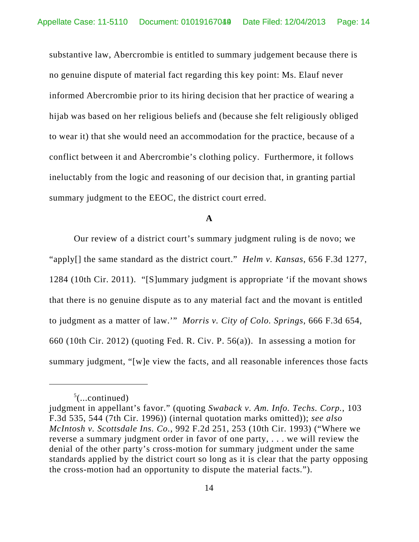substantive law, Abercrombie is entitled to summary judgement because there is no genuine dispute of material fact regarding this key point: Ms. Elauf never informed Abercrombie prior to its hiring decision that her practice of wearing a hijab was based on her religious beliefs and (because she felt religiously obliged to wear it) that she would need an accommodation for the practice, because of a conflict between it and Abercrombie's clothing policy. Furthermore, it follows ineluctably from the logic and reasoning of our decision that, in granting partial summary judgment to the EEOC, the district court erred.

#### **A**

Our review of a district court's summary judgment ruling is de novo; we "apply[] the same standard as the district court." *Helm v. Kansas*, 656 F.3d 1277, 1284 (10th Cir. 2011). "[S]ummary judgment is appropriate 'if the movant shows that there is no genuine dispute as to any material fact and the movant is entitled to judgment as a matter of law.'" *Morris v. City of Colo. Springs*, 666 F.3d 654, 660 (10th Cir. 2012) (quoting Fed. R. Civ. P. 56(a)). In assessing a motion for summary judgment, "[w]e view the facts, and all reasonable inferences those facts

 $5$ (...continued)

judgment in appellant's favor." (quoting *Swaback v. Am. Info. Techs. Corp.*, 103 F.3d 535, 544 (7th Cir. 1996)) (internal quotation marks omitted)); *see also McIntosh v. Scottsdale Ins. Co.*, 992 F.2d 251, 253 (10th Cir. 1993) ("Where we reverse a summary judgment order in favor of one party, . . . we will review the denial of the other party's cross-motion for summary judgment under the same standards applied by the district court so long as it is clear that the party opposing the cross-motion had an opportunity to dispute the material facts.").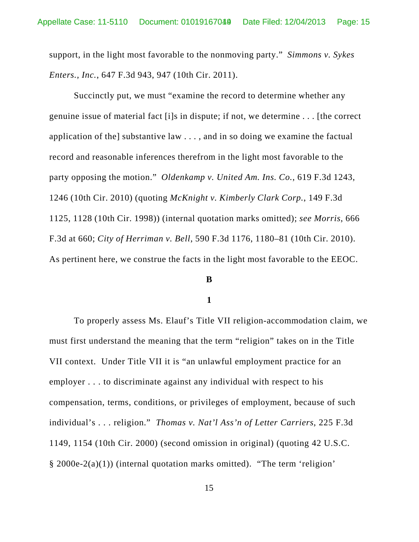support, in the light most favorable to the nonmoving party." *Simmons v. Sykes Enters., Inc.*, 647 F.3d 943, 947 (10th Cir. 2011).

Succinctly put, we must "examine the record to determine whether any genuine issue of material fact [i]s in dispute; if not, we determine . . . [the correct application of the] substantive law . . . , and in so doing we examine the factual record and reasonable inferences therefrom in the light most favorable to the party opposing the motion." *Oldenkamp v. United Am. Ins. Co.*, 619 F.3d 1243, 1246 (10th Cir. 2010) (quoting *McKnight v. Kimberly Clark Corp.*, 149 F.3d 1125, 1128 (10th Cir. 1998)) (internal quotation marks omitted); *see Morris*, 666 F.3d at 660; *City of Herriman v. Bell*, 590 F.3d 1176, 1180–81 (10th Cir. 2010). As pertinent here, we construe the facts in the light most favorable to the EEOC.

## **B**

## **1**

To properly assess Ms. Elauf's Title VII religion-accommodation claim, we must first understand the meaning that the term "religion" takes on in the Title VII context. Under Title VII it is "an unlawful employment practice for an employer . . . to discriminate against any individual with respect to his compensation, terms, conditions, or privileges of employment, because of such individual's . . . religion." *Thomas v. Nat'l Ass'n of Letter Carriers*, 225 F.3d 1149, 1154 (10th Cir. 2000) (second omission in original) (quoting 42 U.S.C. § 2000e-2(a)(1)) (internal quotation marks omitted). "The term 'religion'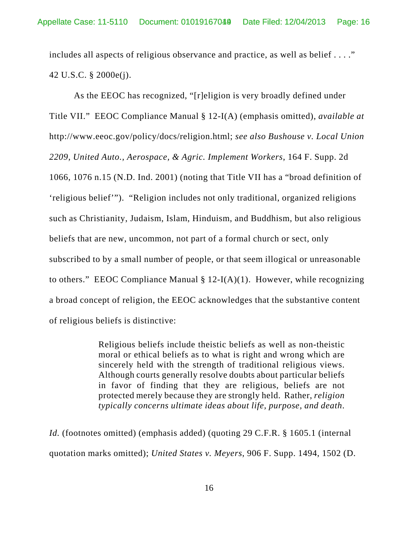includes all aspects of religious observance and practice, as well as belief . . . ." 42 U.S.C. § 2000e(j).

As the EEOC has recognized, "[r]eligion is very broadly defined under Title VII." EEOC Compliance Manual § 12-I(A) (emphasis omitted), *available at* http://www.eeoc.gov/policy/docs/religion.html; *see also Bushouse v. Local Union 2209, United Auto., Aerospace, & Agric. Implement Workers*, 164 F. Supp. 2d 1066, 1076 n.15 (N.D. Ind. 2001) (noting that Title VII has a "broad definition of 'religious belief'"). "Religion includes not only traditional, organized religions such as Christianity, Judaism, Islam, Hinduism, and Buddhism, but also religious beliefs that are new, uncommon, not part of a formal church or sect, only subscribed to by a small number of people, or that seem illogical or unreasonable to others." EEOC Compliance Manual  $\S 12-I(A)(1)$ . However, while recognizing a broad concept of religion, the EEOC acknowledges that the substantive content of religious beliefs is distinctive:

> Religious beliefs include theistic beliefs as well as non-theistic moral or ethical beliefs as to what is right and wrong which are sincerely held with the strength of traditional religious views. Although courts generally resolve doubts about particular beliefs in favor of finding that they are religious, beliefs are not protected merely because they are strongly held. Rather, *religion typically concerns ultimate ideas about life, purpose, and death*.

*Id.* (footnotes omitted) (emphasis added) (quoting 29 C.F.R. § 1605.1 (internal quotation marks omitted); *United States v. Meyers*, 906 F. Supp. 1494, 1502 (D.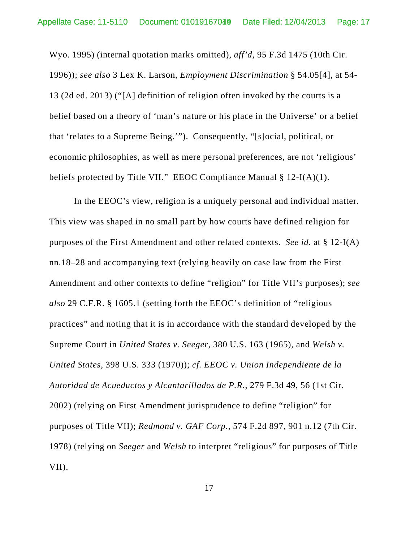Wyo. 1995) (internal quotation marks omitted), *aff'd*, 95 F.3d 1475 (10th Cir. 1996)); *see also* 3 Lex K. Larson, *Employment Discrimination* § 54.05[4], at 54- 13 (2d ed. 2013) ("[A] definition of religion often invoked by the courts is a belief based on a theory of 'man's nature or his place in the Universe' or a belief that 'relates to a Supreme Being.'"). Consequently, "[s]ocial, political, or economic philosophies, as well as mere personal preferences, are not 'religious' beliefs protected by Title VII." EEOC Compliance Manual § 12-I(A)(1).

In the EEOC's view, religion is a uniquely personal and individual matter. This view was shaped in no small part by how courts have defined religion for purposes of the First Amendment and other related contexts. *See id.* at § 12-I(A) nn.18–28 and accompanying text (relying heavily on case law from the First Amendment and other contexts to define "religion" for Title VII's purposes); *see also* 29 C.F.R. § 1605.1 (setting forth the EEOC's definition of "religious practices" and noting that it is in accordance with the standard developed by the Supreme Court in *United States v. Seeger*, 380 U.S. 163 (1965), and *Welsh v. United States*, 398 U.S. 333 (1970)); *cf. EEOC v. Union Independiente de la Autoridad de Acueductos y Alcantarillados de P.R.*, 279 F.3d 49, 56 (1st Cir. 2002) (relying on First Amendment jurisprudence to define "religion" for purposes of Title VII); *Redmond v. GAF Corp.*, 574 F.2d 897, 901 n.12 (7th Cir. 1978) (relying on *Seeger* and *Welsh* to interpret "religious" for purposes of Title VII).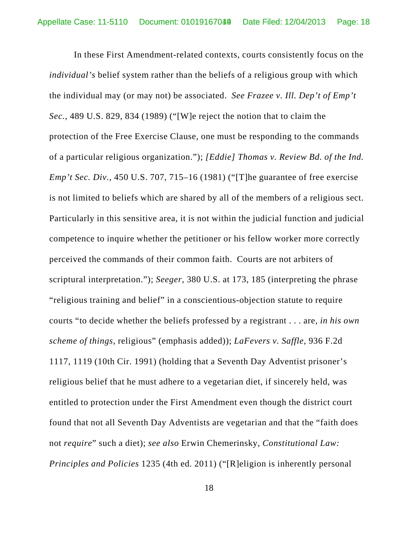In these First Amendment-related contexts, courts consistently focus on the *individual's* belief system rather than the beliefs of a religious group with which the individual may (or may not) be associated. *See Frazee v. Ill. Dep't of Emp't Sec.*, 489 U.S. 829, 834 (1989) ("[W]e reject the notion that to claim the protection of the Free Exercise Clause, one must be responding to the commands of a particular religious organization."); *[Eddie] Thomas v. Review Bd. of the Ind. Emp't Sec. Div.*, 450 U.S. 707, 715–16 (1981) ("[T]he guarantee of free exercise is not limited to beliefs which are shared by all of the members of a religious sect. Particularly in this sensitive area, it is not within the judicial function and judicial competence to inquire whether the petitioner or his fellow worker more correctly perceived the commands of their common faith. Courts are not arbiters of scriptural interpretation."); *Seeger*, 380 U.S. at 173, 185 (interpreting the phrase "religious training and belief" in a conscientious-objection statute to require courts "to decide whether the beliefs professed by a registrant . . . are, *in his own scheme of things*, religious" (emphasis added)); *LaFevers v. Saffle*, 936 F.2d 1117, 1119 (10th Cir. 1991) (holding that a Seventh Day Adventist prisoner's religious belief that he must adhere to a vegetarian diet, if sincerely held, was entitled to protection under the First Amendment even though the district court found that not all Seventh Day Adventists are vegetarian and that the "faith does not *require*" such a diet); *see also* Erwin Chemerinsky, *Constitutional Law: Principles and Policies* 1235 (4th ed. 2011) ("[R]eligion is inherently personal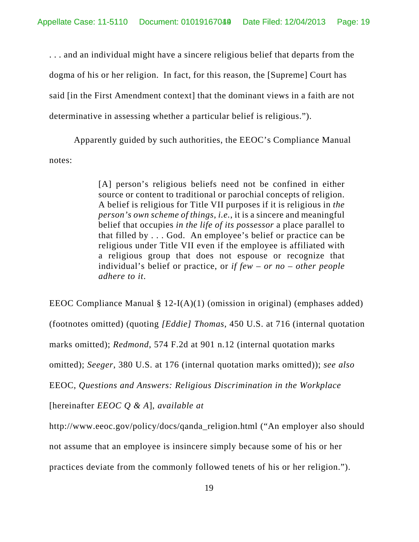. . . and an individual might have a sincere religious belief that departs from the dogma of his or her religion. In fact, for this reason, the [Supreme] Court has said [in the First Amendment context] that the dominant views in a faith are not determinative in assessing whether a particular belief is religious.").

Apparently guided by such authorities, the EEOC's Compliance Manual notes:

> [A] person's religious beliefs need not be confined in either source or content to traditional or parochial concepts of religion. A belief is religious for Title VII purposes if it is religious in *the person's own scheme of things*, *i.e.*, it is a sincere and meaningful belief that occupies *in the life of its possessor* a place parallel to that filled by . . . God. An employee's belief or practice can be religious under Title VII even if the employee is affiliated with a religious group that does not espouse or recognize that individual's belief or practice, or *if few – or no – other people adhere to it*.

EEOC Compliance Manual § 12-I(A)(1) (omission in original) (emphases added) (footnotes omitted) (quoting *[Eddie] Thomas*, 450 U.S. at 716 (internal quotation marks omitted); *Redmond*, 574 F.2d at 901 n.12 (internal quotation marks omitted); *Seeger*, 380 U.S. at 176 (internal quotation marks omitted)); *see also* EEOC, *Questions and Answers: Religious Discrimination in the Workplace* [hereinafter *EEOC Q & A*], *available at* http://www.eeoc.gov/policy/docs/qanda\_religion.html ("An employer also should not assume that an employee is insincere simply because some of his or her

practices deviate from the commonly followed tenets of his or her religion.").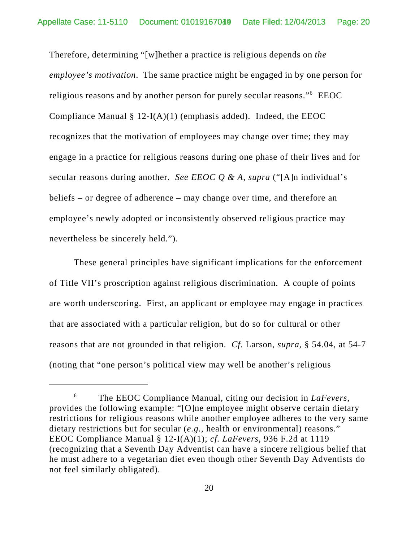Therefore, determining "[w]hether a practice is religious depends on *the employee's motivation*. The same practice might be engaged in by one person for religious reasons and by another person for purely secular reasons." EEOC Compliance Manual  $\S 12-I(A)(1)$  (emphasis added). Indeed, the EEOC recognizes that the motivation of employees may change over time; they may engage in a practice for religious reasons during one phase of their lives and for secular reasons during another. *See EEOC Q & A*, *supra* ("[A]n individual's beliefs – or degree of adherence – may change over time, and therefore an employee's newly adopted or inconsistently observed religious practice may nevertheless be sincerely held.").

These general principles have significant implications for the enforcement of Title VII's proscription against religious discrimination. A couple of points are worth underscoring. First, an applicant or employee may engage in practices that are associated with a particular religion, but do so for cultural or other reasons that are not grounded in that religion. *Cf.* Larson, *supra*, § 54.04, at 54-7 (noting that "one person's political view may well be another's religious

<sup>6</sup> The EEOC Compliance Manual, citing our decision in *LaFevers*, provides the following example: "[O]ne employee might observe certain dietary restrictions for religious reasons while another employee adheres to the very same dietary restrictions but for secular (*e.g.*, health or environmental) reasons." EEOC Compliance Manual § 12-I(A)(1); *cf. LaFevers*, 936 F.2d at 1119 (recognizing that a Seventh Day Adventist can have a sincere religious belief that he must adhere to a vegetarian diet even though other Seventh Day Adventists do not feel similarly obligated).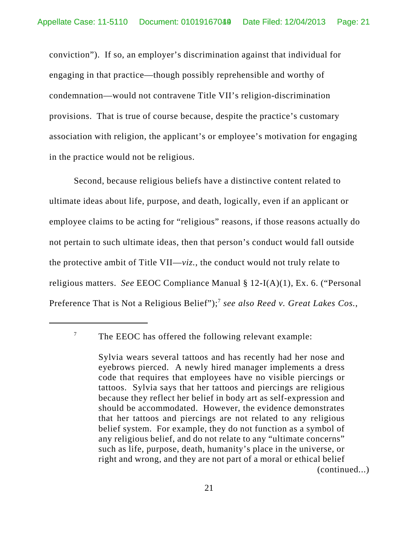conviction"). If so, an employer's discrimination against that individual for engaging in that practice—though possibly reprehensible and worthy of condemnation—would not contravene Title VII's religion-discrimination provisions. That is true of course because, despite the practice's customary association with religion, the applicant's or employee's motivation for engaging in the practice would not be religious.

Second, because religious beliefs have a distinctive content related to ultimate ideas about life, purpose, and death, logically, even if an applicant or employee claims to be acting for "religious" reasons, if those reasons actually do not pertain to such ultimate ideas, then that person's conduct would fall outside the protective ambit of Title VII—*viz.*, the conduct would not truly relate to religious matters. *See* EEOC Compliance Manual § 12-I(A)(1), Ex. 6. ("Personal Preference That is Not a Religious Belief");<sup>7</sup> see also Reed v. Great Lakes Cos.,

 $7$  The EEOC has offered the following relevant example:

Sylvia wears several tattoos and has recently had her nose and eyebrows pierced. A newly hired manager implements a dress code that requires that employees have no visible piercings or tattoos. Sylvia says that her tattoos and piercings are religious because they reflect her belief in body art as self-expression and should be accommodated. However, the evidence demonstrates that her tattoos and piercings are not related to any religious belief system. For example, they do not function as a symbol of any religious belief, and do not relate to any "ultimate concerns" such as life, purpose, death, humanity's place in the universe, or right and wrong, and they are not part of a moral or ethical belief (continued...)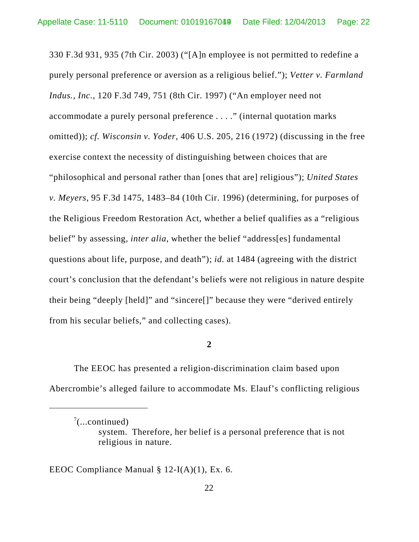330 F.3d 931, 935 (7th Cir. 2003) ("[A]n employee is not permitted to redefine a purely personal preference or aversion as a religious belief."); *Vetter v. Farmland Indus., Inc.*, 120 F.3d 749, 751 (8th Cir. 1997) ("An employer need not accommodate a purely personal preference . . . ." (internal quotation marks omitted)); *cf. Wisconsin v. Yoder*, 406 U.S. 205, 216 (1972) (discussing in the free exercise context the necessity of distinguishing between choices that are "philosophical and personal rather than [ones that are] religious"); *United States v. Meyers*, 95 F.3d 1475, 1483–84 (10th Cir. 1996) (determining, for purposes of the Religious Freedom Restoration Act, whether a belief qualifies as a "religious belief" by assessing, *inter alia*, whether the belief "address[es] fundamental questions about life, purpose, and death"); *id.* at 1484 (agreeing with the district court's conclusion that the defendant's beliefs were not religious in nature despite their being "deeply [held]" and "sincere[]" because they were "derived entirely from his secular beliefs," and collecting cases).

# **2**

The EEOC has presented a religion-discrimination claim based upon Abercrombie's alleged failure to accommodate Ms. Elauf's conflicting religious

EEOC Compliance Manual § 12-I(A)(1), Ex. 6.

 $7$ (...continued)

system. Therefore, her belief is a personal preference that is not religious in nature.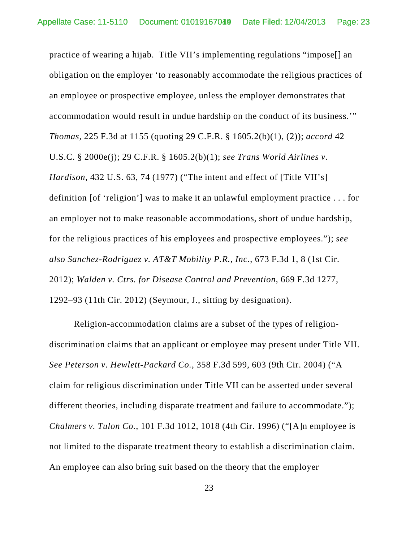practice of wearing a hijab. Title VII's implementing regulations "impose[] an obligation on the employer 'to reasonably accommodate the religious practices of an employee or prospective employee, unless the employer demonstrates that accommodation would result in undue hardship on the conduct of its business.'" *Thomas*, 225 F.3d at 1155 (quoting 29 C.F.R. § 1605.2(b)(1), (2)); *accord* 42 U.S.C. § 2000e(j); 29 C.F.R. § 1605.2(b)(1); *see Trans World Airlines v. Hardison*, 432 U.S. 63, 74 (1977) ("The intent and effect of [Title VII's] definition [of 'religion'] was to make it an unlawful employment practice . . . for an employer not to make reasonable accommodations, short of undue hardship, for the religious practices of his employees and prospective employees."); *see also Sanchez-Rodriguez v. AT&T Mobility P.R., Inc.*, 673 F.3d 1, 8 (1st Cir. 2012); *Walden v. Ctrs. for Disease Control and Prevention*, 669 F.3d 1277, 1292–93 (11th Cir. 2012) (Seymour, J., sitting by designation).

Religion-accommodation claims are a subset of the types of religiondiscrimination claims that an applicant or employee may present under Title VII. *See Peterson v. Hewlett-Packard Co.*, 358 F.3d 599, 603 (9th Cir. 2004) ("A claim for religious discrimination under Title VII can be asserted under several different theories, including disparate treatment and failure to accommodate."); *Chalmers v. Tulon Co.*, 101 F.3d 1012, 1018 (4th Cir. 1996) ("[A]n employee is not limited to the disparate treatment theory to establish a discrimination claim. An employee can also bring suit based on the theory that the employer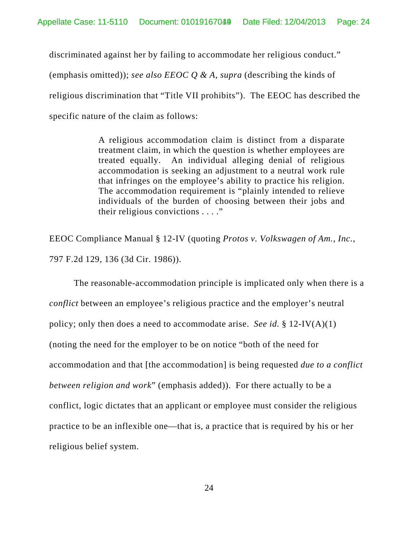discriminated against her by failing to accommodate her religious conduct."

(emphasis omitted)); *see also EEOC Q & A*, *supra* (describing the kinds of religious discrimination that "Title VII prohibits"). The EEOC has described the specific nature of the claim as follows:

> A religious accommodation claim is distinct from a disparate treatment claim, in which the question is whether employees are treated equally. An individual alleging denial of religious accommodation is seeking an adjustment to a neutral work rule that infringes on the employee's ability to practice his religion. The accommodation requirement is "plainly intended to relieve individuals of the burden of choosing between their jobs and their religious convictions . . . ."

EEOC Compliance Manual § 12-IV (quoting *Protos v. Volkswagen of Am., Inc.*, 797 F.2d 129, 136 (3d Cir. 1986)).

The reasonable-accommodation principle is implicated only when there is a *conflict* between an employee's religious practice and the employer's neutral policy; only then does a need to accommodate arise. *See id.* § 12-IV(A)(1) (noting the need for the employer to be on notice "both of the need for accommodation and that [the accommodation] is being requested *due to a conflict between religion and work*" (emphasis added)). For there actually to be a conflict, logic dictates that an applicant or employee must consider the religious practice to be an inflexible one—that is, a practice that is required by his or her religious belief system.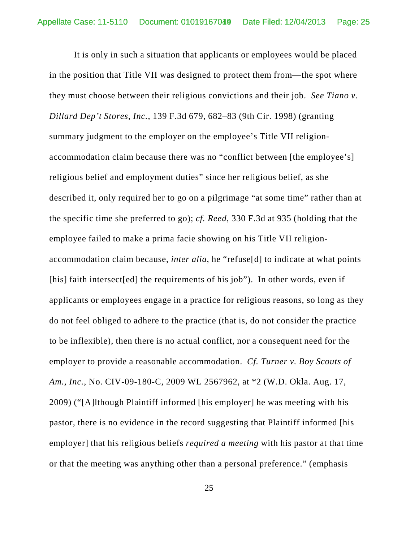It is only in such a situation that applicants or employees would be placed in the position that Title VII was designed to protect them from—the spot where they must choose between their religious convictions and their job. *See Tiano v. Dillard Dep't Stores, Inc.*, 139 F.3d 679, 682–83 (9th Cir. 1998) (granting summary judgment to the employer on the employee's Title VII religionaccommodation claim because there was no "conflict between [the employee's] religious belief and employment duties" since her religious belief, as she described it, only required her to go on a pilgrimage "at some time" rather than at the specific time she preferred to go); *cf. Reed*, 330 F.3d at 935 (holding that the employee failed to make a prima facie showing on his Title VII religionaccommodation claim because, *inter alia*, he "refuse[d] to indicate at what points [his] faith intersect[ed] the requirements of his job"). In other words, even if applicants or employees engage in a practice for religious reasons, so long as they do not feel obliged to adhere to the practice (that is, do not consider the practice to be inflexible), then there is no actual conflict, nor a consequent need for the employer to provide a reasonable accommodation. *Cf. Turner v. Boy Scouts of Am., Inc.*, No. CIV-09-180-C, 2009 WL 2567962, at \*2 (W.D. Okla. Aug. 17, 2009) ("[A]lthough Plaintiff informed [his employer] he was meeting with his pastor, there is no evidence in the record suggesting that Plaintiff informed [his employer] that his religious beliefs *required a meeting* with his pastor at that time or that the meeting was anything other than a personal preference." (emphasis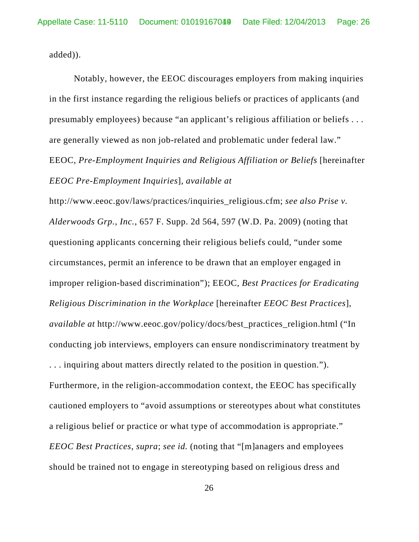added)).

Notably, however, the EEOC discourages employers from making inquiries in the first instance regarding the religious beliefs or practices of applicants (and presumably employees) because "an applicant's religious affiliation or beliefs . . . are generally viewed as non job-related and problematic under federal law." EEOC, *Pre-Employment Inquiries and Religious Affiliation or Beliefs* [hereinafter *EEOC Pre-Employment Inquiries*], *available at*

http://www.eeoc.gov/laws/practices/inquiries\_religious.cfm; *see also Prise v. Alderwoods Grp., Inc.*, 657 F. Supp. 2d 564, 597 (W.D. Pa. 2009) (noting that questioning applicants concerning their religious beliefs could, "under some circumstances, permit an inference to be drawn that an employer engaged in improper religion-based discrimination"); EEOC, *Best Practices for Eradicating Religious Discrimination in the Workplace* [hereinafter *EEOC Best Practices*], *available at* http://www.eeoc.gov/policy/docs/best\_practices\_religion.html ("In conducting job interviews, employers can ensure nondiscriminatory treatment by . . . inquiring about matters directly related to the position in question."). Furthermore, in the religion-accommodation context, the EEOC has specifically cautioned employers to "avoid assumptions or stereotypes about what constitutes a religious belief or practice or what type of accommodation is appropriate." *EEOC Best Practices*, *supra*; *see id.* (noting that "[m]anagers and employees should be trained not to engage in stereotyping based on religious dress and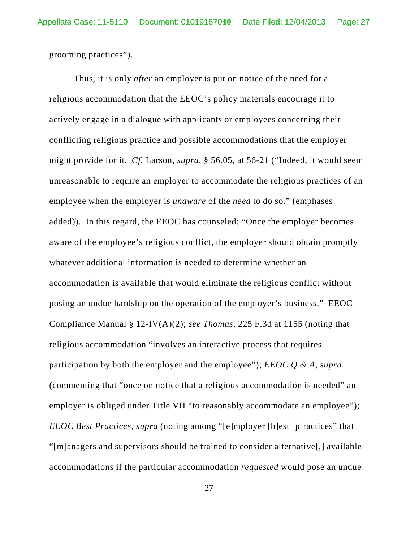grooming practices").

Thus, it is only *after* an employer is put on notice of the need for a religious accommodation that the EEOC's policy materials encourage it to actively engage in a dialogue with applicants or employees concerning their conflicting religious practice and possible accommodations that the employer might provide for it. *Cf.* Larson, *supra*, § 56.05, at 56-21 ("Indeed, it would seem unreasonable to require an employer to accommodate the religious practices of an employee when the employer is *unaware* of the *need* to do so." (emphases added)). In this regard, the EEOC has counseled: "Once the employer becomes aware of the employee's religious conflict, the employer should obtain promptly whatever additional information is needed to determine whether an accommodation is available that would eliminate the religious conflict without posing an undue hardship on the operation of the employer's business." EEOC Compliance Manual § 12-IV(A)(2); *see Thomas*, 225 F.3d at 1155 (noting that religious accommodation "involves an interactive process that requires participation by both the employer and the employee"); *EEOC Q & A*, *supra* (commenting that "once on notice that a religious accommodation is needed" an employer is obliged under Title VII "to reasonably accommodate an employee"); *EEOC Best Practices*, *supra* (noting among "[e]mployer [b]est [p]ractices" that "[m]anagers and supervisors should be trained to consider alternative[,] available accommodations if the particular accommodation *requested* would pose an undue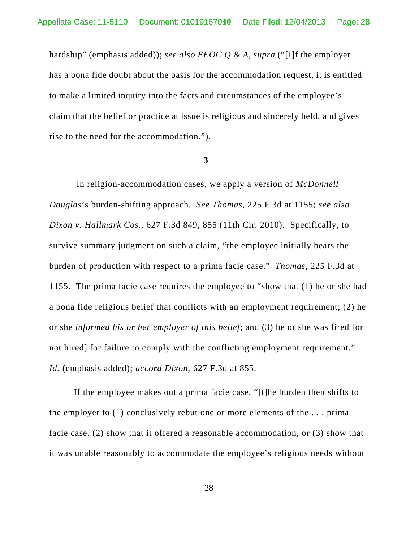hardship" (emphasis added)); *see also EEOC Q & A*, *supra* ("[I]f the employer has a bona fide doubt about the basis for the accommodation request, it is entitled to make a limited inquiry into the facts and circumstances of the employee's claim that the belief or practice at issue is religious and sincerely held, and gives rise to the need for the accommodation.").

#### **3**

 In religion-accommodation cases, we apply a version of *McDonnell Douglas*'s burden-shifting approach. *See Thomas*, 225 F.3d at 1155; *see also Dixon v. Hallmark Cos.*, 627 F.3d 849, 855 (11th Cir. 2010). Specifically, to survive summary judgment on such a claim, "the employee initially bears the burden of production with respect to a prima facie case." *Thomas*, 225 F.3d at 1155. The prima facie case requires the employee to "show that (1) he or she had a bona fide religious belief that conflicts with an employment requirement; (2) he or she *informed his or her employer of this belief*; and (3) he or she was fired [or not hired] for failure to comply with the conflicting employment requirement." *Id.* (emphasis added); *accord Dixon*, 627 F.3d at 855.

If the employee makes out a prima facie case, "[t]he burden then shifts to the employer to (1) conclusively rebut one or more elements of the . . . prima facie case, (2) show that it offered a reasonable accommodation, or (3) show that it was unable reasonably to accommodate the employee's religious needs without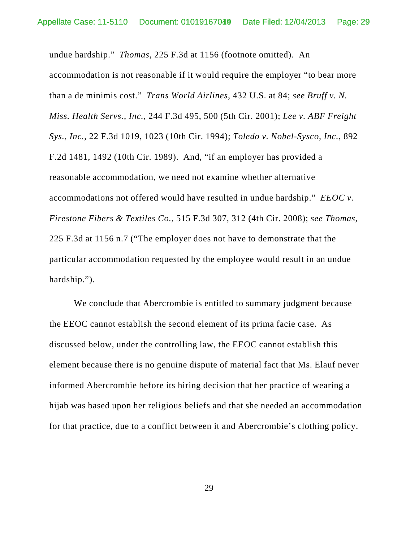undue hardship." *Thomas*, 225 F.3d at 1156 (footnote omitted). An accommodation is not reasonable if it would require the employer "to bear more than a de minimis cost." *Trans World Airlines*, 432 U.S. at 84; *see Bruff v. N. Miss. Health Servs., Inc.*, 244 F.3d 495, 500 (5th Cir. 2001); *Lee v. ABF Freight Sys., Inc.*, 22 F.3d 1019, 1023 (10th Cir. 1994); *Toledo v. Nobel-Sysco, Inc.*, 892 F.2d 1481, 1492 (10th Cir. 1989). And, "if an employer has provided a reasonable accommodation, we need not examine whether alternative accommodations not offered would have resulted in undue hardship." *EEOC v. Firestone Fibers & Textiles Co.*, 515 F.3d 307, 312 (4th Cir. 2008); *see Thomas*, 225 F.3d at 1156 n.7 ("The employer does not have to demonstrate that the particular accommodation requested by the employee would result in an undue hardship.").

We conclude that Abercrombie is entitled to summary judgment because the EEOC cannot establish the second element of its prima facie case. As discussed below, under the controlling law, the EEOC cannot establish this element because there is no genuine dispute of material fact that Ms. Elauf never informed Abercrombie before its hiring decision that her practice of wearing a hijab was based upon her religious beliefs and that she needed an accommodation for that practice, due to a conflict between it and Abercrombie's clothing policy.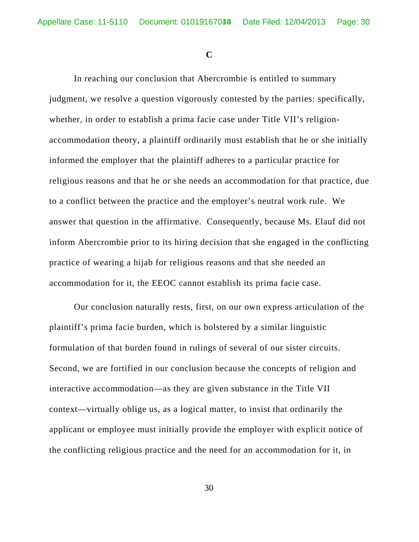**C**

In reaching our conclusion that Abercrombie is entitled to summary judgment, we resolve a question vigorously contested by the parties: specifically, whether, in order to establish a prima facie case under Title VII's religionaccommodation theory, a plaintiff ordinarily must establish that he or she initially informed the employer that the plaintiff adheres to a particular practice for religious reasons and that he or she needs an accommodation for that practice, due to a conflict between the practice and the employer's neutral work rule. We answer that question in the affirmative. Consequently, because Ms. Elauf did not inform Abercrombie prior to its hiring decision that she engaged in the conflicting practice of wearing a hijab for religious reasons and that she needed an accommodation for it, the EEOC cannot establish its prima facie case.

Our conclusion naturally rests, first, on our own express articulation of the plaintiff's prima facie burden, which is bolstered by a similar linguistic formulation of that burden found in rulings of several of our sister circuits. Second, we are fortified in our conclusion because the concepts of religion and interactive accommodation—as they are given substance in the Title VII context—virtually oblige us, as a logical matter, to insist that ordinarily the applicant or employee must initially provide the employer with explicit notice of the conflicting religious practice and the need for an accommodation for it, in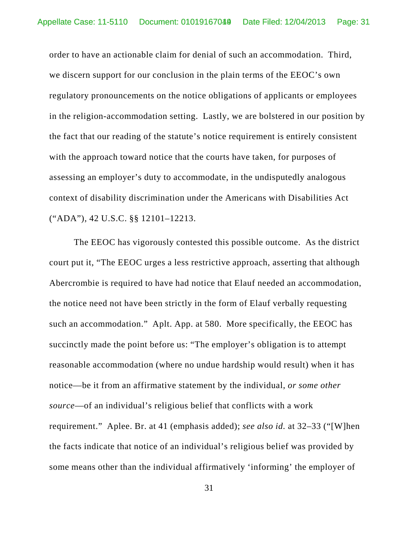order to have an actionable claim for denial of such an accommodation. Third, we discern support for our conclusion in the plain terms of the EEOC's own regulatory pronouncements on the notice obligations of applicants or employees in the religion-accommodation setting. Lastly, we are bolstered in our position by the fact that our reading of the statute's notice requirement is entirely consistent with the approach toward notice that the courts have taken, for purposes of assessing an employer's duty to accommodate, in the undisputedly analogous context of disability discrimination under the Americans with Disabilities Act ("ADA"), 42 U.S.C. §§ 12101–12213.

The EEOC has vigorously contested this possible outcome. As the district court put it, "The EEOC urges a less restrictive approach, asserting that although Abercrombie is required to have had notice that Elauf needed an accommodation, the notice need not have been strictly in the form of Elauf verbally requesting such an accommodation." Aplt. App. at 580. More specifically, the EEOC has succinctly made the point before us: "The employer's obligation is to attempt reasonable accommodation (where no undue hardship would result) when it has notice—be it from an affirmative statement by the individual, *or some other source*—of an individual's religious belief that conflicts with a work requirement." Aplee. Br. at 41 (emphasis added); *see also id.* at 32–33 ("[W]hen the facts indicate that notice of an individual's religious belief was provided by some means other than the individual affirmatively 'informing' the employer of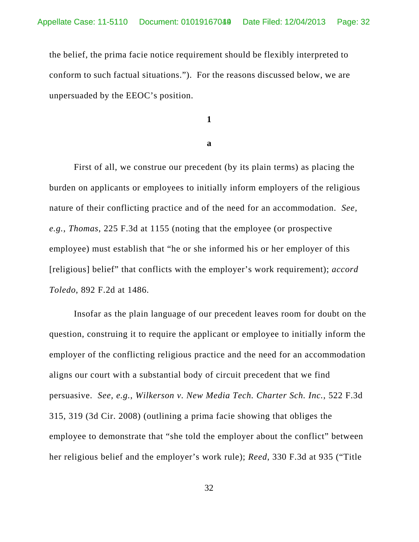the belief, the prima facie notice requirement should be flexibly interpreted to conform to such factual situations."). For the reasons discussed below, we are unpersuaded by the EEOC's position.

**1**

### **a**

First of all, we construe our precedent (by its plain terms) as placing the burden on applicants or employees to initially inform employers of the religious nature of their conflicting practice and of the need for an accommodation. *See, e.g.*, *Thomas*, 225 F.3d at 1155 (noting that the employee (or prospective employee) must establish that "he or she informed his or her employer of this [religious] belief" that conflicts with the employer's work requirement); *accord Toledo*, 892 F.2d at 1486.

Insofar as the plain language of our precedent leaves room for doubt on the question, construing it to require the applicant or employee to initially inform the employer of the conflicting religious practice and the need for an accommodation aligns our court with a substantial body of circuit precedent that we find persuasive. *See, e.g.*, *Wilkerson v. New Media Tech. Charter Sch. Inc.*, 522 F.3d 315, 319 (3d Cir. 2008) (outlining a prima facie showing that obliges the employee to demonstrate that "she told the employer about the conflict" between her religious belief and the employer's work rule); *Reed*, 330 F.3d at 935 ("Title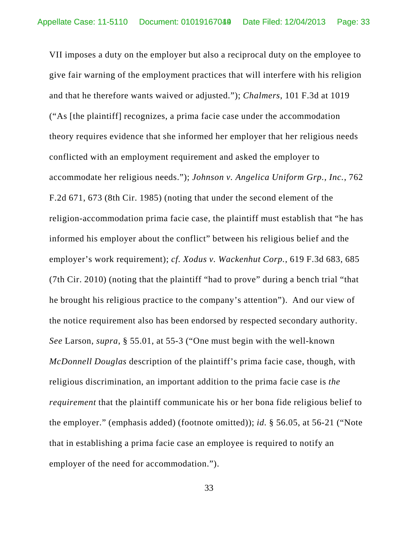VII imposes a duty on the employer but also a reciprocal duty on the employee to give fair warning of the employment practices that will interfere with his religion and that he therefore wants waived or adjusted."); *Chalmers*, 101 F.3d at 1019 ("As [the plaintiff] recognizes, a prima facie case under the accommodation theory requires evidence that she informed her employer that her religious needs conflicted with an employment requirement and asked the employer to accommodate her religious needs."); *Johnson v. Angelica Uniform Grp., Inc.*, 762 F.2d 671, 673 (8th Cir. 1985) (noting that under the second element of the religion-accommodation prima facie case, the plaintiff must establish that "he has informed his employer about the conflict" between his religious belief and the employer's work requirement); *cf. Xodus v. Wackenhut Corp.*, 619 F.3d 683, 685 (7th Cir. 2010) (noting that the plaintiff "had to prove" during a bench trial "that he brought his religious practice to the company's attention"). And our view of the notice requirement also has been endorsed by respected secondary authority. *See* Larson, *supra*, § 55.01, at 55-3 ("One must begin with the well-known *McDonnell Douglas* description of the plaintiff's prima facie case, though, with religious discrimination, an important addition to the prima facie case is *the requirement* that the plaintiff communicate his or her bona fide religious belief to the employer." (emphasis added) (footnote omitted)); *id.* § 56.05, at 56-21 ("Note that in establishing a prima facie case an employee is required to notify an employer of the need for accommodation.").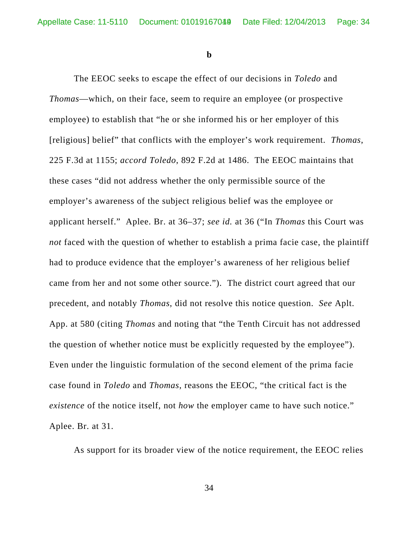**b**

The EEOC seeks to escape the effect of our decisions in *Toledo* and *Thomas*—which, on their face, seem to require an employee (or prospective employee) to establish that "he or she informed his or her employer of this [religious] belief" that conflicts with the employer's work requirement. *Thomas*, 225 F.3d at 1155; *accord Toledo*, 892 F.2d at 1486. The EEOC maintains that these cases "did not address whether the only permissible source of the employer's awareness of the subject religious belief was the employee or applicant herself." Aplee. Br. at 36–37; *see id.* at 36 ("In *Thomas* this Court was *not* faced with the question of whether to establish a prima facie case, the plaintiff had to produce evidence that the employer's awareness of her religious belief came from her and not some other source."). The district court agreed that our precedent, and notably *Thomas*, did not resolve this notice question. *See* Aplt. App. at 580 (citing *Thomas* and noting that "the Tenth Circuit has not addressed the question of whether notice must be explicitly requested by the employee"). Even under the linguistic formulation of the second element of the prima facie case found in *Toledo* and *Thomas*, reasons the EEOC, "the critical fact is the *existence* of the notice itself, not *how* the employer came to have such notice." Aplee. Br. at 31.

As support for its broader view of the notice requirement, the EEOC relies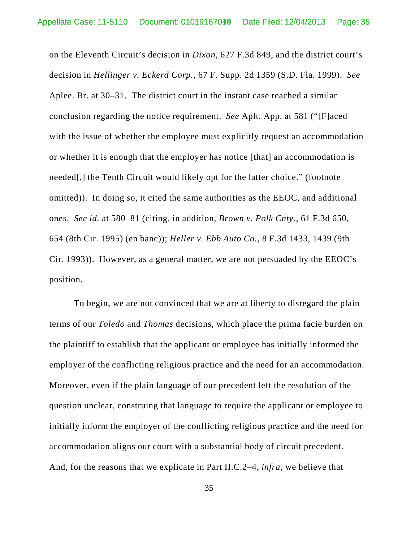on the Eleventh Circuit's decision in *Dixon*, 627 F.3d 849, and the district court's decision in *Hellinger v. Eckerd Corp.*, 67 F. Supp. 2d 1359 (S.D. Fla. 1999). *See* Aplee. Br. at 30–31. The district court in the instant case reached a similar conclusion regarding the notice requirement. *See* Aplt. App. at 581 ("[F]aced with the issue of whether the employee must explicitly request an accommodation or whether it is enough that the employer has notice [that] an accommodation is needed[,] the Tenth Circuit would likely opt for the latter choice." (footnote omitted)). In doing so, it cited the same authorities as the EEOC, and additional ones. *See id.* at 580–81 (citing, in addition, *Brown v. Polk Cnty.*, 61 F.3d 650, 654 (8th Cir. 1995) (en banc)); *Heller v. Ebb Auto Co.*, 8 F.3d 1433, 1439 (9th Cir. 1993)). However, as a general matter, we are not persuaded by the EEOC's position.

To begin, we are not convinced that we are at liberty to disregard the plain terms of our *Toledo* and *Thomas* decisions, which place the prima facie burden on the plaintiff to establish that the applicant or employee has initially informed the employer of the conflicting religious practice and the need for an accommodation. Moreover, even if the plain language of our precedent left the resolution of the question unclear, construing that language to require the applicant or employee to initially inform the employer of the conflicting religious practice and the need for accommodation aligns our court with a substantial body of circuit precedent. And, for the reasons that we explicate in Part II.C.2–4, *infra*, we believe that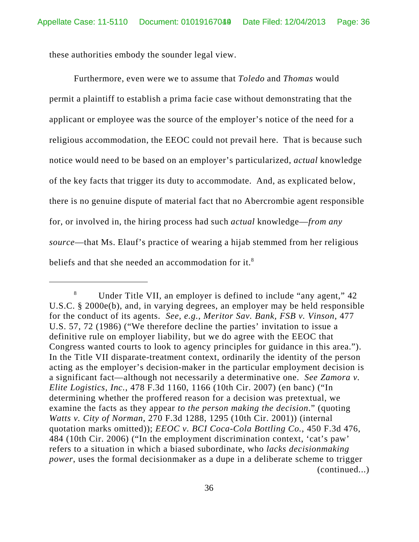these authorities embody the sounder legal view.

Furthermore, even were we to assume that *Toledo* and *Thomas* would permit a plaintiff to establish a prima facie case without demonstrating that the applicant or employee was the source of the employer's notice of the need for a religious accommodation, the EEOC could not prevail here. That is because such notice would need to be based on an employer's particularized, *actual* knowledge of the key facts that trigger its duty to accommodate. And, as explicated below, there is no genuine dispute of material fact that no Abercrombie agent responsible for, or involved in, the hiring process had such *actual* knowledge—*from any source*—that Ms. Elauf's practice of wearing a hijab stemmed from her religious beliefs and that she needed an accommodation for it.<sup>8</sup>

<sup>&</sup>lt;sup>8</sup> Under Title VII, an employer is defined to include "any agent," 42 U.S.C. § 2000e(b), and, in varying degrees, an employer may be held responsible for the conduct of its agents. *See, e.g.*, *Meritor Sav. Bank, FSB v. Vinson*, 477 U.S. 57, 72 (1986) ("We therefore decline the parties' invitation to issue a definitive rule on employer liability, but we do agree with the EEOC that Congress wanted courts to look to agency principles for guidance in this area."). In the Title VII disparate-treatment context, ordinarily the identity of the person acting as the employer's decision-maker in the particular employment decision is a significant fact—although not necessarily a determinative one. *See Zamora v. Elite Logistics, Inc.*, 478 F.3d 1160, 1166 (10th Cir. 2007) (en banc) ("In determining whether the proffered reason for a decision was pretextual, we examine the facts as they appear *to the person making the decision*." (quoting *Watts v. City of Norman*, 270 F.3d 1288, 1295 (10th Cir. 2001)) (internal quotation marks omitted)); *EEOC v. BCI Coca-Cola Bottling Co.*, 450 F.3d 476, 484 (10th Cir. 2006) ("In the employment discrimination context, 'cat's paw' refers to a situation in which a biased subordinate, who *lacks decisionmaking power*, uses the formal decisionmaker as a dupe in a deliberate scheme to trigger (continued...)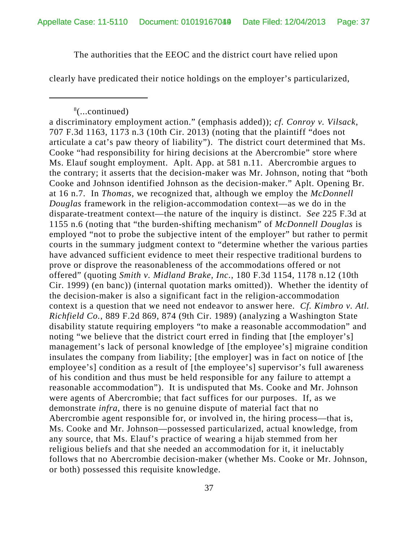The authorities that the EEOC and the district court have relied upon

clearly have predicated their notice holdings on the employer's particularized,

<sup>8</sup> (...continued)

a discriminatory employment action." (emphasis added)); *cf. Conroy v. Vilsack*, 707 F.3d 1163, 1173 n.3 (10th Cir. 2013) (noting that the plaintiff "does not articulate a cat's paw theory of liability"). The district court determined that Ms. Cooke "had responsibility for hiring decisions at the Abercrombie" store where Ms. Elauf sought employment. Aplt. App. at 581 n.11. Abercrombie argues to the contrary; it asserts that the decision-maker was Mr. Johnson, noting that "both Cooke and Johnson identified Johnson as the decision-maker." Aplt. Opening Br. at 16 n.7. In *Thomas*, we recognized that, although we employ the *McDonnell Douglas* framework in the religion-accommodation context—as we do in the disparate-treatment context—the nature of the inquiry is distinct. *See* 225 F.3d at 1155 n.6 (noting that "the burden-shifting mechanism" of *McDonnell Douglas* is employed "not to probe the subjective intent of the employer" but rather to permit courts in the summary judgment context to "determine whether the various parties have advanced sufficient evidence to meet their respective traditional burdens to prove or disprove the reasonableness of the accommodations offered or not offered" (quoting *Smith v. Midland Brake, Inc.*, 180 F.3d 1154, 1178 n.12 (10th Cir. 1999) (en banc)) (internal quotation marks omitted)). Whether the identity of the decision-maker is also a significant fact in the religion-accommodation context is a question that we need not endeavor to answer here. *Cf. Kimbro v. Atl. Richfield Co.*, 889 F.2d 869, 874 (9th Cir. 1989) (analyzing a Washington State disability statute requiring employers "to make a reasonable accommodation" and noting "we believe that the district court erred in finding that [the employer's] management's lack of personal knowledge of [the employee's] migraine condition insulates the company from liability; [the employer] was in fact on notice of [the employee's] condition as a result of [the employee's] supervisor's full awareness of his condition and thus must be held responsible for any failure to attempt a reasonable accommodation"). It is undisputed that Ms. Cooke and Mr. Johnson were agents of Abercrombie; that fact suffices for our purposes. If, as we demonstrate *infra*, there is no genuine dispute of material fact that no Abercrombie agent responsible for, or involved in, the hiring process—that is, Ms. Cooke and Mr. Johnson—possessed particularized, actual knowledge, from any source, that Ms. Elauf's practice of wearing a hijab stemmed from her religious beliefs and that she needed an accommodation for it, it ineluctably follows that no Abercrombie decision-maker (whether Ms. Cooke or Mr. Johnson, or both) possessed this requisite knowledge.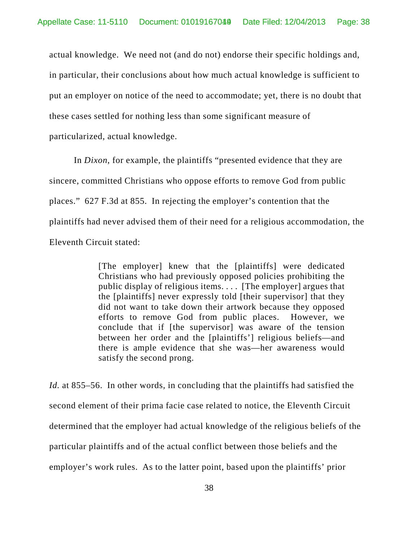actual knowledge. We need not (and do not) endorse their specific holdings and, in particular, their conclusions about how much actual knowledge is sufficient to put an employer on notice of the need to accommodate; yet, there is no doubt that these cases settled for nothing less than some significant measure of particularized, actual knowledge.

In *Dixon*, for example, the plaintiffs "presented evidence that they are sincere, committed Christians who oppose efforts to remove God from public places." 627 F.3d at 855. In rejecting the employer's contention that the plaintiffs had never advised them of their need for a religious accommodation, the Eleventh Circuit stated:

> [The employer] knew that the [plaintiffs] were dedicated Christians who had previously opposed policies prohibiting the public display of religious items. . . . [The employer] argues that the [plaintiffs] never expressly told [their supervisor] that they did not want to take down their artwork because they opposed efforts to remove God from public places. However, we conclude that if [the supervisor] was aware of the tension between her order and the [plaintiffs'] religious beliefs—and there is ample evidence that she was—her awareness would satisfy the second prong.

*Id.* at 855–56. In other words, in concluding that the plaintiffs had satisfied the second element of their prima facie case related to notice, the Eleventh Circuit determined that the employer had actual knowledge of the religious beliefs of the particular plaintiffs and of the actual conflict between those beliefs and the employer's work rules. As to the latter point, based upon the plaintiffs' prior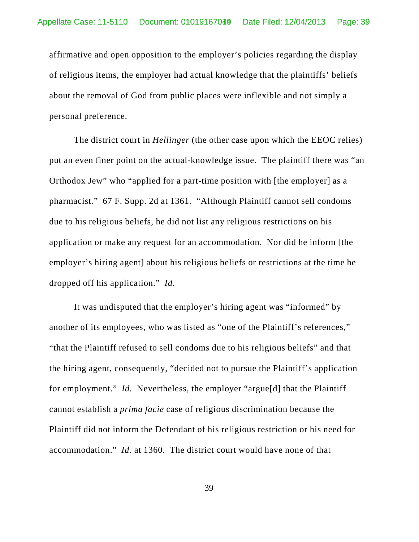affirmative and open opposition to the employer's policies regarding the display of religious items, the employer had actual knowledge that the plaintiffs' beliefs about the removal of God from public places were inflexible and not simply a personal preference.

The district court in *Hellinger* (the other case upon which the EEOC relies) put an even finer point on the actual-knowledge issue. The plaintiff there was "an Orthodox Jew" who "applied for a part-time position with [the employer] as a pharmacist." 67 F. Supp. 2d at 1361. "Although Plaintiff cannot sell condoms due to his religious beliefs, he did not list any religious restrictions on his application or make any request for an accommodation. Nor did he inform [the employer's hiring agent] about his religious beliefs or restrictions at the time he dropped off his application." *Id.* 

It was undisputed that the employer's hiring agent was "informed" by another of its employees, who was listed as "one of the Plaintiff's references," "that the Plaintiff refused to sell condoms due to his religious beliefs" and that the hiring agent, consequently, "decided not to pursue the Plaintiff's application for employment." *Id.* Nevertheless, the employer "argue[d] that the Plaintiff cannot establish a *prima facie* case of religious discrimination because the Plaintiff did not inform the Defendant of his religious restriction or his need for accommodation." *Id.* at 1360. The district court would have none of that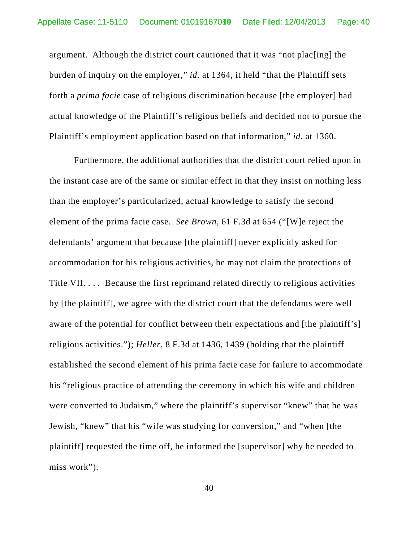argument. Although the district court cautioned that it was "not plac[ing] the burden of inquiry on the employer," *id.* at 1364, it held "that the Plaintiff sets forth a *prima facie* case of religious discrimination because [the employer] had actual knowledge of the Plaintiff's religious beliefs and decided not to pursue the Plaintiff's employment application based on that information," *id.* at 1360.

Furthermore, the additional authorities that the district court relied upon in the instant case are of the same or similar effect in that they insist on nothing less than the employer's particularized, actual knowledge to satisfy the second element of the prima facie case. *See Brown*, 61 F.3d at 654 ("[W]e reject the defendants' argument that because [the plaintiff] never explicitly asked for accommodation for his religious activities, he may not claim the protections of Title VII. . . . Because the first reprimand related directly to religious activities by [the plaintiff], we agree with the district court that the defendants were well aware of the potential for conflict between their expectations and [the plaintiff's] religious activities."); *Heller*, 8 F.3d at 1436, 1439 (holding that the plaintiff established the second element of his prima facie case for failure to accommodate his "religious practice of attending the ceremony in which his wife and children were converted to Judaism," where the plaintiff's supervisor "knew" that he was Jewish, "knew" that his "wife was studying for conversion," and "when [the plaintiff] requested the time off, he informed the [supervisor] why he needed to miss work").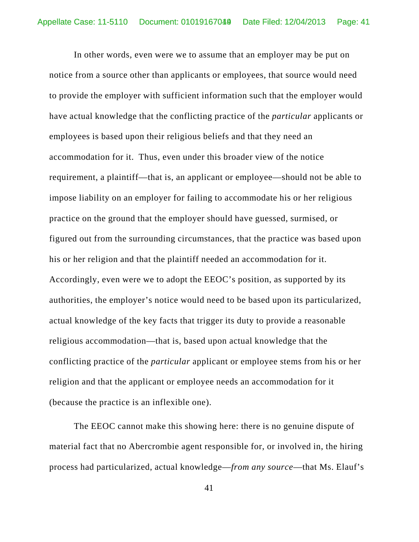In other words, even were we to assume that an employer may be put on notice from a source other than applicants or employees, that source would need to provide the employer with sufficient information such that the employer would have actual knowledge that the conflicting practice of the *particular* applicants or employees is based upon their religious beliefs and that they need an accommodation for it. Thus, even under this broader view of the notice requirement, a plaintiff—that is, an applicant or employee—should not be able to impose liability on an employer for failing to accommodate his or her religious practice on the ground that the employer should have guessed, surmised, or figured out from the surrounding circumstances, that the practice was based upon his or her religion and that the plaintiff needed an accommodation for it. Accordingly, even were we to adopt the EEOC's position, as supported by its authorities, the employer's notice would need to be based upon its particularized, actual knowledge of the key facts that trigger its duty to provide a reasonable religious accommodation—that is, based upon actual knowledge that the conflicting practice of the *particular* applicant or employee stems from his or her religion and that the applicant or employee needs an accommodation for it (because the practice is an inflexible one).

The EEOC cannot make this showing here: there is no genuine dispute of material fact that no Abercrombie agent responsible for, or involved in, the hiring process had particularized, actual knowledge—*from any source*—that Ms. Elauf's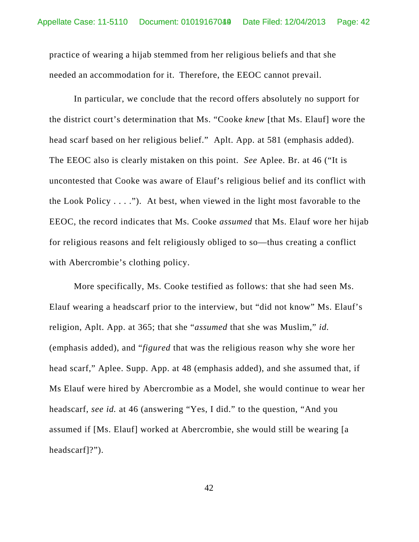practice of wearing a hijab stemmed from her religious beliefs and that she needed an accommodation for it. Therefore, the EEOC cannot prevail.

In particular, we conclude that the record offers absolutely no support for the district court's determination that Ms. "Cooke *knew* [that Ms. Elauf] wore the head scarf based on her religious belief." Aplt. App. at 581 (emphasis added). The EEOC also is clearly mistaken on this point. *See* Aplee. Br. at 46 ("It is uncontested that Cooke was aware of Elauf's religious belief and its conflict with the Look Policy  $\dots$  ."). At best, when viewed in the light most favorable to the EEOC, the record indicates that Ms. Cooke *assumed* that Ms. Elauf wore her hijab for religious reasons and felt religiously obliged to so—thus creating a conflict with Abercrombie's clothing policy.

More specifically, Ms. Cooke testified as follows: that she had seen Ms. Elauf wearing a headscarf prior to the interview, but "did not know" Ms. Elauf's religion, Aplt. App. at 365; that she "*assumed* that she was Muslim," *id.* (emphasis added), and "*figured* that was the religious reason why she wore her head scarf," Aplee. Supp. App. at 48 (emphasis added), and she assumed that, if Ms Elauf were hired by Abercrombie as a Model, she would continue to wear her headscarf, *see id.* at 46 (answering "Yes, I did." to the question, "And you assumed if [Ms. Elauf] worked at Abercrombie, she would still be wearing [a headscarf]?").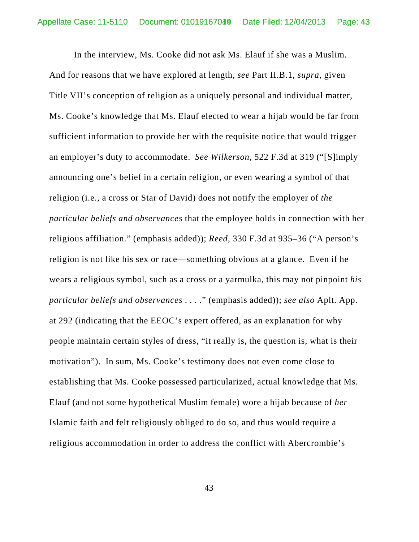In the interview, Ms. Cooke did not ask Ms. Elauf if she was a Muslim. And for reasons that we have explored at length, *see* Part II.B.1, *supra*, given Title VII's conception of religion as a uniquely personal and individual matter, Ms. Cooke's knowledge that Ms. Elauf elected to wear a hijab would be far from sufficient information to provide her with the requisite notice that would trigger an employer's duty to accommodate. *See Wilkerson*, 522 F.3d at 319 ("[S]imply announcing one's belief in a certain religion, or even wearing a symbol of that religion (i.e., a cross or Star of David) does not notify the employer of *the particular beliefs and observances* that the employee holds in connection with her religious affiliation." (emphasis added)); *Reed*, 330 F.3d at 935–36 ("A person's religion is not like his sex or race—something obvious at a glance. Even if he wears a religious symbol, such as a cross or a yarmulka, this may not pinpoint *his particular beliefs and observances* . . . ." (emphasis added)); *see also* Aplt. App. at 292 (indicating that the EEOC's expert offered, as an explanation for why people maintain certain styles of dress, "it really is, the question is, what is their motivation"). In sum, Ms. Cooke's testimony does not even come close to establishing that Ms. Cooke possessed particularized, actual knowledge that Ms. Elauf (and not some hypothetical Muslim female) wore a hijab because of *her* Islamic faith and felt religiously obliged to do so, and thus would require a religious accommodation in order to address the conflict with Abercrombie's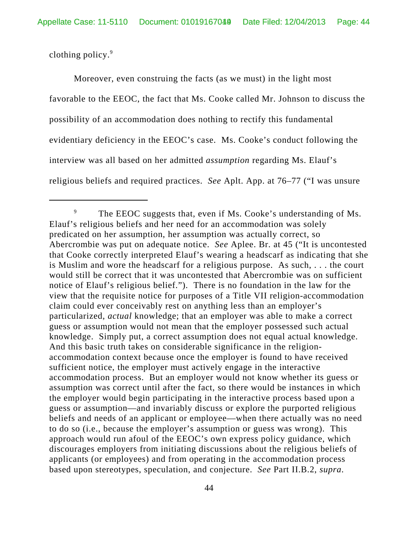clothing policy.<sup>9</sup>

Moreover, even construing the facts (as we must) in the light most favorable to the EEOC, the fact that Ms. Cooke called Mr. Johnson to discuss the possibility of an accommodation does nothing to rectify this fundamental evidentiary deficiency in the EEOC's case. Ms. Cooke's conduct following the interview was all based on her admitted *assumption* regarding Ms. Elauf's religious beliefs and required practices. *See* Aplt. App. at 76–77 ("I was unsure

<sup>&</sup>lt;sup>9</sup> The EEOC suggests that, even if Ms. Cooke's understanding of Ms. Elauf's religious beliefs and her need for an accommodation was solely predicated on her assumption, her assumption was actually correct, so Abercrombie was put on adequate notice. *See* Aplee. Br. at 45 ("It is uncontested that Cooke correctly interpreted Elauf's wearing a headscarf as indicating that she is Muslim and wore the headscarf for a religious purpose. As such, . . . the court would still be correct that it was uncontested that Abercrombie was on sufficient notice of Elauf's religious belief."). There is no foundation in the law for the view that the requisite notice for purposes of a Title VII religion-accommodation claim could ever conceivably rest on anything less than an employer's particularized, *actual* knowledge; that an employer was able to make a correct guess or assumption would not mean that the employer possessed such actual knowledge. Simply put, a correct assumption does not equal actual knowledge. And this basic truth takes on considerable significance in the religionaccommodation context because once the employer is found to have received sufficient notice, the employer must actively engage in the interactive accommodation process. But an employer would not know whether its guess or assumption was correct until after the fact, so there would be instances in which the employer would begin participating in the interactive process based upon a guess or assumption—and invariably discuss or explore the purported religious beliefs and needs of an applicant or employee—when there actually was no need to do so (i.e., because the employer's assumption or guess was wrong). This approach would run afoul of the EEOC's own express policy guidance, which discourages employers from initiating discussions about the religious beliefs of applicants (or employees) and from operating in the accommodation process based upon stereotypes, speculation, and conjecture. *See* Part II.B.2, *supra*.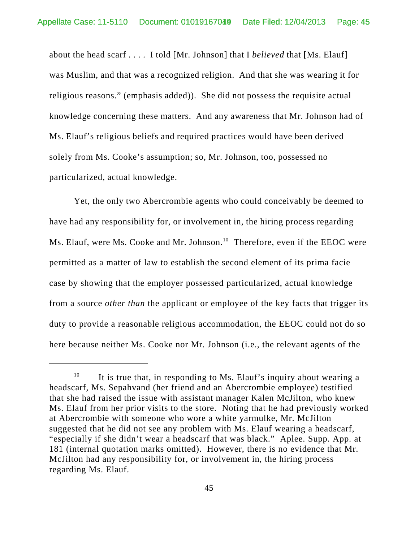about the head scarf . . . . I told [Mr. Johnson] that I *believed* that [Ms. Elauf] was Muslim, and that was a recognized religion. And that she was wearing it for religious reasons." (emphasis added)). She did not possess the requisite actual knowledge concerning these matters. And any awareness that Mr. Johnson had of Ms. Elauf's religious beliefs and required practices would have been derived solely from Ms. Cooke's assumption; so, Mr. Johnson, too, possessed no particularized, actual knowledge.

Yet, the only two Abercrombie agents who could conceivably be deemed to have had any responsibility for, or involvement in, the hiring process regarding Ms. Elauf, were Ms. Cooke and Mr. Johnson.<sup>10</sup> Therefore, even if the EEOC were permitted as a matter of law to establish the second element of its prima facie case by showing that the employer possessed particularized, actual knowledge from a source *other than* the applicant or employee of the key facts that trigger its duty to provide a reasonable religious accommodation, the EEOC could not do so here because neither Ms. Cooke nor Mr. Johnson (i.e., the relevant agents of the

<sup>&</sup>lt;sup>10</sup> It is true that, in responding to Ms. Elauf's inquiry about wearing a headscarf, Ms. Sepahvand (her friend and an Abercrombie employee) testified that she had raised the issue with assistant manager Kalen McJilton, who knew Ms. Elauf from her prior visits to the store. Noting that he had previously worked at Abercrombie with someone who wore a white yarmulke, Mr. McJilton suggested that he did not see any problem with Ms. Elauf wearing a headscarf, "especially if she didn't wear a headscarf that was black." Aplee. Supp. App. at 181 (internal quotation marks omitted). However, there is no evidence that Mr. McJilton had any responsibility for, or involvement in, the hiring process regarding Ms. Elauf.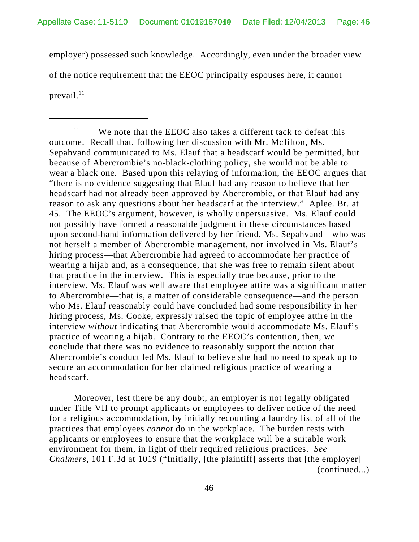employer) possessed such knowledge. Accordingly, even under the broader view of the notice requirement that the EEOC principally espouses here, it cannot prevail. $^{11}$ 

Moreover, lest there be any doubt, an employer is not legally obligated under Title VII to prompt applicants or employees to deliver notice of the need for a religious accommodation, by initially recounting a laundry list of all of the practices that employees *cannot* do in the workplace. The burden rests with applicants or employees to ensure that the workplace will be a suitable work environment for them, in light of their required religious practices. *See Chalmers*, 101 F.3d at 1019 ("Initially, [the plaintiff] asserts that [the employer] (continued...)

 $11$  We note that the EEOC also takes a different tack to defeat this outcome. Recall that, following her discussion with Mr. McJilton, Ms. Sepahvand communicated to Ms. Elauf that a headscarf would be permitted, but because of Abercrombie's no-black-clothing policy, she would not be able to wear a black one. Based upon this relaying of information, the EEOC argues that "there is no evidence suggesting that Elauf had any reason to believe that her headscarf had not already been approved by Abercrombie, or that Elauf had any reason to ask any questions about her headscarf at the interview." Aplee. Br. at 45. The EEOC's argument, however, is wholly unpersuasive. Ms. Elauf could not possibly have formed a reasonable judgment in these circumstances based upon second-hand information delivered by her friend, Ms. Sepahvand—who was not herself a member of Abercrombie management, nor involved in Ms. Elauf's hiring process—that Abercrombie had agreed to accommodate her practice of wearing a hijab and, as a consequence, that she was free to remain silent about that practice in the interview. This is especially true because, prior to the interview, Ms. Elauf was well aware that employee attire was a significant matter to Abercrombie—that is, a matter of considerable consequence—and the person who Ms. Elauf reasonably could have concluded had some responsibility in her hiring process, Ms. Cooke, expressly raised the topic of employee attire in the interview *without* indicating that Abercrombie would accommodate Ms. Elauf's practice of wearing a hijab. Contrary to the EEOC's contention, then, we conclude that there was no evidence to reasonably support the notion that Abercrombie's conduct led Ms. Elauf to believe she had no need to speak up to secure an accommodation for her claimed religious practice of wearing a headscarf.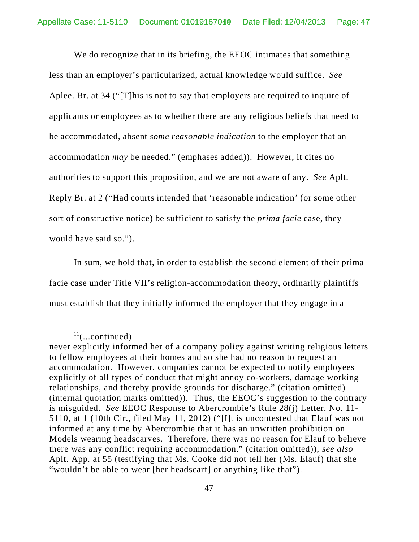We do recognize that in its briefing, the EEOC intimates that something less than an employer's particularized, actual knowledge would suffice. *See* Aplee. Br. at 34 ("[T]his is not to say that employers are required to inquire of applicants or employees as to whether there are any religious beliefs that need to be accommodated, absent *some reasonable indication* to the employer that an accommodation *may* be needed." (emphases added)). However, it cites no authorities to support this proposition, and we are not aware of any. *See* Aplt. Reply Br. at 2 ("Had courts intended that 'reasonable indication' (or some other sort of constructive notice) be sufficient to satisfy the *prima facie* case, they would have said so.").

In sum, we hold that, in order to establish the second element of their prima facie case under Title VII's religion-accommodation theory, ordinarily plaintiffs must establish that they initially informed the employer that they engage in a

 $11$ (...continued)

never explicitly informed her of a company policy against writing religious letters to fellow employees at their homes and so she had no reason to request an accommodation. However, companies cannot be expected to notify employees explicitly of all types of conduct that might annoy co-workers, damage working relationships, and thereby provide grounds for discharge." (citation omitted) (internal quotation marks omitted)). Thus, the EEOC's suggestion to the contrary is misguided. *See* EEOC Response to Abercrombie's Rule 28(j) Letter, No. 11- 5110, at 1 (10th Cir., filed May 11, 2012) ("[I]t is uncontested that Elauf was not informed at any time by Abercrombie that it has an unwritten prohibition on Models wearing headscarves. Therefore, there was no reason for Elauf to believe there was any conflict requiring accommodation." (citation omitted)); *see also* Aplt. App. at 55 (testifying that Ms. Cooke did not tell her (Ms. Elauf) that she "wouldn't be able to wear [her headscarf] or anything like that").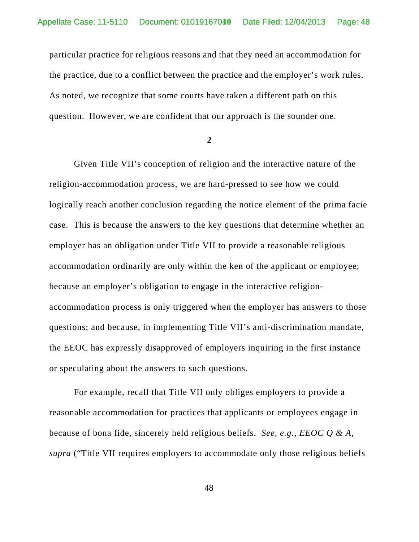particular practice for religious reasons and that they need an accommodation for the practice, due to a conflict between the practice and the employer's work rules. As noted, we recognize that some courts have taken a different path on this question. However, we are confident that our approach is the sounder one.

**2**

Given Title VII's conception of religion and the interactive nature of the religion-accommodation process, we are hard-pressed to see how we could logically reach another conclusion regarding the notice element of the prima facie case. This is because the answers to the key questions that determine whether an employer has an obligation under Title VII to provide a reasonable religious accommodation ordinarily are only within the ken of the applicant or employee; because an employer's obligation to engage in the interactive religionaccommodation process is only triggered when the employer has answers to those questions; and because, in implementing Title VII's anti-discrimination mandate, the EEOC has expressly disapproved of employers inquiring in the first instance or speculating about the answers to such questions.

For example, recall that Title VII only obliges employers to provide a reasonable accommodation for practices that applicants or employees engage in because of bona fide, sincerely held religious beliefs. *See, e.g.*, *EEOC Q & A*, *supra* ("Title VII requires employers to accommodate only those religious beliefs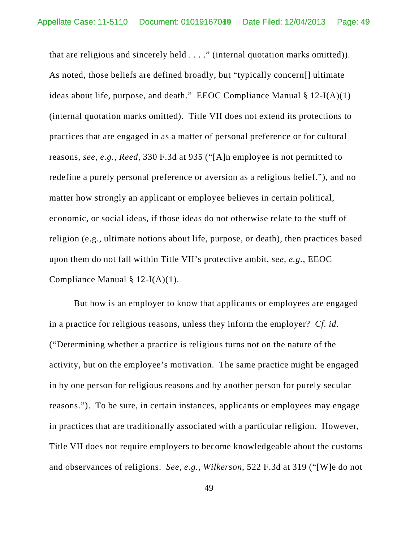that are religious and sincerely held . . . ." (internal quotation marks omitted)). As noted, those beliefs are defined broadly, but "typically concern[] ultimate ideas about life, purpose, and death." EEOC Compliance Manual  $\S 12-I(A)(1)$ (internal quotation marks omitted). Title VII does not extend its protections to practices that are engaged in as a matter of personal preference or for cultural reasons, *see, e.g.*, *Reed*, 330 F.3d at 935 ("[A]n employee is not permitted to redefine a purely personal preference or aversion as a religious belief."), and no matter how strongly an applicant or employee believes in certain political, economic, or social ideas, if those ideas do not otherwise relate to the stuff of religion (e.g., ultimate notions about life, purpose, or death), then practices based upon them do not fall within Title VII's protective ambit, *see, e.g.*, EEOC Compliance Manual § 12-I(A)(1).

But how is an employer to know that applicants or employees are engaged in a practice for religious reasons, unless they inform the employer? *Cf. id.* ("Determining whether a practice is religious turns not on the nature of the activity, but on the employee's motivation. The same practice might be engaged in by one person for religious reasons and by another person for purely secular reasons."). To be sure, in certain instances, applicants or employees may engage in practices that are traditionally associated with a particular religion. However, Title VII does not require employers to become knowledgeable about the customs and observances of religions. *See, e.g.*, *Wilkerson*, 522 F.3d at 319 ("[W]e do not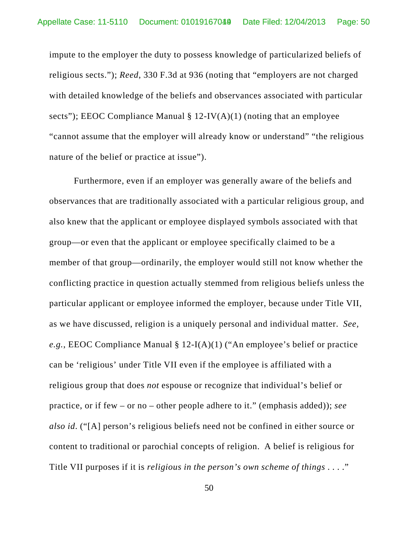impute to the employer the duty to possess knowledge of particularized beliefs of religious sects."); *Reed*, 330 F.3d at 936 (noting that "employers are not charged with detailed knowledge of the beliefs and observances associated with particular sects"); EEOC Compliance Manual  $\S 12$ -IV(A)(1) (noting that an employee "cannot assume that the employer will already know or understand" "the religious nature of the belief or practice at issue").

Furthermore, even if an employer was generally aware of the beliefs and observances that are traditionally associated with a particular religious group, and also knew that the applicant or employee displayed symbols associated with that group—or even that the applicant or employee specifically claimed to be a member of that group—ordinarily, the employer would still not know whether the conflicting practice in question actually stemmed from religious beliefs unless the particular applicant or employee informed the employer, because under Title VII, as we have discussed, religion is a uniquely personal and individual matter. *See, e.g.*, EEOC Compliance Manual § 12-I(A)(1) ("An employee's belief or practice can be 'religious' under Title VII even if the employee is affiliated with a religious group that does *not* espouse or recognize that individual's belief or practice, or if few – or no – other people adhere to it." (emphasis added)); *see also id*. ("[A] person's religious beliefs need not be confined in either source or content to traditional or parochial concepts of religion. A belief is religious for Title VII purposes if it is *religious in the person's own scheme of things* . . . ."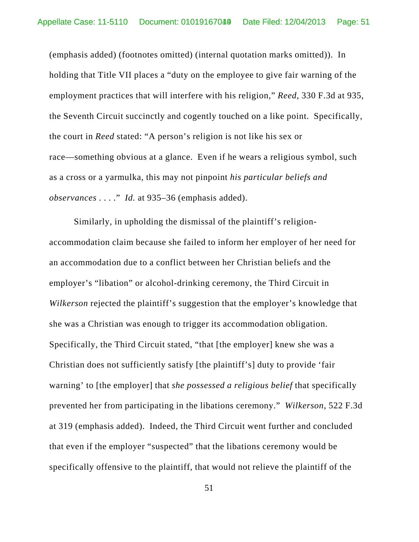(emphasis added) (footnotes omitted) (internal quotation marks omitted)). In holding that Title VII places a "duty on the employee to give fair warning of the employment practices that will interfere with his religion," *Reed*, 330 F.3d at 935, the Seventh Circuit succinctly and cogently touched on a like point. Specifically, the court in *Reed* stated: "A person's religion is not like his sex or race—something obvious at a glance. Even if he wears a religious symbol, such as a cross or a yarmulka, this may not pinpoint *his particular beliefs and observances* . . . ." *Id.* at 935–36 (emphasis added).

Similarly, in upholding the dismissal of the plaintiff's religionaccommodation claim because she failed to inform her employer of her need for an accommodation due to a conflict between her Christian beliefs and the employer's "libation" or alcohol-drinking ceremony, the Third Circuit in *Wilkerson* rejected the plaintiff's suggestion that the employer's knowledge that she was a Christian was enough to trigger its accommodation obligation. Specifically, the Third Circuit stated, "that [the employer] knew she was a Christian does not sufficiently satisfy [the plaintiff's] duty to provide 'fair warning' to [the employer] that *she possessed a religious belief* that specifically prevented her from participating in the libations ceremony." *Wilkerson*, 522 F.3d at 319 (emphasis added). Indeed, the Third Circuit went further and concluded that even if the employer "suspected" that the libations ceremony would be specifically offensive to the plaintiff, that would not relieve the plaintiff of the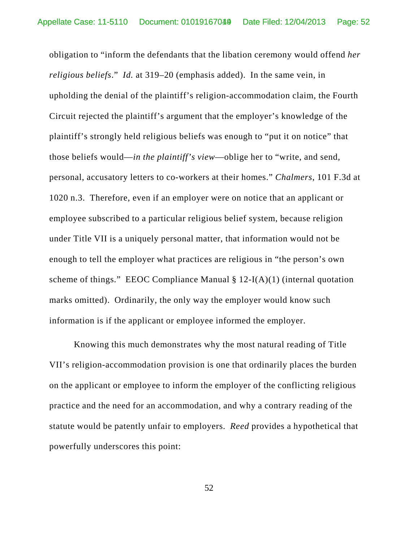obligation to "inform the defendants that the libation ceremony would offend *her religious beliefs*." *Id.* at 319–20 (emphasis added). In the same vein, in upholding the denial of the plaintiff's religion-accommodation claim, the Fourth Circuit rejected the plaintiff's argument that the employer's knowledge of the plaintiff's strongly held religious beliefs was enough to "put it on notice" that those beliefs would—*in the plaintiff's view*—oblige her to "write, and send, personal, accusatory letters to co-workers at their homes." *Chalmers*, 101 F.3d at 1020 n.3. Therefore, even if an employer were on notice that an applicant or employee subscribed to a particular religious belief system, because religion under Title VII is a uniquely personal matter, that information would not be enough to tell the employer what practices are religious in "the person's own scheme of things." EEOC Compliance Manual  $\S 12-I(A)(1)$  (internal quotation marks omitted). Ordinarily, the only way the employer would know such information is if the applicant or employee informed the employer.

Knowing this much demonstrates why the most natural reading of Title VII's religion-accommodation provision is one that ordinarily places the burden on the applicant or employee to inform the employer of the conflicting religious practice and the need for an accommodation, and why a contrary reading of the statute would be patently unfair to employers. *Reed* provides a hypothetical that powerfully underscores this point: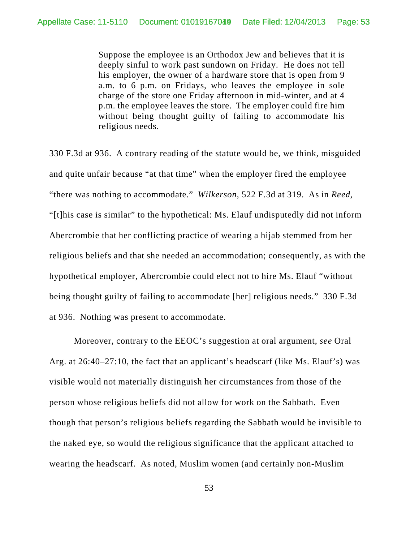Suppose the employee is an Orthodox Jew and believes that it is deeply sinful to work past sundown on Friday. He does not tell his employer, the owner of a hardware store that is open from 9 a.m. to 6 p.m. on Fridays, who leaves the employee in sole charge of the store one Friday afternoon in mid-winter, and at 4 p.m. the employee leaves the store. The employer could fire him without being thought guilty of failing to accommodate his religious needs.

330 F.3d at 936. A contrary reading of the statute would be, we think, misguided and quite unfair because "at that time" when the employer fired the employee "there was nothing to accommodate." *Wilkerson*, 522 F.3d at 319. As in *Reed*, "[t]his case is similar" to the hypothetical: Ms. Elauf undisputedly did not inform Abercrombie that her conflicting practice of wearing a hijab stemmed from her religious beliefs and that she needed an accommodation; consequently, as with the hypothetical employer, Abercrombie could elect not to hire Ms. Elauf "without being thought guilty of failing to accommodate [her] religious needs." 330 F.3d at 936. Nothing was present to accommodate.

Moreover, contrary to the EEOC's suggestion at oral argument, *see* Oral Arg. at 26:40–27:10, the fact that an applicant's headscarf (like Ms. Elauf's) was visible would not materially distinguish her circumstances from those of the person whose religious beliefs did not allow for work on the Sabbath. Even though that person's religious beliefs regarding the Sabbath would be invisible to the naked eye, so would the religious significance that the applicant attached to wearing the headscarf. As noted, Muslim women (and certainly non-Muslim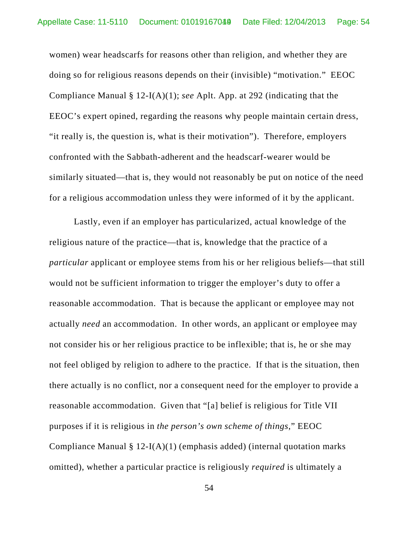women) wear headscarfs for reasons other than religion, and whether they are doing so for religious reasons depends on their (invisible) "motivation." EEOC Compliance Manual § 12-I(A)(1); *see* Aplt. App. at 292 (indicating that the EEOC's expert opined, regarding the reasons why people maintain certain dress, "it really is, the question is, what is their motivation"). Therefore, employers confronted with the Sabbath-adherent and the headscarf-wearer would be similarly situated—that is, they would not reasonably be put on notice of the need for a religious accommodation unless they were informed of it by the applicant.

Lastly, even if an employer has particularized, actual knowledge of the religious nature of the practice—that is, knowledge that the practice of a *particular* applicant or employee stems from his or her religious beliefs—that still would not be sufficient information to trigger the employer's duty to offer a reasonable accommodation. That is because the applicant or employee may not actually *need* an accommodation. In other words, an applicant or employee may not consider his or her religious practice to be inflexible; that is, he or she may not feel obliged by religion to adhere to the practice. If that is the situation, then there actually is no conflict, nor a consequent need for the employer to provide a reasonable accommodation. Given that "[a] belief is religious for Title VII purposes if it is religious in *the person's own scheme of things*," EEOC Compliance Manual  $\S 12-I(A)(1)$  (emphasis added) (internal quotation marks omitted), whether a particular practice is religiously *required* is ultimately a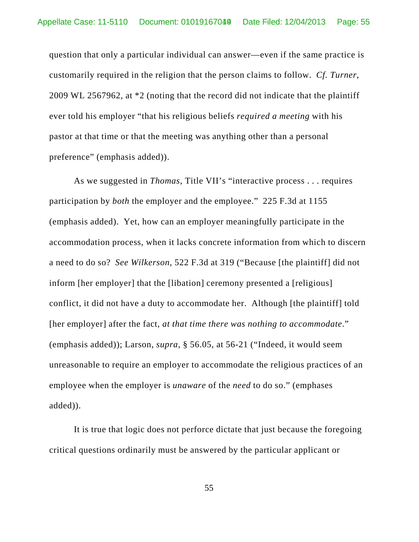question that only a particular individual can answer—even if the same practice is customarily required in the religion that the person claims to follow. *Cf. Turner*, 2009 WL 2567962, at \*2 (noting that the record did not indicate that the plaintiff ever told his employer "that his religious beliefs *required a meeting* with his pastor at that time or that the meeting was anything other than a personal preference" (emphasis added)).

As we suggested in *Thomas*, Title VII's "interactive process . . . requires participation by *both* the employer and the employee." 225 F.3d at 1155 (emphasis added). Yet, how can an employer meaningfully participate in the accommodation process, when it lacks concrete information from which to discern a need to do so? *See Wilkerson*, 522 F.3d at 319 ("Because [the plaintiff] did not inform [her employer] that the [libation] ceremony presented a [religious] conflict, it did not have a duty to accommodate her. Although [the plaintiff] told [her employer] after the fact, *at that time there was nothing to accommodate*." (emphasis added)); Larson, *supra*, § 56.05, at 56-21 ("Indeed, it would seem unreasonable to require an employer to accommodate the religious practices of an employee when the employer is *unaware* of the *need* to do so." (emphases added)).

It is true that logic does not perforce dictate that just because the foregoing critical questions ordinarily must be answered by the particular applicant or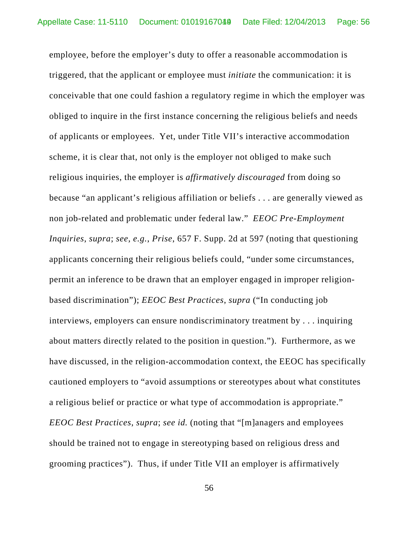employee, before the employer's duty to offer a reasonable accommodation is triggered, that the applicant or employee must *initiate* the communication: it is conceivable that one could fashion a regulatory regime in which the employer was obliged to inquire in the first instance concerning the religious beliefs and needs of applicants or employees. Yet, under Title VII's interactive accommodation scheme, it is clear that, not only is the employer not obliged to make such religious inquiries, the employer is *affirmatively discouraged* from doing so because "an applicant's religious affiliation or beliefs . . . are generally viewed as non job-related and problematic under federal law." *EEOC Pre-Employment Inquiries*, *supra*; *see, e.g.*, *Prise*, 657 F. Supp. 2d at 597 (noting that questioning applicants concerning their religious beliefs could, "under some circumstances, permit an inference to be drawn that an employer engaged in improper religionbased discrimination"); *EEOC Best Practices*, *supra* ("In conducting job interviews, employers can ensure nondiscriminatory treatment by . . . inquiring about matters directly related to the position in question."). Furthermore, as we have discussed, in the religion-accommodation context, the EEOC has specifically cautioned employers to "avoid assumptions or stereotypes about what constitutes a religious belief or practice or what type of accommodation is appropriate." *EEOC Best Practices*, *supra*; *see id.* (noting that "[m]anagers and employees should be trained not to engage in stereotyping based on religious dress and grooming practices"). Thus, if under Title VII an employer is affirmatively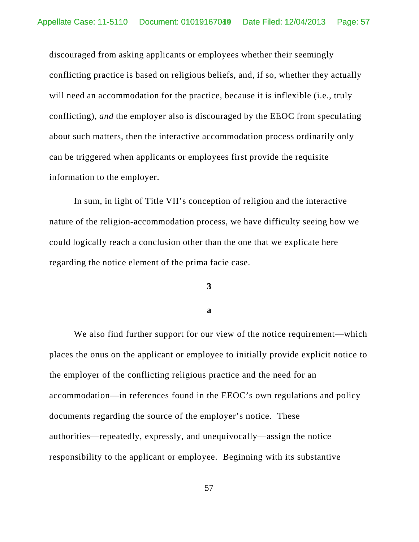discouraged from asking applicants or employees whether their seemingly conflicting practice is based on religious beliefs, and, if so, whether they actually will need an accommodation for the practice, because it is inflexible (i.e., truly conflicting), *and* the employer also is discouraged by the EEOC from speculating about such matters, then the interactive accommodation process ordinarily only can be triggered when applicants or employees first provide the requisite information to the employer.

In sum, in light of Title VII's conception of religion and the interactive nature of the religion-accommodation process, we have difficulty seeing how we could logically reach a conclusion other than the one that we explicate here regarding the notice element of the prima facie case.

### **3**

#### **a**

We also find further support for our view of the notice requirement—which places the onus on the applicant or employee to initially provide explicit notice to the employer of the conflicting religious practice and the need for an accommodation—in references found in the EEOC's own regulations and policy documents regarding the source of the employer's notice. These authorities—repeatedly, expressly, and unequivocally—assign the notice responsibility to the applicant or employee. Beginning with its substantive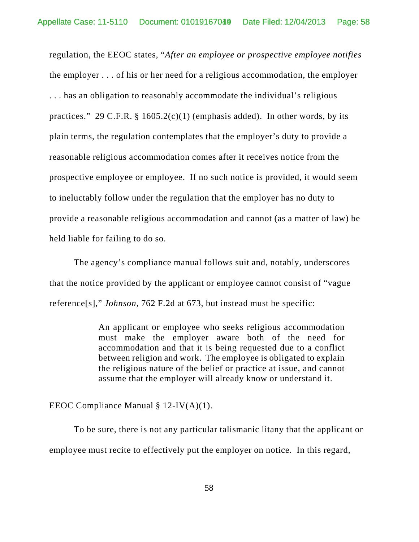regulation, the EEOC states, "*After an employee or prospective employee notifies* the employer . . . of his or her need for a religious accommodation, the employer . . . has an obligation to reasonably accommodate the individual's religious practices." 29 C.F.R.  $\S 1605.2(c)(1)$  (emphasis added). In other words, by its plain terms, the regulation contemplates that the employer's duty to provide a reasonable religious accommodation comes after it receives notice from the prospective employee or employee. If no such notice is provided, it would seem to ineluctably follow under the regulation that the employer has no duty to provide a reasonable religious accommodation and cannot (as a matter of law) be held liable for failing to do so.

The agency's compliance manual follows suit and, notably, underscores that the notice provided by the applicant or employee cannot consist of "vague reference[s]," *Johnson*, 762 F.2d at 673, but instead must be specific:

> An applicant or employee who seeks religious accommodation must make the employer aware both of the need for accommodation and that it is being requested due to a conflict between religion and work. The employee is obligated to explain the religious nature of the belief or practice at issue, and cannot assume that the employer will already know or understand it.

EEOC Compliance Manual § 12-IV(A)(1).

To be sure, there is not any particular talismanic litany that the applicant or employee must recite to effectively put the employer on notice. In this regard,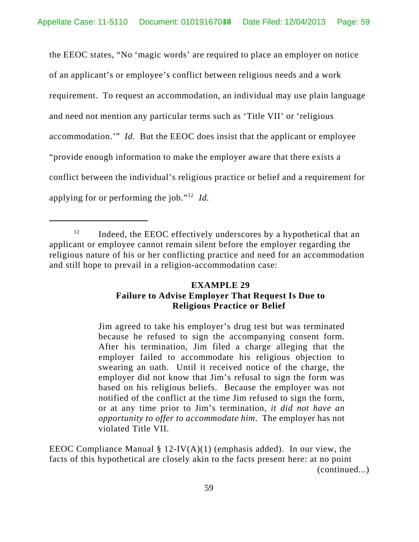the EEOC states, "No 'magic words' are required to place an employer on notice of an applicant's or employee's conflict between religious needs and a work requirement. To request an accommodation, an individual may use plain language and need not mention any particular terms such as 'Title VII' or 'religious accommodation.'" *Id.* But the EEOC does insist that the applicant or employee "provide enough information to make the employer aware that there exists a conflict between the individual's religious practice or belief and a requirement for applying for or performing the job."12 *Id.* 

## **EXAMPLE 29 Failure to Advise Employer That Request Is Due to Religious Practice or Belief**

Jim agreed to take his employer's drug test but was terminated because he refused to sign the accompanying consent form. After his termination, Jim filed a charge alleging that the employer failed to accommodate his religious objection to swearing an oath. Until it received notice of the charge, the employer did not know that Jim's refusal to sign the form was based on his religious beliefs. Because the employer was not notified of the conflict at the time Jim refused to sign the form, or at any time prior to Jim's termination, *it did not have an opportunity to offer to accommodate him*. The employer has not violated Title VII.

EEOC Compliance Manual  $\S 12$ -IV(A)(1) (emphasis added). In our view, the facts of this hypothetical are closely akin to the facts present here: at no point (continued...)

 $12$  Indeed, the EEOC effectively underscores by a hypothetical that an applicant or employee cannot remain silent before the employer regarding the religious nature of his or her conflicting practice and need for an accommodation and still hope to prevail in a religion-accommodation case: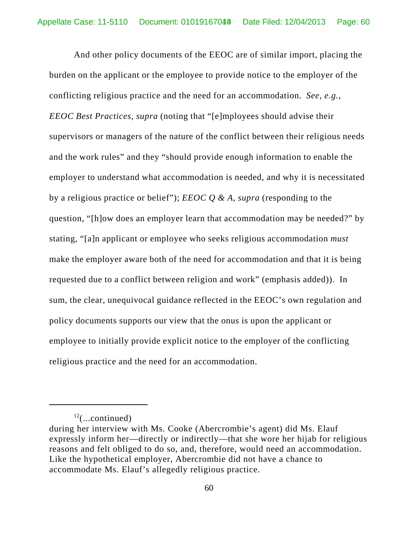And other policy documents of the EEOC are of similar import, placing the burden on the applicant or the employee to provide notice to the employer of the conflicting religious practice and the need for an accommodation. *See, e.g.*, *EEOC Best Practices*, *supra* (noting that "[e]mployees should advise their supervisors or managers of the nature of the conflict between their religious needs and the work rules" and they "should provide enough information to enable the employer to understand what accommodation is needed, and why it is necessitated by a religious practice or belief"); *EEOC Q & A*, *supra* (responding to the question, "[h]ow does an employer learn that accommodation may be needed?" by stating, "[a]n applicant or employee who seeks religious accommodation *must* make the employer aware both of the need for accommodation and that it is being requested due to a conflict between religion and work" (emphasis added)). In sum, the clear, unequivocal guidance reflected in the EEOC's own regulation and policy documents supports our view that the onus is upon the applicant or employee to initially provide explicit notice to the employer of the conflicting religious practice and the need for an accommodation.

 $12$ (...continued)

during her interview with Ms. Cooke (Abercrombie's agent) did Ms. Elauf expressly inform her—directly or indirectly—that she wore her hijab for religious reasons and felt obliged to do so, and, therefore, would need an accommodation. Like the hypothetical employer, Abercrombie did not have a chance to accommodate Ms. Elauf's allegedly religious practice.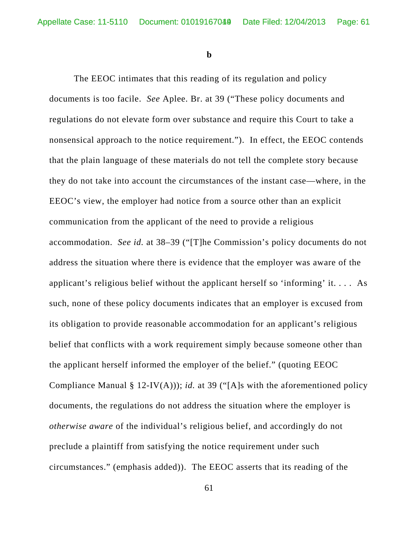**b**

The EEOC intimates that this reading of its regulation and policy documents is too facile. *See* Aplee. Br. at 39 ("These policy documents and regulations do not elevate form over substance and require this Court to take a nonsensical approach to the notice requirement."). In effect, the EEOC contends that the plain language of these materials do not tell the complete story because they do not take into account the circumstances of the instant case—where, in the EEOC's view, the employer had notice from a source other than an explicit communication from the applicant of the need to provide a religious accommodation. *See id.* at 38–39 ("[T]he Commission's policy documents do not address the situation where there is evidence that the employer was aware of the applicant's religious belief without the applicant herself so 'informing' it. . . . As such, none of these policy documents indicates that an employer is excused from its obligation to provide reasonable accommodation for an applicant's religious belief that conflicts with a work requirement simply because someone other than the applicant herself informed the employer of the belief." (quoting EEOC Compliance Manual § 12-IV(A))); *id.* at 39 ("[A]s with the aforementioned policy documents, the regulations do not address the situation where the employer is *otherwise aware* of the individual's religious belief, and accordingly do not preclude a plaintiff from satisfying the notice requirement under such circumstances." (emphasis added)). The EEOC asserts that its reading of the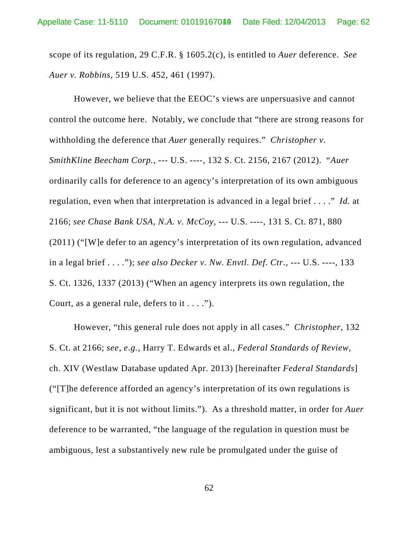scope of its regulation, 29 C.F.R. § 1605.2(c), is entitled to *Auer* deference. *See Auer v. Robbins*, 519 U.S. 452, 461 (1997).

However, we believe that the EEOC's views are unpersuasive and cannot control the outcome here. Notably, we conclude that "there are strong reasons for withholding the deference that *Auer* generally requires." *Christopher v. SmithKline Beecham Corp.*, --- U.S. ----, 132 S. Ct. 2156, 2167 (2012). "*Auer* ordinarily calls for deference to an agency's interpretation of its own ambiguous regulation, even when that interpretation is advanced in a legal brief . . . ." *Id.* at 2166; *see Chase Bank USA, N.A. v. McCoy*, --- U.S. ----, 131 S. Ct. 871, 880 (2011) ("[W]e defer to an agency's interpretation of its own regulation, advanced in a legal brief . . . ."); *see also Decker v. Nw. Envtl. Def. Ctr.*, --- U.S. ----, 133 S. Ct. 1326, 1337 (2013) ("When an agency interprets its own regulation, the Court, as a general rule, defers to it  $\dots$ .").

However, "this general rule does not apply in all cases." *Christopher*, 132 S. Ct. at 2166; *see, e.g.*, Harry T. Edwards et al., *Federal Standards of Review*, ch. XIV (Westlaw Database updated Apr. 2013) [hereinafter *Federal Standards*] ("[T]he deference afforded an agency's interpretation of its own regulations is significant, but it is not without limits."). As a threshold matter, in order for *Auer* deference to be warranted, "the language of the regulation in question must be ambiguous, lest a substantively new rule be promulgated under the guise of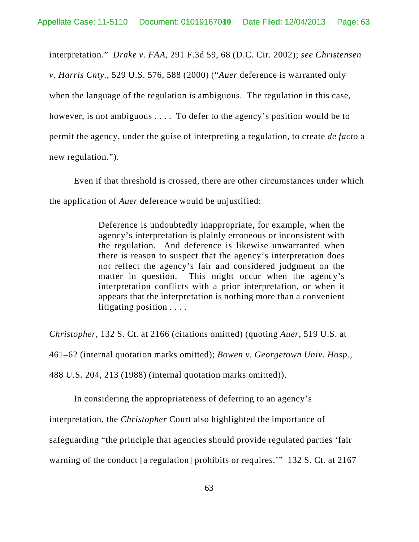interpretation." *Drake v. FAA*, 291 F.3d 59, 68 (D.C. Cir. 2002); *see Christensen v. Harris Cnty.*, 529 U.S. 576, 588 (2000) ("*Auer* deference is warranted only when the language of the regulation is ambiguous. The regulation in this case, however, is not ambiguous . . . . To defer to the agency's position would be to permit the agency, under the guise of interpreting a regulation, to create *de facto* a new regulation.").

Even if that threshold is crossed, there are other circumstances under which the application of *Auer* deference would be unjustified:

> Deference is undoubtedly inappropriate, for example, when the agency's interpretation is plainly erroneous or inconsistent with the regulation. And deference is likewise unwarranted when there is reason to suspect that the agency's interpretation does not reflect the agency's fair and considered judgment on the matter in question. This might occur when the agency's interpretation conflicts with a prior interpretation, or when it appears that the interpretation is nothing more than a convenient litigating position . . . .

*Christopher*, 132 S. Ct. at 2166 (citations omitted) (quoting *Auer*, 519 U.S. at 461–62 (internal quotation marks omitted); *Bowen v. Georgetown Univ. Hosp.*, 488 U.S. 204, 213 (1988) (internal quotation marks omitted)).

In considering the appropriateness of deferring to an agency's

interpretation, the *Christopher* Court also highlighted the importance of

safeguarding "the principle that agencies should provide regulated parties 'fair

warning of the conduct [a regulation] prohibits or requires.'" 132 S. Ct. at 2167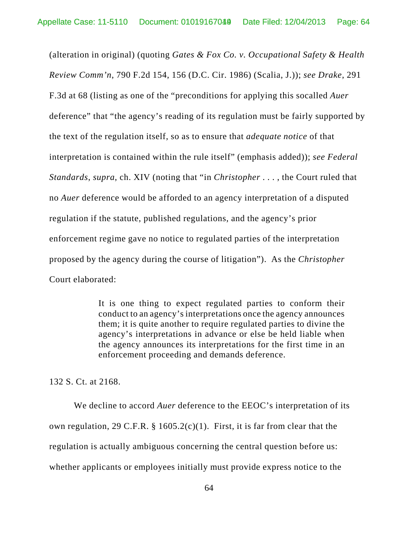(alteration in original) (quoting *Gates & Fox Co. v. Occupational Safety & Health Review Comm'n*, 790 F.2d 154, 156 (D.C. Cir. 1986) (Scalia, J.)); *see Drake*, 291 F.3d at 68 (listing as one of the "preconditions for applying this socalled *Auer* deference" that "the agency's reading of its regulation must be fairly supported by the text of the regulation itself, so as to ensure that *adequate notice* of that interpretation is contained within the rule itself" (emphasis added)); *see Federal Standards*, *supra*, ch. XIV (noting that "in *Christopher* . . . , the Court ruled that no *Auer* deference would be afforded to an agency interpretation of a disputed regulation if the statute, published regulations, and the agency's prior enforcement regime gave no notice to regulated parties of the interpretation proposed by the agency during the course of litigation"). As the *Christopher* Court elaborated:

> It is one thing to expect regulated parties to conform their conduct to an agency's interpretations once the agency announces them; it is quite another to require regulated parties to divine the agency's interpretations in advance or else be held liable when the agency announces its interpretations for the first time in an enforcement proceeding and demands deference.

132 S. Ct. at 2168.

We decline to accord *Auer* deference to the EEOC's interpretation of its own regulation, 29 C.F.R. § 1605.2(c)(1). First, it is far from clear that the regulation is actually ambiguous concerning the central question before us: whether applicants or employees initially must provide express notice to the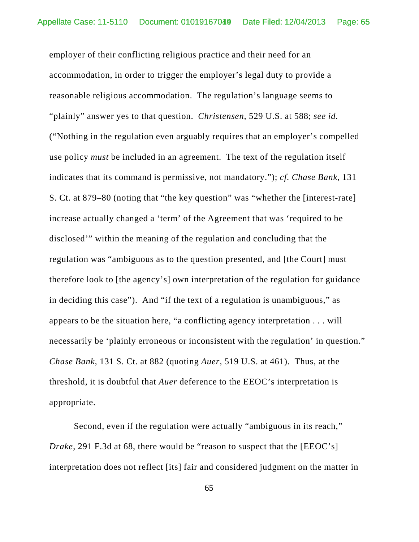employer of their conflicting religious practice and their need for an accommodation, in order to trigger the employer's legal duty to provide a reasonable religious accommodation. The regulation's language seems to "plainly" answer yes to that question. *Christensen*, 529 U.S. at 588; *see id.* ("Nothing in the regulation even arguably requires that an employer's compelled use policy *must* be included in an agreement. The text of the regulation itself indicates that its command is permissive, not mandatory."); *cf. Chase Bank*, 131 S. Ct. at 879–80 (noting that "the key question" was "whether the [interest-rate] increase actually changed a 'term' of the Agreement that was 'required to be disclosed'" within the meaning of the regulation and concluding that the regulation was "ambiguous as to the question presented, and [the Court] must therefore look to [the agency's] own interpretation of the regulation for guidance in deciding this case"). And "if the text of a regulation is unambiguous," as appears to be the situation here, "a conflicting agency interpretation . . . will necessarily be 'plainly erroneous or inconsistent with the regulation' in question." *Chase Bank*, 131 S. Ct. at 882 (quoting *Auer*, 519 U.S. at 461). Thus, at the threshold, it is doubtful that *Auer* deference to the EEOC's interpretation is appropriate.

Second, even if the regulation were actually "ambiguous in its reach," *Drake*, 291 F.3d at 68, there would be "reason to suspect that the [EEOC's] interpretation does not reflect [its] fair and considered judgment on the matter in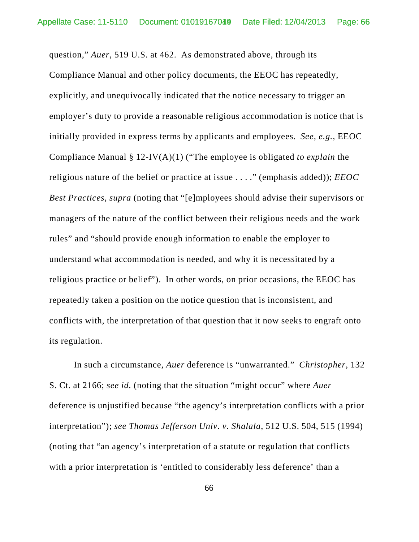question," *Auer*, 519 U.S. at 462. As demonstrated above, through its Compliance Manual and other policy documents, the EEOC has repeatedly, explicitly, and unequivocally indicated that the notice necessary to trigger an employer's duty to provide a reasonable religious accommodation is notice that is initially provided in express terms by applicants and employees. *See, e.g.*, EEOC Compliance Manual § 12-IV(A)(1) ("The employee is obligated *to explain* the religious nature of the belief or practice at issue . . . ." (emphasis added)); *EEOC Best Practices*, *supra* (noting that "[e]mployees should advise their supervisors or managers of the nature of the conflict between their religious needs and the work rules" and "should provide enough information to enable the employer to understand what accommodation is needed, and why it is necessitated by a religious practice or belief"). In other words, on prior occasions, the EEOC has repeatedly taken a position on the notice question that is inconsistent, and conflicts with, the interpretation of that question that it now seeks to engraft onto its regulation.

In such a circumstance, *Auer* deference is "unwarranted." *Christopher*, 132 S. Ct. at 2166; *see id.* (noting that the situation "might occur" where *Auer* deference is unjustified because "the agency's interpretation conflicts with a prior interpretation"); *see Thomas Jefferson Univ. v. Shalala*, 512 U.S. 504, 515 (1994) (noting that "an agency's interpretation of a statute or regulation that conflicts with a prior interpretation is 'entitled to considerably less deference' than a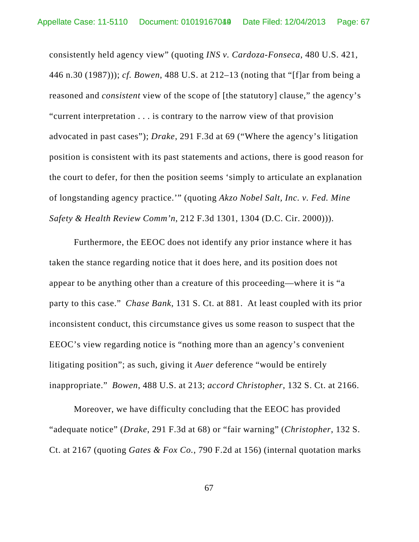consistently held agency view" (quoting *INS v. Cardoza-Fonseca*, 480 U.S. 421, 446 n.30 (1987))); *cf. Bowen*, 488 U.S. at 212–13 (noting that "[f]ar from being a reasoned and *consistent* view of the scope of [the statutory] clause," the agency's "current interpretation . . . is contrary to the narrow view of that provision advocated in past cases"); *Drake*, 291 F.3d at 69 ("Where the agency's litigation position is consistent with its past statements and actions, there is good reason for the court to defer, for then the position seems 'simply to articulate an explanation of longstanding agency practice.'" (quoting *Akzo Nobel Salt, Inc. v. Fed. Mine Safety & Health Review Comm'n*, 212 F.3d 1301, 1304 (D.C. Cir. 2000))).

Furthermore, the EEOC does not identify any prior instance where it has taken the stance regarding notice that it does here, and its position does not appear to be anything other than a creature of this proceeding—where it is "a party to this case." *Chase Bank*, 131 S. Ct. at 881. At least coupled with its prior inconsistent conduct, this circumstance gives us some reason to suspect that the EEOC's view regarding notice is "nothing more than an agency's convenient litigating position"; as such, giving it *Auer* deference "would be entirely inappropriate." *Bowen*, 488 U.S. at 213; *accord Christopher*, 132 S. Ct. at 2166.

Moreover, we have difficulty concluding that the EEOC has provided "adequate notice" (*Drake*, 291 F.3d at 68) or "fair warning" (*Christopher*, 132 S. Ct. at 2167 (quoting *Gates & Fox Co.*, 790 F.2d at 156) (internal quotation marks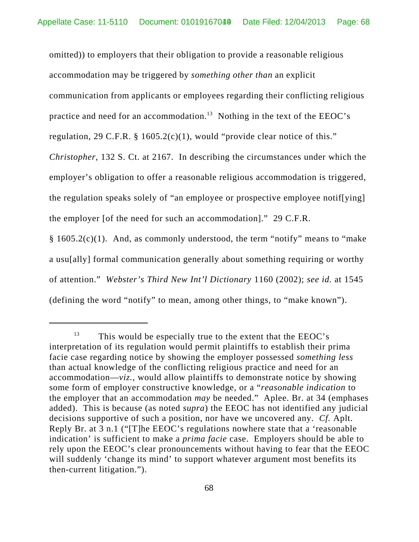omitted)) to employers that their obligation to provide a reasonable religious accommodation may be triggered by *something other than* an explicit communication from applicants or employees regarding their conflicting religious practice and need for an accommodation.<sup>13</sup> Nothing in the text of the EEOC's regulation, 29 C.F.R. § 1605.2(c)(1), would "provide clear notice of this." *Christopher*, 132 S. Ct. at 2167. In describing the circumstances under which the employer's obligation to offer a reasonable religious accommodation is triggered, the regulation speaks solely of "an employee or prospective employee notif[ying] the employer [of the need for such an accommodation]." 29 C.F.R.

§ 1605.2(c)(1). And, as commonly understood, the term "notify" means to "make a usu[ally] formal communication generally about something requiring or worthy of attention." *Webster's Third New Int'l Dictionary* 1160 (2002); *see id.* at 1545 (defining the word "notify" to mean, among other things, to "make known").

 $13$  This would be especially true to the extent that the EEOC's interpretation of its regulation would permit plaintiffs to establish their prima facie case regarding notice by showing the employer possessed *something less* than actual knowledge of the conflicting religious practice and need for an accommodation—*viz.*, would allow plaintiffs to demonstrate notice by showing some form of employer constructive knowledge, or a "*reasonable indication* to the employer that an accommodation *may* be needed." Aplee. Br. at 34 (emphases added). This is because (as noted *supra*) the EEOC has not identified any judicial decisions supportive of such a position, nor have we uncovered any. *Cf.* Aplt. Reply Br. at 3 n.1 ("[T]he EEOC's regulations nowhere state that a 'reasonable indication' is sufficient to make a *prima facie* case. Employers should be able to rely upon the EEOC's clear pronouncements without having to fear that the EEOC will suddenly 'change its mind' to support whatever argument most benefits its then-current litigation.").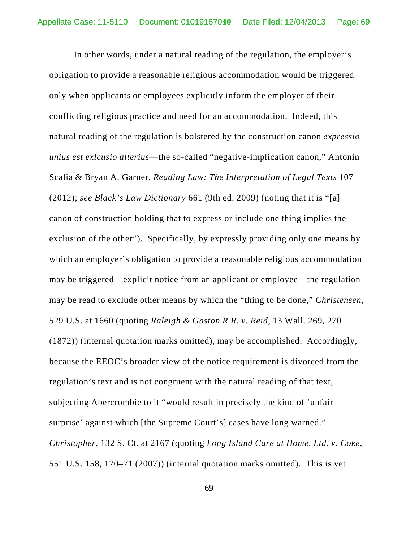In other words, under a natural reading of the regulation, the employer's obligation to provide a reasonable religious accommodation would be triggered only when applicants or employees explicitly inform the employer of their conflicting religious practice and need for an accommodation. Indeed, this natural reading of the regulation is bolstered by the construction canon *expressio unius est exlcusio alterius*—the so-called "negative-implication canon," Antonin Scalia & Bryan A. Garner, *Reading Law: The Interpretation of Legal Texts* 107 (2012); *see Black's Law Dictionary* 661 (9th ed. 2009) (noting that it is "[a] canon of construction holding that to express or include one thing implies the exclusion of the other"). Specifically, by expressly providing only one means by which an employer's obligation to provide a reasonable religious accommodation may be triggered—explicit notice from an applicant or employee—the regulation may be read to exclude other means by which the "thing to be done," *Christensen*, 529 U.S. at 1660 (quoting *Raleigh & Gaston R.R. v. Reid*, 13 Wall. 269, 270 (1872)) (internal quotation marks omitted), may be accomplished. Accordingly, because the EEOC's broader view of the notice requirement is divorced from the regulation's text and is not congruent with the natural reading of that text, subjecting Abercrombie to it "would result in precisely the kind of 'unfair surprise' against which [the Supreme Court's] cases have long warned." *Christopher*, 132 S. Ct. at 2167 (quoting *Long Island Care at Home, Ltd. v. Coke*, 551 U.S. 158, 170–71 (2007)) (internal quotation marks omitted). This is yet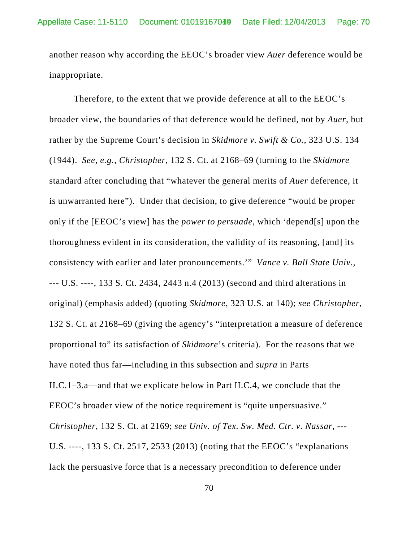another reason why according the EEOC's broader view *Auer* deference would be inappropriate.

Therefore, to the extent that we provide deference at all to the EEOC's broader view, the boundaries of that deference would be defined, not by *Auer*, but rather by the Supreme Court's decision in *Skidmore v. Swift & Co.*, 323 U.S. 134 (1944). *See, e.g.*, *Christopher*, 132 S. Ct. at 2168–69 (turning to the *Skidmore* standard after concluding that "whatever the general merits of *Auer* deference, it is unwarranted here"). Under that decision, to give deference "would be proper only if the [EEOC's view] has the *power to persuade*, which 'depend[s] upon the thoroughness evident in its consideration, the validity of its reasoning, [and] its consistency with earlier and later pronouncements.'" *Vance v. Ball State Univ.*, --- U.S. ----, 133 S. Ct. 2434, 2443 n.4 (2013) (second and third alterations in original) (emphasis added) (quoting *Skidmore*, 323 U.S. at 140); *see Christopher*, 132 S. Ct. at 2168–69 (giving the agency's "interpretation a measure of deference proportional to" its satisfaction of *Skidmore*'s criteria). For the reasons that we have noted thus far—including in this subsection and *supra* in Parts II.C.1–3.a—and that we explicate below in Part II.C.4, we conclude that the EEOC's broader view of the notice requirement is "quite unpersuasive." *Christopher*, 132 S. Ct. at 2169; *see Univ. of Tex. Sw. Med. Ctr. v. Nassar*, --- U.S. ----, 133 S. Ct. 2517, 2533 (2013) (noting that the EEOC's "explanations lack the persuasive force that is a necessary precondition to deference under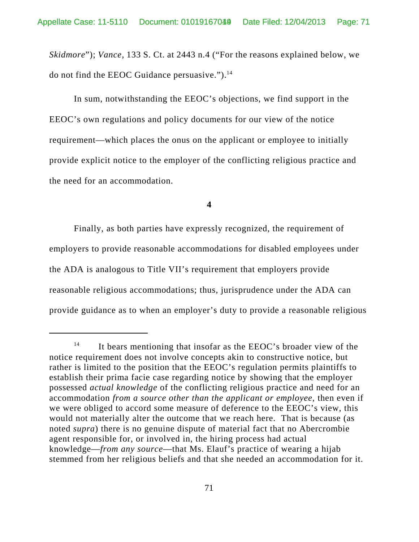*Skidmore*"); *Vance,* 133 S. Ct. at 2443 n.4 ("For the reasons explained below, we do not find the EEOC Guidance persuasive.").14

In sum, notwithstanding the EEOC's objections, we find support in the EEOC's own regulations and policy documents for our view of the notice requirement—which places the onus on the applicant or employee to initially provide explicit notice to the employer of the conflicting religious practice and the need for an accommodation.

### **4**

Finally, as both parties have expressly recognized, the requirement of employers to provide reasonable accommodations for disabled employees under the ADA is analogous to Title VII's requirement that employers provide reasonable religious accommodations; thus, jurisprudence under the ADA can provide guidance as to when an employer's duty to provide a reasonable religious

 $14$  It bears mentioning that insofar as the EEOC's broader view of the notice requirement does not involve concepts akin to constructive notice, but rather is limited to the position that the EEOC's regulation permits plaintiffs to establish their prima facie case regarding notice by showing that the employer possessed *actual knowledge* of the conflicting religious practice and need for an accommodation *from a source other than the applicant or employee*, then even if we were obliged to accord some measure of deference to the EEOC's view, this would not materially alter the outcome that we reach here. That is because (as noted *supra*) there is no genuine dispute of material fact that no Abercrombie agent responsible for, or involved in, the hiring process had actual knowledge—*from any source*—that Ms. Elauf's practice of wearing a hijab stemmed from her religious beliefs and that she needed an accommodation for it.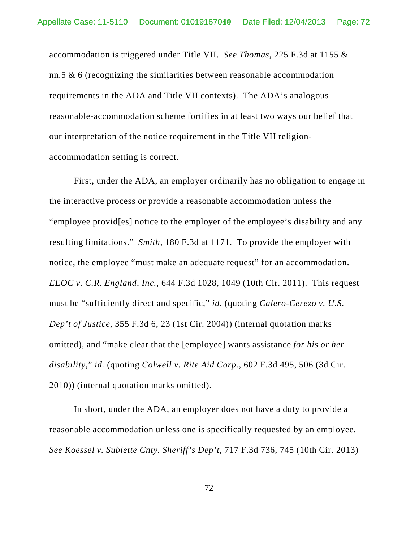accommodation is triggered under Title VII. *See Thomas*, 225 F.3d at 1155 & nn.5 & 6 (recognizing the similarities between reasonable accommodation requirements in the ADA and Title VII contexts). The ADA's analogous reasonable-accommodation scheme fortifies in at least two ways our belief that our interpretation of the notice requirement in the Title VII religionaccommodation setting is correct.

First, under the ADA, an employer ordinarily has no obligation to engage in the interactive process or provide a reasonable accommodation unless the "employee provid[es] notice to the employer of the employee's disability and any resulting limitations." *Smith*, 180 F.3d at 1171. To provide the employer with notice, the employee "must make an adequate request" for an accommodation. *EEOC v. C.R. England, Inc.*, 644 F.3d 1028, 1049 (10th Cir. 2011). This request must be "sufficiently direct and specific," *id.* (quoting *Calero-Cerezo v. U.S. Dep't of Justice*, 355 F.3d 6, 23 (1st Cir. 2004)) (internal quotation marks omitted), and "make clear that the [employee] wants assistance *for his or her disability*," *id.* (quoting *Colwell v. Rite Aid Corp.*, 602 F.3d 495, 506 (3d Cir. 2010)) (internal quotation marks omitted).

In short, under the ADA, an employer does not have a duty to provide a reasonable accommodation unless one is specifically requested by an employee. *See Koessel v. Sublette Cnty. Sheriff's Dep't*, 717 F.3d 736, 745 (10th Cir. 2013)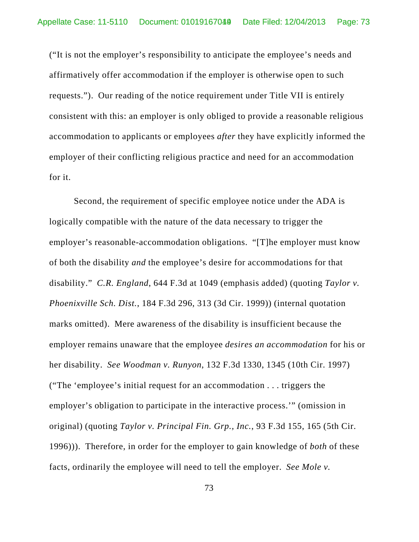("It is not the employer's responsibility to anticipate the employee's needs and affirmatively offer accommodation if the employer is otherwise open to such requests."). Our reading of the notice requirement under Title VII is entirely consistent with this: an employer is only obliged to provide a reasonable religious accommodation to applicants or employees *after* they have explicitly informed the employer of their conflicting religious practice and need for an accommodation for it.

Second, the requirement of specific employee notice under the ADA is logically compatible with the nature of the data necessary to trigger the employer's reasonable-accommodation obligations. "[T]he employer must know of both the disability *and* the employee's desire for accommodations for that disability." *C.R. England*, 644 F.3d at 1049 (emphasis added) (quoting *Taylor v. Phoenixville Sch. Dist.*, 184 F.3d 296, 313 (3d Cir. 1999)) (internal quotation marks omitted). Mere awareness of the disability is insufficient because the employer remains unaware that the employee *desires an accommodation* for his or her disability. *See Woodman v. Runyon*, 132 F.3d 1330, 1345 (10th Cir. 1997) ("The 'employee's initial request for an accommodation . . . triggers the employer's obligation to participate in the interactive process.'" (omission in original) (quoting *Taylor v. Principal Fin. Grp., Inc.*, 93 F.3d 155, 165 (5th Cir. 1996))). Therefore, in order for the employer to gain knowledge of *both* of these facts, ordinarily the employee will need to tell the employer. *See Mole v.*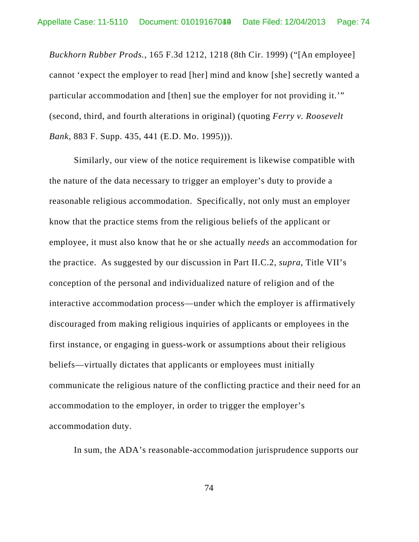*Buckhorn Rubber Prods.*, 165 F.3d 1212, 1218 (8th Cir. 1999) ("[An employee] cannot 'expect the employer to read [her] mind and know [she] secretly wanted a particular accommodation and [then] sue the employer for not providing it.'" (second, third, and fourth alterations in original) (quoting *Ferry v. Roosevelt Bank*, 883 F. Supp. 435, 441 (E.D. Mo. 1995))).

Similarly, our view of the notice requirement is likewise compatible with the nature of the data necessary to trigger an employer's duty to provide a reasonable religious accommodation. Specifically, not only must an employer know that the practice stems from the religious beliefs of the applicant or employee, it must also know that he or she actually *needs* an accommodation for the practice. As suggested by our discussion in Part II.C.2, *supra*, Title VII's conception of the personal and individualized nature of religion and of the interactive accommodation process—under which the employer is affirmatively discouraged from making religious inquiries of applicants or employees in the first instance, or engaging in guess-work or assumptions about their religious beliefs—virtually dictates that applicants or employees must initially communicate the religious nature of the conflicting practice and their need for an accommodation to the employer, in order to trigger the employer's accommodation duty.

In sum, the ADA's reasonable-accommodation jurisprudence supports our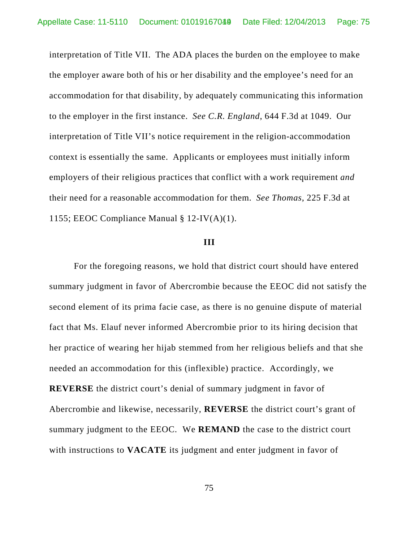interpretation of Title VII. The ADA places the burden on the employee to make the employer aware both of his or her disability and the employee's need for an accommodation for that disability, by adequately communicating this information to the employer in the first instance. *See C.R. England*, 644 F.3d at 1049. Our interpretation of Title VII's notice requirement in the religion-accommodation context is essentially the same. Applicants or employees must initially inform employers of their religious practices that conflict with a work requirement *and* their need for a reasonable accommodation for them. *See Thomas*, 225 F.3d at 1155; EEOC Compliance Manual § 12-IV(A)(1).

### **III**

For the foregoing reasons, we hold that district court should have entered summary judgment in favor of Abercrombie because the EEOC did not satisfy the second element of its prima facie case, as there is no genuine dispute of material fact that Ms. Elauf never informed Abercrombie prior to its hiring decision that her practice of wearing her hijab stemmed from her religious beliefs and that she needed an accommodation for this (inflexible) practice. Accordingly, we **REVERSE** the district court's denial of summary judgment in favor of Abercrombie and likewise, necessarily, **REVERSE** the district court's grant of summary judgment to the EEOC. We **REMAND** the case to the district court with instructions to **VACATE** its judgment and enter judgment in favor of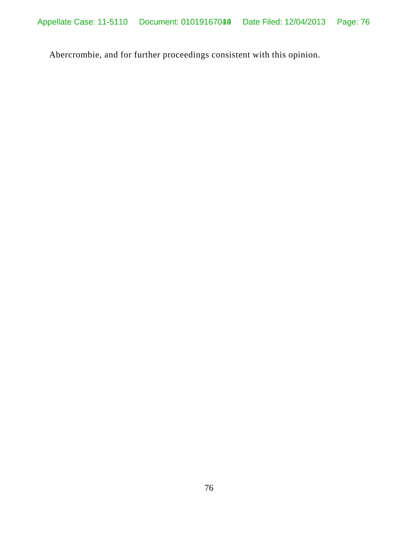Abercrombie, and for further proceedings consistent with this opinion.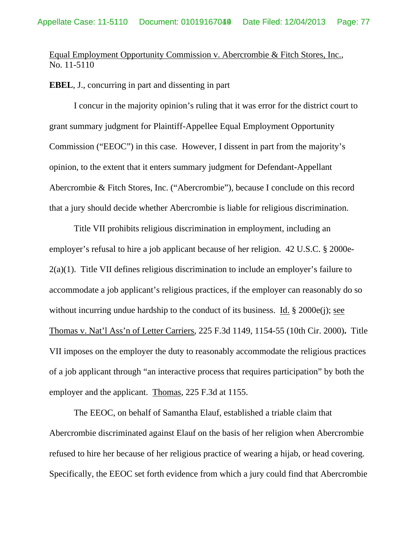# Equal Employment Opportunity Commission v. Abercrombie & Fitch Stores, Inc., No. 11-5110

### **EBEL**, J., concurring in part and dissenting in part

 I concur in the majority opinion's ruling that it was error for the district court to grant summary judgment for Plaintiff-Appellee Equal Employment Opportunity Commission ("EEOC") in this case. However, I dissent in part from the majority's opinion, to the extent that it enters summary judgment for Defendant-Appellant Abercrombie & Fitch Stores, Inc. ("Abercrombie"), because I conclude on this record that a jury should decide whether Abercrombie is liable for religious discrimination.

 Title VII prohibits religious discrimination in employment, including an employer's refusal to hire a job applicant because of her religion. 42 U.S.C. § 2000e-2(a)(1). Title VII defines religious discrimination to include an employer's failure to accommodate a job applicant's religious practices, if the employer can reasonably do so without incurring undue hardship to the conduct of its business. Id. § 2000e(j); see Thomas v. Nat'l Ass'n of Letter Carriers, 225 F.3d 1149, 1154-55 (10th Cir. 2000)**.** Title VII imposes on the employer the duty to reasonably accommodate the religious practices of a job applicant through "an interactive process that requires participation" by both the employer and the applicant. Thomas, 225 F.3d at 1155.

The EEOC, on behalf of Samantha Elauf, established a triable claim that Abercrombie discriminated against Elauf on the basis of her religion when Abercrombie refused to hire her because of her religious practice of wearing a hijab, or head covering. Specifically, the EEOC set forth evidence from which a jury could find that Abercrombie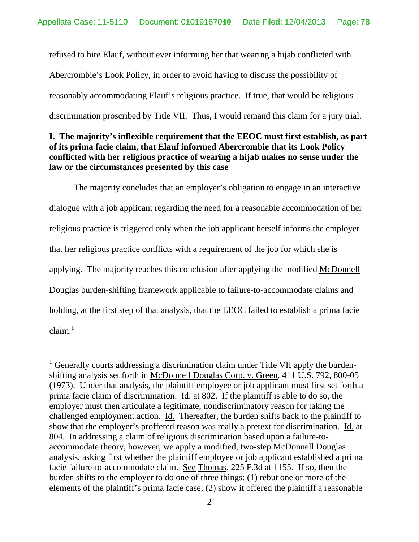refused to hire Elauf, without ever informing her that wearing a hijab conflicted with Abercrombie's Look Policy, in order to avoid having to discuss the possibility of reasonably accommodating Elauf's religious practice. If true, that would be religious discrimination proscribed by Title VII. Thus, I would remand this claim for a jury trial.

## **I. The majority's inflexible requirement that the EEOC must first establish, as part of its prima facie claim, that Elauf informed Abercrombie that its Look Policy conflicted with her religious practice of wearing a hijab makes no sense under the law or the circumstances presented by this case**

 The majority concludes that an employer's obligation to engage in an interactive dialogue with a job applicant regarding the need for a reasonable accommodation of her religious practice is triggered only when the job applicant herself informs the employer that her religious practice conflicts with a requirement of the job for which she is applying. The majority reaches this conclusion after applying the modified McDonnell Douglas burden-shifting framework applicable to failure-to-accommodate claims and holding, at the first step of that analysis, that the EEOC failed to establish a prima facie  $claim.<sup>1</sup>$ 

 $\overline{a}$ 

 $1$  Generally courts addressing a discrimination claim under Title VII apply the burdenshifting analysis set forth in McDonnell Douglas Corp. v. Green, 411 U.S. 792, 800-05 (1973). Under that analysis, the plaintiff employee or job applicant must first set forth a prima facie claim of discrimination. Id. at 802. If the plaintiff is able to do so, the employer must then articulate a legitimate, nondiscriminatory reason for taking the challenged employment action. Id. Thereafter, the burden shifts back to the plaintiff to show that the employer's proffered reason was really a pretext for discrimination. Id. at 804. In addressing a claim of religious discrimination based upon a failure-toaccommodate theory, however, we apply a modified, two-step McDonnell Douglas analysis, asking first whether the plaintiff employee or job applicant established a prima facie failure-to-accommodate claim. See Thomas, 225 F.3d at 1155. If so, then the burden shifts to the employer to do one of three things: (1) rebut one or more of the elements of the plaintiff's prima facie case; (2) show it offered the plaintiff a reasonable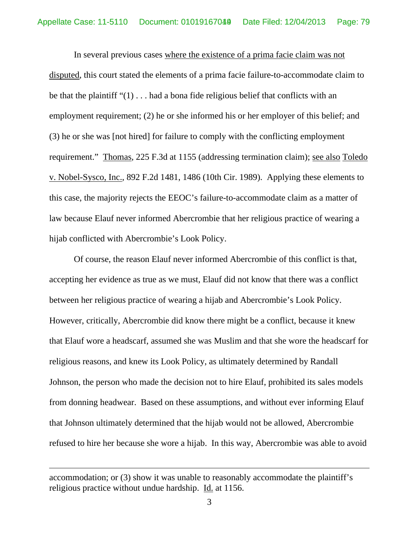In several previous cases where the existence of a prima facie claim was not disputed, this court stated the elements of a prima facie failure-to-accommodate claim to be that the plaintiff " $(1)$ ... had a bona fide religious belief that conflicts with an employment requirement; (2) he or she informed his or her employer of this belief; and (3) he or she was [not hired] for failure to comply with the conflicting employment requirement." Thomas, 225 F.3d at 1155 (addressing termination claim); see also Toledo v. Nobel-Sysco, Inc., 892 F.2d 1481, 1486 (10th Cir. 1989). Applying these elements to this case, the majority rejects the EEOC's failure-to-accommodate claim as a matter of law because Elauf never informed Abercrombie that her religious practice of wearing a hijab conflicted with Abercrombie's Look Policy.

Of course, the reason Elauf never informed Abercrombie of this conflict is that, accepting her evidence as true as we must, Elauf did not know that there was a conflict between her religious practice of wearing a hijab and Abercrombie's Look Policy. However, critically, Abercrombie did know there might be a conflict, because it knew that Elauf wore a headscarf, assumed she was Muslim and that she wore the headscarf for religious reasons, and knew its Look Policy, as ultimately determined by Randall Johnson, the person who made the decision not to hire Elauf, prohibited its sales models from donning headwear. Based on these assumptions, and without ever informing Elauf that Johnson ultimately determined that the hijab would not be allowed, Abercrombie refused to hire her because she wore a hijab. In this way, Abercrombie was able to avoid

 $\overline{a}$ 

accommodation; or (3) show it was unable to reasonably accommodate the plaintiff's religious practice without undue hardship. Id. at 1156.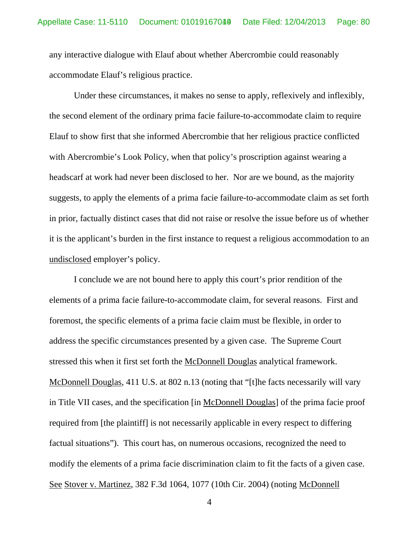any interactive dialogue with Elauf about whether Abercrombie could reasonably accommodate Elauf's religious practice.

Under these circumstances, it makes no sense to apply, reflexively and inflexibly, the second element of the ordinary prima facie failure-to-accommodate claim to require Elauf to show first that she informed Abercrombie that her religious practice conflicted with Abercrombie's Look Policy, when that policy's proscription against wearing a headscarf at work had never been disclosed to her. Nor are we bound, as the majority suggests, to apply the elements of a prima facie failure-to-accommodate claim as set forth in prior, factually distinct cases that did not raise or resolve the issue before us of whether it is the applicant's burden in the first instance to request a religious accommodation to an undisclosed employer's policy.

I conclude we are not bound here to apply this court's prior rendition of the elements of a prima facie failure-to-accommodate claim, for several reasons. First and foremost, the specific elements of a prima facie claim must be flexible, in order to address the specific circumstances presented by a given case. The Supreme Court stressed this when it first set forth the McDonnell Douglas analytical framework. McDonnell Douglas, 411 U.S. at 802 n.13 (noting that "[t]he facts necessarily will vary in Title VII cases, and the specification [in McDonnell Douglas] of the prima facie proof required from [the plaintiff] is not necessarily applicable in every respect to differing factual situations"). This court has, on numerous occasions, recognized the need to modify the elements of a prima facie discrimination claim to fit the facts of a given case. See Stover v. Martinez, 382 F.3d 1064, 1077 (10th Cir. 2004) (noting McDonnell

4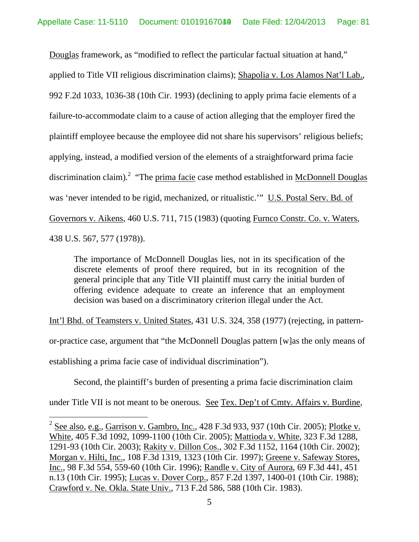Douglas framework, as "modified to reflect the particular factual situation at hand," applied to Title VII religious discrimination claims); Shapolia v. Los Alamos Nat'l Lab., 992 F.2d 1033, 1036-38 (10th Cir. 1993) (declining to apply prima facie elements of a failure-to-accommodate claim to a cause of action alleging that the employer fired the plaintiff employee because the employee did not share his supervisors' religious beliefs; applying, instead, a modified version of the elements of a straightforward prima facie discrimination claim).<sup>2</sup> "The prima facie case method established in McDonnell Douglas was 'never intended to be rigid, mechanized, or ritualistic.'" U.S. Postal Serv. Bd. of Governors v. Aikens, 460 U.S. 711, 715 (1983) (quoting Furnco Constr. Co. v. Waters, 438 U.S. 567, 577 (1978)).

The importance of McDonnell Douglas lies, not in its specification of the discrete elements of proof there required, but in its recognition of the general principle that any Title VII plaintiff must carry the initial burden of offering evidence adequate to create an inference that an employment decision was based on a discriminatory criterion illegal under the Act.

Int'l Bhd. of Teamsters v. United States, 431 U.S. 324, 358 (1977) (rejecting, in pattern-

or-practice case, argument that "the McDonnell Douglas pattern [w]as the only means of

establishing a prima facie case of individual discrimination").

 $\overline{a}$ 

Second, the plaintiff's burden of presenting a prima facie discrimination claim

under Title VII is not meant to be onerous. See Tex. Dep't of Cmty. Affairs v. Burdine,

 $2 \text{ See also, e.g., Garrison v. Gambro, Inc., } 428 \text{ F.3d } 933, 937 \text{ (10th Cir. } 2005); }$  Plotke v. White, 405 F.3d 1092, 1099-1100 (10th Cir. 2005); Mattioda v. White, 323 F.3d 1288, 1291-93 (10th Cir. 2003); Rakity v. Dillon Cos., 302 F.3d 1152, 1164 (10th Cir. 2002); Morgan v. Hilti, Inc., 108 F.3d 1319, 1323 (10th Cir. 1997); Greene v. Safeway Stores, Inc., 98 F.3d 554, 559-60 (10th Cir. 1996); Randle v. City of Aurora, 69 F.3d 441, 451 n.13 (10th Cir. 1995); Lucas v. Dover Corp., 857 F.2d 1397, 1400-01 (10th Cir. 1988); Crawford v. Ne. Okla. State Univ., 713 F.2d 586, 588 (10th Cir. 1983).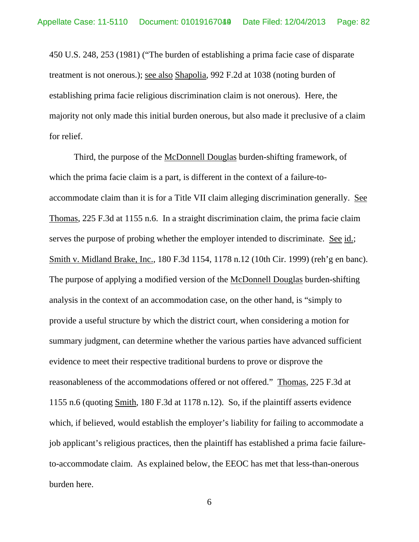450 U.S. 248, 253 (1981) ("The burden of establishing a prima facie case of disparate treatment is not onerous.); see also Shapolia, 992 F.2d at 1038 (noting burden of establishing prima facie religious discrimination claim is not onerous). Here, the majority not only made this initial burden onerous, but also made it preclusive of a claim for relief.

 Third, the purpose of the McDonnell Douglas burden-shifting framework, of which the prima facie claim is a part, is different in the context of a failure-toaccommodate claim than it is for a Title VII claim alleging discrimination generally. See Thomas, 225 F.3d at 1155 n.6. In a straight discrimination claim, the prima facie claim serves the purpose of probing whether the employer intended to discriminate. See id.; Smith v. Midland Brake, Inc., 180 F.3d 1154, 1178 n.12 (10th Cir. 1999) (reh'g en banc). The purpose of applying a modified version of the McDonnell Douglas burden-shifting analysis in the context of an accommodation case, on the other hand, is "simply to provide a useful structure by which the district court, when considering a motion for summary judgment, can determine whether the various parties have advanced sufficient evidence to meet their respective traditional burdens to prove or disprove the reasonableness of the accommodations offered or not offered." Thomas, 225 F.3d at 1155 n.6 (quoting Smith, 180 F.3d at 1178 n.12). So, if the plaintiff asserts evidence which, if believed, would establish the employer's liability for failing to accommodate a job applicant's religious practices, then the plaintiff has established a prima facie failureto-accommodate claim. As explained below, the EEOC has met that less-than-onerous burden here.

6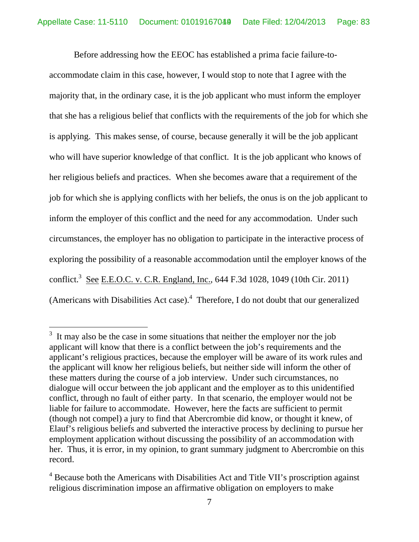Before addressing how the EEOC has established a prima facie failure-toaccommodate claim in this case, however, I would stop to note that I agree with the majority that, in the ordinary case, it is the job applicant who must inform the employer that she has a religious belief that conflicts with the requirements of the job for which she is applying. This makes sense, of course, because generally it will be the job applicant who will have superior knowledge of that conflict. It is the job applicant who knows of her religious beliefs and practices. When she becomes aware that a requirement of the job for which she is applying conflicts with her beliefs, the onus is on the job applicant to inform the employer of this conflict and the need for any accommodation. Under such circumstances, the employer has no obligation to participate in the interactive process of exploring the possibility of a reasonable accommodation until the employer knows of the conflict.<sup>3</sup> See E.E.O.C. v. C.R. England, Inc., 644 F.3d 1028, 1049 (10th Cir. 2011) (Americans with Disabilities Act case). $4$  Therefore, I do not doubt that our generalized

 $\overline{a}$ 

 $3<sup>3</sup>$  It may also be the case in some situations that neither the employer nor the job applicant will know that there is a conflict between the job's requirements and the applicant's religious practices, because the employer will be aware of its work rules and the applicant will know her religious beliefs, but neither side will inform the other of these matters during the course of a job interview. Under such circumstances, no dialogue will occur between the job applicant and the employer as to this unidentified conflict, through no fault of either party. In that scenario, the employer would not be liable for failure to accommodate. However, here the facts are sufficient to permit (though not compel) a jury to find that Abercrombie did know, or thought it knew, of Elauf's religious beliefs and subverted the interactive process by declining to pursue her employment application without discussing the possibility of an accommodation with her. Thus, it is error, in my opinion, to grant summary judgment to Abercrombie on this record.

<sup>&</sup>lt;sup>4</sup> Because both the Americans with Disabilities Act and Title VII's proscription against religious discrimination impose an affirmative obligation on employers to make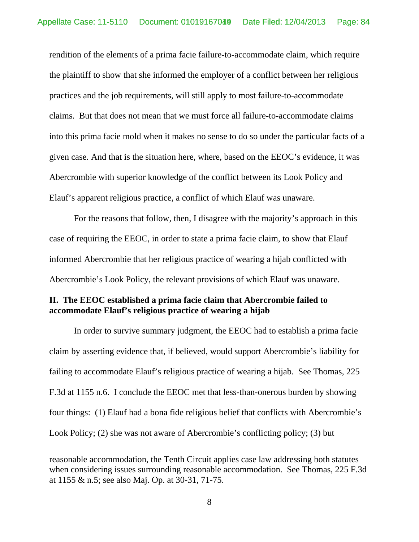rendition of the elements of a prima facie failure-to-accommodate claim, which require the plaintiff to show that she informed the employer of a conflict between her religious practices and the job requirements, will still apply to most failure-to-accommodate claims. But that does not mean that we must force all failure-to-accommodate claims into this prima facie mold when it makes no sense to do so under the particular facts of a given case. And that is the situation here, where, based on the EEOC's evidence, it was Abercrombie with superior knowledge of the conflict between its Look Policy and Elauf's apparent religious practice, a conflict of which Elauf was unaware.

 For the reasons that follow, then, I disagree with the majority's approach in this case of requiring the EEOC, in order to state a prima facie claim, to show that Elauf informed Abercrombie that her religious practice of wearing a hijab conflicted with Abercrombie's Look Policy, the relevant provisions of which Elauf was unaware.

## **II. The EEOC established a prima facie claim that Abercrombie failed to accommodate Elauf's religious practice of wearing a hijab**

 In order to survive summary judgment, the EEOC had to establish a prima facie claim by asserting evidence that, if believed, would support Abercrombie's liability for failing to accommodate Elauf's religious practice of wearing a hijab. See Thomas, 225 F.3d at 1155 n.6. I conclude the EEOC met that less-than-onerous burden by showing four things: (1) Elauf had a bona fide religious belief that conflicts with Abercrombie's Look Policy; (2) she was not aware of Abercrombie's conflicting policy; (3) but

 $\overline{a}$ 

8

reasonable accommodation, the Tenth Circuit applies case law addressing both statutes when considering issues surrounding reasonable accommodation. See Thomas, 225 F.3d at 1155 & n.5; see also Maj. Op. at 30-31, 71-75.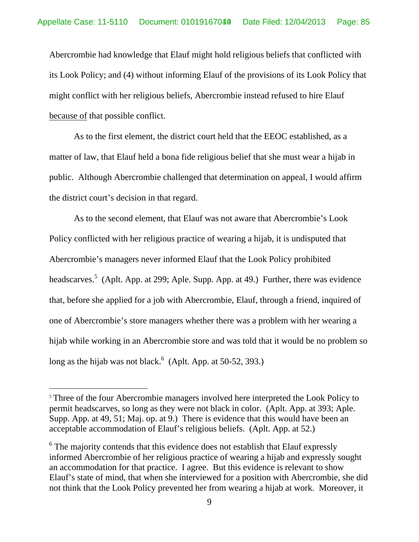Abercrombie had knowledge that Elauf might hold religious beliefs that conflicted with its Look Policy; and (4) without informing Elauf of the provisions of its Look Policy that might conflict with her religious beliefs, Abercrombie instead refused to hire Elauf because of that possible conflict.

 As to the first element, the district court held that the EEOC established, as a matter of law, that Elauf held a bona fide religious belief that she must wear a hijab in public. Although Abercrombie challenged that determination on appeal, I would affirm the district court's decision in that regard.

As to the second element, that Elauf was not aware that Abercrombie's Look Policy conflicted with her religious practice of wearing a hijab, it is undisputed that Abercrombie's managers never informed Elauf that the Look Policy prohibited headscarves.<sup>5</sup> (Aplt. App. at 299; Aple. Supp. App. at 49.) Further, there was evidence that, before she applied for a job with Abercrombie, Elauf, through a friend, inquired of one of Abercrombie's store managers whether there was a problem with her wearing a hijab while working in an Abercrombie store and was told that it would be no problem so long as the hijab was not black. $6$  (Aplt. App. at 50-52, 393.)

 $\overline{a}$ 

<sup>&</sup>lt;sup>5</sup> Three of the four Abercrombie managers involved here interpreted the Look Policy to permit headscarves, so long as they were not black in color. (Aplt. App. at 393; Aple. Supp. App. at 49, 51; Maj. op. at 9.) There is evidence that this would have been an acceptable accommodation of Elauf's religious beliefs. (Aplt. App. at 52.)

 $6$  The majority contends that this evidence does not establish that Elauf expressly informed Abercrombie of her religious practice of wearing a hijab and expressly sought an accommodation for that practice. I agree. But this evidence is relevant to show Elauf's state of mind, that when she interviewed for a position with Abercrombie, she did not think that the Look Policy prevented her from wearing a hijab at work. Moreover, it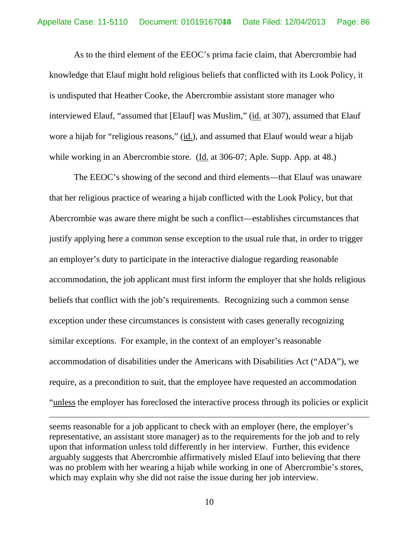As to the third element of the EEOC's prima facie claim, that Abercrombie had knowledge that Elauf might hold religious beliefs that conflicted with its Look Policy, it is undisputed that Heather Cooke, the Abercrombie assistant store manager who interviewed Elauf, "assumed that [Elauf] was Muslim," (id. at 307), assumed that Elauf wore a hijab for "religious reasons," (id.), and assumed that Elauf would wear a hijab while working in an Abercrombie store. (Id. at 306-07; Aple. Supp. App. at 48.)

 The EEOC's showing of the second and third elements—that Elauf was unaware that her religious practice of wearing a hijab conflicted with the Look Policy, but that Abercrombie was aware there might be such a conflict—establishes circumstances that justify applying here a common sense exception to the usual rule that, in order to trigger an employer's duty to participate in the interactive dialogue regarding reasonable accommodation, the job applicant must first inform the employer that she holds religious beliefs that conflict with the job's requirements. Recognizing such a common sense exception under these circumstances is consistent with cases generally recognizing similar exceptions. For example, in the context of an employer's reasonable accommodation of disabilities under the Americans with Disabilities Act ("ADA"), we require, as a precondition to suit, that the employee have requested an accommodation "unless the employer has foreclosed the interactive process through its policies or explicit

seems reasonable for a job applicant to check with an employer (here, the employer's representative, an assistant store manager) as to the requirements for the job and to rely upon that information unless told differently in her interview. Further, this evidence arguably suggests that Abercrombie affirmatively misled Elauf into believing that there was no problem with her wearing a hijab while working in one of Abercrombie's stores, which may explain why she did not raise the issue during her job interview.

 $\overline{a}$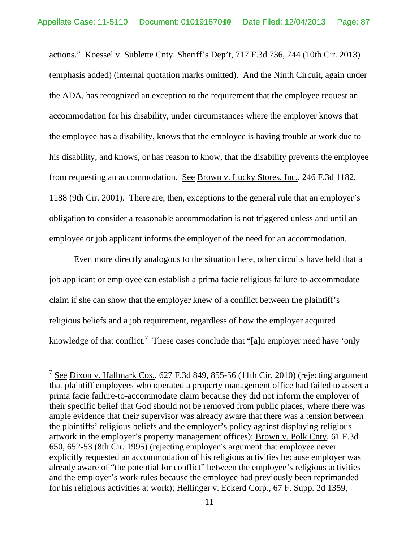actions." Koessel v. Sublette Cnty. Sheriff's Dep't, 717 F.3d 736, 744 (10th Cir. 2013) (emphasis added) (internal quotation marks omitted). And the Ninth Circuit, again under the ADA, has recognized an exception to the requirement that the employee request an accommodation for his disability, under circumstances where the employer knows that the employee has a disability, knows that the employee is having trouble at work due to his disability, and knows, or has reason to know, that the disability prevents the employee from requesting an accommodation. See Brown v. Lucky Stores, Inc., 246 F.3d 1182, 1188 (9th Cir. 2001). There are, then, exceptions to the general rule that an employer's obligation to consider a reasonable accommodation is not triggered unless and until an employee or job applicant informs the employer of the need for an accommodation.

 Even more directly analogous to the situation here, other circuits have held that a job applicant or employee can establish a prima facie religious failure-to-accommodate claim if she can show that the employer knew of a conflict between the plaintiff's religious beliefs and a job requirement, regardless of how the employer acquired knowledge of that conflict.<sup>7</sup> These cases conclude that "[a]n employer need have 'only

 $\overline{a}$ 

 $7$  See Dixon v. Hallmark Cos., 627 F.3d 849, 855-56 (11th Cir. 2010) (rejecting argument that plaintiff employees who operated a property management office had failed to assert a prima facie failure-to-accommodate claim because they did not inform the employer of their specific belief that God should not be removed from public places, where there was ample evidence that their supervisor was already aware that there was a tension between the plaintiffs' religious beliefs and the employer's policy against displaying religious artwork in the employer's property management offices); Brown v. Polk Cnty, 61 F.3d 650, 652-53 (8th Cir. 1995) (rejecting employer's argument that employee never explicitly requested an accommodation of his religious activities because employer was already aware of "the potential for conflict" between the employee's religious activities and the employer's work rules because the employee had previously been reprimanded for his religious activities at work); Hellinger v. Eckerd Corp., 67 F. Supp. 2d 1359,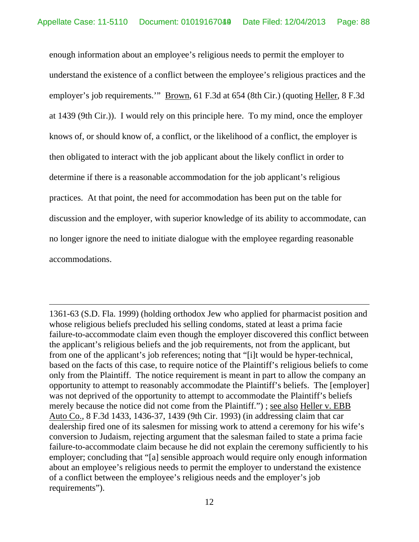enough information about an employee's religious needs to permit the employer to understand the existence of a conflict between the employee's religious practices and the employer's job requirements.'" Brown, 61 F.3d at 654 (8th Cir.) (quoting Heller, 8 F.3d at 1439 (9th Cir.)). I would rely on this principle here. To my mind, once the employer knows of, or should know of, a conflict, or the likelihood of a conflict, the employer is then obligated to interact with the job applicant about the likely conflict in order to determine if there is a reasonable accommodation for the job applicant's religious practices. At that point, the need for accommodation has been put on the table for discussion and the employer, with superior knowledge of its ability to accommodate, can no longer ignore the need to initiate dialogue with the employee regarding reasonable accommodations.

1361-63 (S.D. Fla. 1999) (holding orthodox Jew who applied for pharmacist position and whose religious beliefs precluded his selling condoms, stated at least a prima facie failure-to-accommodate claim even though the employer discovered this conflict between the applicant's religious beliefs and the job requirements, not from the applicant, but from one of the applicant's job references; noting that "[i]t would be hyper-technical, based on the facts of this case, to require notice of the Plaintiff's religious beliefs to come only from the Plaintiff. The notice requirement is meant in part to allow the company an opportunity to attempt to reasonably accommodate the Plaintiff's beliefs. The [employer] was not deprived of the opportunity to attempt to accommodate the Plaintiff's beliefs merely because the notice did not come from the Plaintiff."); <u>see also Heller v. EBB</u> Auto Co., 8 F.3d 1433, 1436-37, 1439 (9th Cir. 1993) (in addressing claim that car dealership fired one of its salesmen for missing work to attend a ceremony for his wife's conversion to Judaism, rejecting argument that the salesman failed to state a prima facie failure-to-accommodate claim because he did not explain the ceremony sufficiently to his employer; concluding that "[a] sensible approach would require only enough information about an employee's religious needs to permit the employer to understand the existence of a conflict between the employee's religious needs and the employer's job requirements").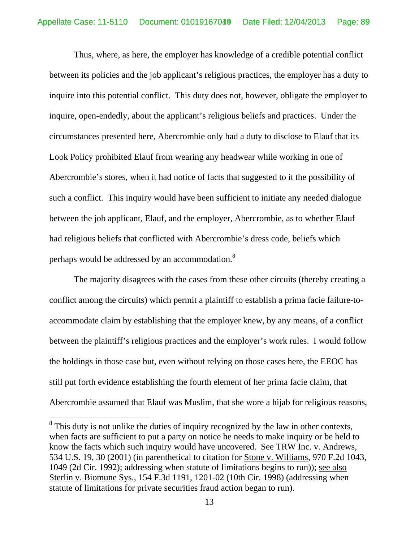Thus, where, as here, the employer has knowledge of a credible potential conflict between its policies and the job applicant's religious practices, the employer has a duty to inquire into this potential conflict. This duty does not, however, obligate the employer to inquire, open-endedly, about the applicant's religious beliefs and practices. Under the circumstances presented here, Abercrombie only had a duty to disclose to Elauf that its Look Policy prohibited Elauf from wearing any headwear while working in one of Abercrombie's stores, when it had notice of facts that suggested to it the possibility of such a conflict. This inquiry would have been sufficient to initiate any needed dialogue between the job applicant, Elauf, and the employer, Abercrombie, as to whether Elauf had religious beliefs that conflicted with Abercrombie's dress code, beliefs which perhaps would be addressed by an accommodation.<sup>8</sup>

 The majority disagrees with the cases from these other circuits (thereby creating a conflict among the circuits) which permit a plaintiff to establish a prima facie failure-toaccommodate claim by establishing that the employer knew, by any means, of a conflict between the plaintiff's religious practices and the employer's work rules. I would follow the holdings in those case but, even without relying on those cases here, the EEOC has still put forth evidence establishing the fourth element of her prima facie claim, that Abercrombie assumed that Elauf was Muslim, that she wore a hijab for religious reasons,

 $\overline{a}$ 

 $8$  This duty is not unlike the duties of inquiry recognized by the law in other contexts, when facts are sufficient to put a party on notice he needs to make inquiry or be held to know the facts which such inquiry would have uncovered. See TRW Inc. v. Andrews, 534 U.S. 19, 30 (2001) (in parenthetical to citation for Stone v. Williams, 970 F.2d 1043, 1049 (2d Cir. 1992); addressing when statute of limitations begins to run)); see also Sterlin v. Biomune Sys., 154 F.3d 1191, 1201-02 (10th Cir. 1998) (addressing when statute of limitations for private securities fraud action began to run).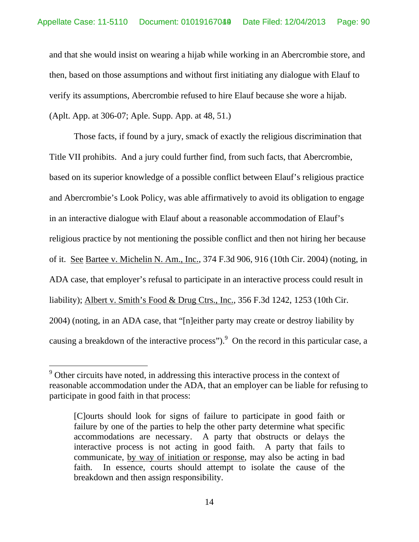and that she would insist on wearing a hijab while working in an Abercrombie store, and then, based on those assumptions and without first initiating any dialogue with Elauf to verify its assumptions, Abercrombie refused to hire Elauf because she wore a hijab.

(Aplt. App. at 306-07; Aple. Supp. App. at 48, 51.)

 $\overline{a}$ 

Those facts, if found by a jury, smack of exactly the religious discrimination that Title VII prohibits. And a jury could further find, from such facts, that Abercrombie, based on its superior knowledge of a possible conflict between Elauf's religious practice and Abercrombie's Look Policy, was able affirmatively to avoid its obligation to engage in an interactive dialogue with Elauf about a reasonable accommodation of Elauf's religious practice by not mentioning the possible conflict and then not hiring her because of it. See Bartee v. Michelin N. Am., Inc., 374 F.3d 906, 916 (10th Cir. 2004) (noting, in ADA case, that employer's refusal to participate in an interactive process could result in liability); Albert v. Smith's Food & Drug Ctrs., Inc., 356 F.3d 1242, 1253 (10th Cir. 2004) (noting, in an ADA case, that "[n]either party may create or destroy liability by causing a breakdown of the interactive process"). <sup>9</sup> On the record in this particular case, a

 $9^9$  Other circuits have noted, in addressing this interactive process in the context of reasonable accommodation under the ADA, that an employer can be liable for refusing to participate in good faith in that process:

<sup>[</sup>C]ourts should look for signs of failure to participate in good faith or failure by one of the parties to help the other party determine what specific accommodations are necessary. A party that obstructs or delays the interactive process is not acting in good faith. A party that fails to communicate, by way of initiation or response, may also be acting in bad faith. In essence, courts should attempt to isolate the cause of the breakdown and then assign responsibility.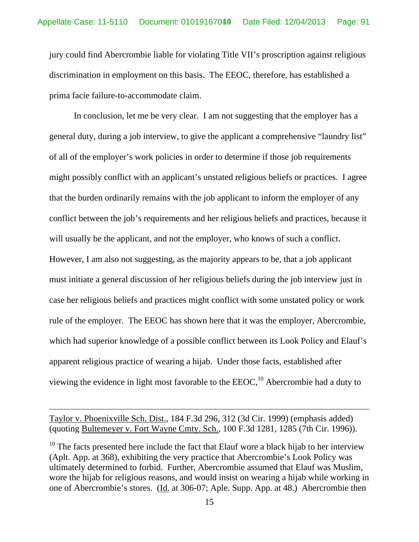jury could find Abercrombie liable for violating Title VII's proscription against religious discrimination in employment on this basis. The EEOC, therefore, has established a prima facie failure-to-accommodate claim.

 In conclusion, let me be very clear. I am not suggesting that the employer has a general duty, during a job interview, to give the applicant a comprehensive "laundry list" of all of the employer's work policies in order to determine if those job requirements might possibly conflict with an applicant's unstated religious beliefs or practices. I agree that the burden ordinarily remains with the job applicant to inform the employer of any conflict between the job's requirements and her religious beliefs and practices, because it will usually be the applicant, and not the employer, who knows of such a conflict. However, I am also not suggesting, as the majority appears to be, that a job applicant must initiate a general discussion of her religious beliefs during the job interview just in case her religious beliefs and practices might conflict with some unstated policy or work rule of the employer. The EEOC has shown here that it was the employer, Abercrombie, which had superior knowledge of a possible conflict between its Look Policy and Elauf's apparent religious practice of wearing a hijab. Under those facts, established after viewing the evidence in light most favorable to the  $EEOC<sub>10</sub><sup>10</sup>$  Abercrombie had a duty to

Taylor v. Phoenixville Sch. Dist., 184 F.3d 296, 312 (3d Cir. 1999) (emphasis added) (quoting Bultemeyer v. Fort Wayne Cmty. Sch., 100 F.3d 1281, 1285 (7th Cir. 1996)).

 $10$  The facts presented here include the fact that Elauf wore a black hijab to her interview (Aplt. App. at 368), exhibiting the very practice that Abercrombie's Look Policy was ultimately determined to forbid. Further, Abercrombie assumed that Elauf was Muslim, wore the hijab for religious reasons, and would insist on wearing a hijab while working in one of Abercrombie's stores. (Id. at 306-07; Aple. Supp. App. at 48.) Abercrombie then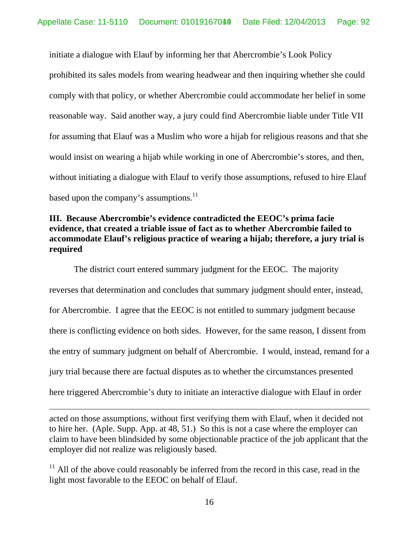initiate a dialogue with Elauf by informing her that Abercrombie's Look Policy prohibited its sales models from wearing headwear and then inquiring whether she could comply with that policy, or whether Abercrombie could accommodate her belief in some reasonable way. Said another way, a jury could find Abercrombie liable under Title VII for assuming that Elauf was a Muslim who wore a hijab for religious reasons and that she would insist on wearing a hijab while working in one of Abercrombie's stores, and then, without initiating a dialogue with Elauf to verify those assumptions, refused to hire Elauf based upon the company's assumptions. $^{11}$ 

## **III. Because Abercrombie's evidence contradicted the EEOC's prima facie evidence, that created a triable issue of fact as to whether Abercrombie failed to accommodate Elauf's religious practice of wearing a hijab; therefore, a jury trial is required**

 The district court entered summary judgment for the EEOC. The majority reverses that determination and concludes that summary judgment should enter, instead, for Abercrombie. I agree that the EEOC is not entitled to summary judgment because there is conflicting evidence on both sides. However, for the same reason, I dissent from the entry of summary judgment on behalf of Abercrombie. I would, instead, remand for a jury trial because there are factual disputes as to whether the circumstances presented here triggered Abercrombie's duty to initiate an interactive dialogue with Elauf in order

acted on those assumptions, without first verifying them with Elauf, when it decided not to hire her. (Aple. Supp. App. at 48, 51.) So this is not a case where the employer can claim to have been blindsided by some objectionable practice of the job applicant that the employer did not realize was religiously based.

 $11$  All of the above could reasonably be inferred from the record in this case, read in the light most favorable to the EEOC on behalf of Elauf.

16